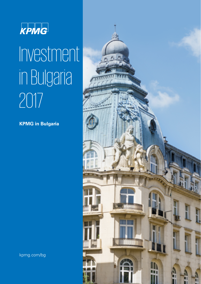

# Investment in Bulgaria 2017

**KPMG in Bulgaria**



kpmg.com/bg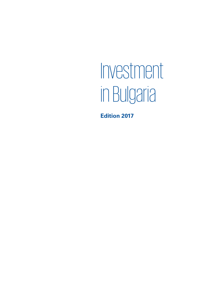# Investment in Bulgaria

**Edition 2017**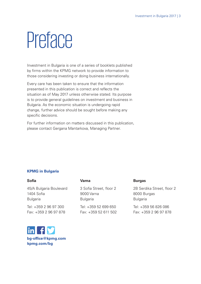# **Preface**

Investment in Bulgaria is one of a series of booklets published by firms within the KPMG network to provide information to those considering investing or doing business internationally.

Every care has been taken to ensure that the information presented in this publication is correct and reflects the situation as of May 2017 unless otherwise stated. Its purpose is to provide general guidelines on investment and business in Bulgaria. As the economic situation is undergoing rapid change, further advice should be sought before making any specific decisions.

For further information on matters discussed in this publication, please contact Gergana Mantarkova, Managing Partner.

## **KPMG in Bulgaria**

#### **Sofia**

45/A Bulgaria Boulevard 1404 Sofia Bulgaria

Tel: +359 2 96 97 300 Fax: +359 2 96 97 878

## **Varna**

3 Sofia Street, floor 2 9000 Varna Bulgaria

Tel: +359 52 699 650 Fax: +359 52 611 502

### **Burgas**

2B Serdika Street, floor 2 8000 Burgas Bulgaria

Tel: +359 56 826 086 Fax: +359 2 96 97 878

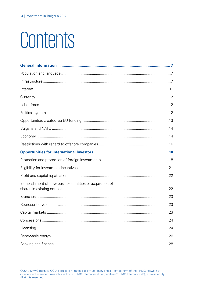# Contents

| Establishment of new business entities or acquisition of |  |
|----------------------------------------------------------|--|
|                                                          |  |
|                                                          |  |
|                                                          |  |
|                                                          |  |
|                                                          |  |
|                                                          |  |
|                                                          |  |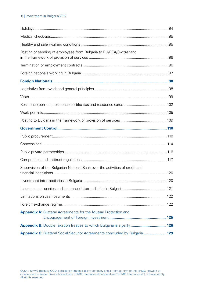### 6 | Investment in Bulgaria 2017

| Posting or sending of employees from Bulgaria to EU/EEA/Switzerland          |  |
|------------------------------------------------------------------------------|--|
|                                                                              |  |
|                                                                              |  |
|                                                                              |  |
|                                                                              |  |
|                                                                              |  |
|                                                                              |  |
|                                                                              |  |
|                                                                              |  |
|                                                                              |  |
|                                                                              |  |
|                                                                              |  |
|                                                                              |  |
|                                                                              |  |
|                                                                              |  |
| Supervision of the Bulgarian National Bank over the activities of credit and |  |
|                                                                              |  |
|                                                                              |  |
|                                                                              |  |
|                                                                              |  |
| Appendix A: Bilateral Agreements for the Mutual Protection and               |  |
| Appendix B: Double Taxation Treaties to which Bulgaria is a party  126       |  |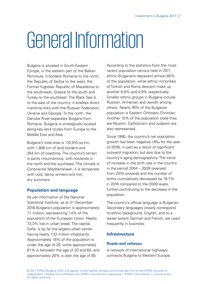# <span id="page-6-0"></span>General Information

Bulgaria is situated in South-Eastern Europe, in the eastern part of the Balkan Peninsula. It borders Romania to the north, the Republic of Serbia to the west, the Former Yugoslav Republic of Macedonia to the southwest, Greece to the south and Turkey to the southeast. The Black Sea is to the east of the country; it enables direct maritime links with the Russian Federation, Ukraine and Georgia. To the north, the Danube River separates Bulgaria from Romania. Bulgaria is strategically located along key land routes from Europe to the Middle East and Asia.

Bulgaria's total area is 110,910 sq km. with 1,808 km of land borders and 354 km of coastline. The country's terrain is partly mountainous, with lowlands in the north and the southeast. The climate is Continental Mediterranean, it is temperate, with cold, damp winters and hot, dry summers.

# **Population and language**

As per information of the National Statistical Institute, as at 31 December 2016 Bulgaria's population is approximately 7.1 million, representing 1.4% of the population of the European Union. Nearly 73.3% live in urban areas. The capital, Sofia, is by far the largest urban center having nearly 1.32 million inhabitants. Approximately 18% of the population is under the age of 20, while approximately 61% is between the age of 20 and 64, and approximately 20% is over the age of 65.

According to the statistics from the most recent population census held in 2011, ethnic Bulgarians represent almost 85% of the population, while ethnic minorities of Turkish and Roma descent make up another 8.8% and 4.9% respectively. Smaller ethnic groups in Bulgaria include Russian, Armenian and Jewish among others. Nearly 76% of the Bulgarian population is Eastern Orthodox Christian. Another 10% of the population state they are Muslim. Catholicism and Judaism are also represented.

Since 1990, the country's net population growth has been negative (-6‰ for the year of 2016), in part as a result of significant outward migration, but also due to the country's aging demographics. The trend of increase in the birth rate in the country in the period 2004 – 2009 reversed from 2010 onwards and the number of births cumulatively decreased by 19.7% in 2016 compared to the 2009 levels further contributing to the decrease in the population.

The country's official language is Bulgarian. Secondary languages closely correspond to ethnic background. English, and to a lesser extent German and French, are used frequently in business.

# **Infrastructure**

### **Roads and railways**

A network of international highways connects Bulgaria to Western Europe,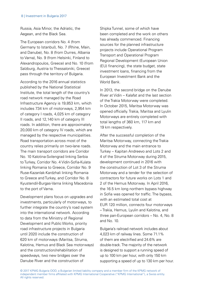Russia, Asia Minor, the Adriatic, the Aegean, and the Black Sea.

The European corridors No. 4 (from Germany to Istanbul), No. 7 (Rhine, Main, and Danube), No. 8 (from Durres, Albania to Varna), No. 9 (from Helsinki, Finland to Alexandropoulos, Greece) and No. 10 (from Salzburg, Austria to Thessaloniki, Greece) pass through the territory of Bulgaria.

According to the 2016 annual statistics published by the National Statistical Institute, the total length of the country's road network managed by the Road Infrastructure Agency is 19,853 km, which includes 734 km of motorways, 2,954 km of category I roads, 4,025 km of category II roads, and 12,140 km of category III roads. In addition, there are approximately 20,000 km of category IV roads, which are managed by the respective municipalities. Road transportation across most of the country relies primarily on two-lane roads. The main transport corridors are Corridor No. 10 Kalotina-Svilengrad linking Serbia to Turkey, Corridor No. 4 Vidin-Sofia-Kulata linking Romania to Greece, Corridor No. 9 Ruse-Kazanlak-Kardzhali linking Romania to Greece and Turkey, and Corridor No. 8 Kyustendil-Burgas-Varna linking Macedonia to the port of Varna.

Development plans focus on upgrades and investments, particularly of motorways, to further integrate the country's road system into the international network. According to data from the Ministry of Regional Development and Public Works, priority road infrastructure projects in Bulgaria until 2020 include the construction of 620 km of motorways (Maritsa, Struma, Kalotina, Hemus and Black Sea motorways) and the construction/rehabilitation of speedways, two new bridges over the Danube River and the construction of

Shipka Tunnel, some of which have been completed and the work on others has already commenced. Financing sources for the planned infrastructure projects include Operational Program Transport and Operational Program Regional Development (European Union (EU) financing), the state budget, state investment loans, financing from the European Investment Bank and the World Bank.

In 2013, the second bridge on the Danube River at Vidin – Kalafat and the last section of the Trakia Motorway were completed. In October 2015, Maritsa Motorway was opened officially. Trakia, Maritsa and Lyulin Motorways are entirely completed with total lengths of 360 km, 117 km and 19 km respectively.

After the successful completion of the Maritsa Motorway, connecting the Trakia Motorway and the main entrance to Turkey – Kapitan Andreevo and Lots 2 and 4 of the Struma Motorway during 2015, development continued in 2016 with the construction of Lot 3 of the Struma Motorway and a tender for the selection of contractors for future works on Lots 1 and 2 of the Hemus Motorway. In April 2016, the 16.5 km long northern bypass highway in Sofia was opened for traffic. The bypass, with an estimated total cost at EUR 120 million, connects four motorways – Trakia, Hemus, Lyulin and Kalotina, and three pan-European corridors – No. 4, No. 8 and  $No$  10.

Bulgaria's railroad network includes about 4,023 km of railway lines. Some 71.1% of them are electrified and 24.6% are double-track. The majority of the network is designed to support a running speed of up to 100 km per hour, with only 150 km supporting a speed of up to 130 km per hour.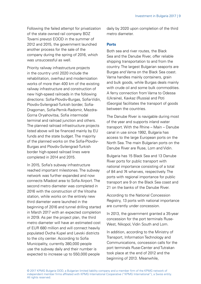Following the failed attempt for privatization of the state owned rail company BDZ Tovarni prevozi EOOD in the summer of 2012 and 2015, the government launched another process for the sale of the company during the spring of 2016, which was unsuccessful as well.

Priority railway infrastructure projects in the country until 2020 include the rehabilitation, overhaul and modernization works of more than 400 km of the existing railway infrastructure and construction of new high-speed railroads in the following directions: Sofia-Plovdiv-Burgas, Sofia-Vidin, Plovdiv-Svilengrad-Turkish border, Sofia-Dragoman, Sofia-Pernik-Radomir, Mezdra-Gorna Oryahovitsa, Sofia intermodal terminal and railroad junction and others. The planned railroad infrastructure projects listed above will be financed mainly by EU funds and the state budget. The majority of the planned works on the Sofia-Plovdiv-Burgas and Plovdiv-Svilengrad-Turkish border high-speed railroad lines were completed in 2014 and 2015.

In 2015, Sofia's subway infrastructure reached important milestones. The subway network was further expanded and now connects Mladost area to Sofia Airport. The second metro diameter was completed in 2016 with the construction of the Vitosha station, while works on the entirely new third diameter were launched in the beginning of 2016 and tunnel drilling started in March 2017 with an expected completion in 2019. As per the project plan, the third metro diameter will have an estimated cost of EUR 680 million and will connect heavily populated Ovcha Kupel and Levski districts to the city center. According to Sofia Municipality, currently 380,000 people use the subway daily and their number is expected to increase up to 550,000 people

daily by 2020 upon completion of the third metro diameter.

#### **Ports**

Both sea and river routes, the Black Sea and the Danube River, offer reliable shipping transportation to and from the country. The largest Bulgarian seaports are Burgas and Varna on the Black Sea coast. Varna handles mainly containers, grain and bulk goods, while Burgas deals mainly with crude oil and some bulk commodities. A ferry connection from Varna to Odessa (Ukraine), Kavkaz (Russia) and Poti (Georgia) facilitates the transport of goods between the countries.

The Danube River is navigable during most of the year and supports inland water transport. With the Rhine – Main – Danube canal in use since 1992, Bulgaria has access to the large European ports on the North Sea. The main Bulgarian ports on the Danube River are Ruse, Lom and Vidin.

Bulgaria has 15 Black Sea and 13 Danube River ports for public transport with national importance consisting of a total of 84 and 74 wharves, respectively. The ports with regional importance for public transport are 9 on the Black Sea coast and 21 on the banks of the Danube River.

According to the National Concession Registry, 13 ports with national importance are currently under concession.

In 2013, the government granted a 35-year concession for the port terminals Ruse-West, Nikopol, Vidin South and Lom.

In addition, according to the Ministry of Transport, Information Technology and Communications, concession calls for the port terminals Ruse-Center and Tutrakan took place at the end of 2012 and the beginning of 2013. Meanwhile,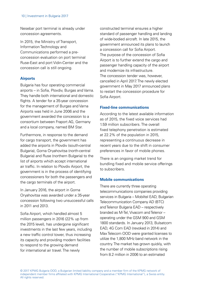Nesebar port terminal is already under concession agreements.

In 2015, the Ministry of Transport, Information Technology and Communications performed a preconcession evaluation on port terminal Ruse-East and port Vidin-Center and the concession call is still ongoing.

### **Airports**

Bulgaria has four operating commercial airports – in Sofia, Plovdiv, Burgas and Varna. They handle both international and domestic flights. A tender for a 35-year concession for the management of Burgas and Varna Airports was held in June 2006 and the government awarded the concession to a consortium between Fraport AG, Germany and a local company, named BM Star.

Furthermore, in response to the demand for cargo transport, the government has added the airports in Plovdiv (south-central Bulgaria), Gorna Oryahovitsa (north-central Bulgaria) and Ruse (northern Bulgaria) to the list of airports which accept international air traffic. In relation to Plovdiv Airport, the government is in the process of identifying concessioners for both the passengers and the cargo terminals of the airport.

In January 2016, the airport in Gorna Oryahovitsa was awarded under a 35-year concession following two unsuccessful calls in 2011 and 2013.

Sofia Airport, which handled almost 5 million passengers in 2016 (22% up from the 2015 level), has undergone significant investments in the last few years, including a new traffic control tower, thus increasing its capacity and providing modern facilities to respond to the growing demand for international air travel. The newly

constructed terminal ensures a higher standard of passenger handling and landing of wide-bodied aircraft. In late 2015, the government announced its plans to launch a concession call for Sofia Airport. The purpose of the concession of Sofia Airport is to further extend the cargo and passenger handling capacity of the airport and modernize its infrastructure. The concession tender was, however, cancelled in April 2017. The newly elected government in May 2017 announced plans to restart the concession procedure for Sofia Airport.

## **Fixed-line communications**

According to the latest available information as of 2015, the fixed voice services had 1.59 million subscribers. The overall fixed telephony penetration is estimated at 22.2% of the population in 2015, representing a continuous decrease in recent years due to the shift in consumer preferences in favor of mobile phones.

There is an ongoing market trend for bundling fixed and mobile service offerings to subscribers.

## **Mobile communications**

There are currently three operating telecommunications companies providing services in Bulgaria – Mobiltel EAD, Bulgarian Telecommunication Company AD (BTC) and Telenor Bulgaria EAD – respectively branded as M-Tel, Vivacom and Telenor – operating under the GSM 900 and GSM 1800 standards. In January 2013, Bulsatcom EAD, 4G Com EAD (revoked in 2014) and Max Telecom OOD were granted licenses to utilize the 1,800 MHz band network in the country. The market has grown quickly, with the number of mobile subscriptions rising from 8.2 million in 2006 to an estimated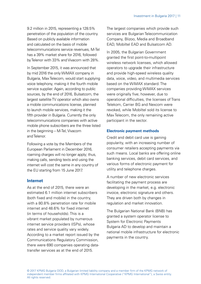<span id="page-10-0"></span>9.2 million in 2015, representing a 128.5% penetration of the population of the country. Based on publicly available information and calculated on the basis of mobile telecommunications service revenues, M-Tel has a 39% market share for 2016, followed by Telenor with 33% and Vivacom with 28%.

In September 2015, it was announced that by mid 2016 the only WiMAX company in Bulgaria, Max Telecom, would start supplying voice telephony, making it the fourth mobile service supplier. Again, according to public sources, by the end of 2016, Bulsatcom, the largest satellite TV operator which also owns a mobile communications license, planned to launch mobile services, making it the fifth provider in Bulgaria. Currently the only telecommunications companies with active mobile phone subscribers are the three listed in the beginning – M-Tel, Vivacom and Telenor.

Following a vote by the Members of the European Parliament in December 2016, roaming charges will no longer apply; thus, making calls, sending texts and using the internet will cost the same in any country of the EU starting from 15 June 2017.

## **Internet**

As at the end of 2015, there were an estimated 6.1 million internet subscribers (both fixed and mobile) in the country, with a 80.8% penetration rate for mobile internet and 48.6% for fixed internet (in terms of households). This is a vibrant market populated by numerous internet service providers (ISPs), whose rates and service quality vary widely. According to a market report issued by the Communications Regulatory Commission, there were 690 companies operating datatransfer services as at the end of 2015.

The largest companies which provide such services are Bulgarian Telecommunication Company, Blizoo, Media and Broadband EAD, Mobiltel EAD and Bulsatcom AD.

In 2005, the Bulgarian Government granted the first point-to-multipoint wireless network licenses, which allowed operators to upgrade their infrastructure and provide high-speed wireless quality data, voice, video, and multimedia services based on the WiMAX standard. The companies providing WiMAX services were originally five; however, due to operational difficulties, the licenses of Trans Telekom, Carrier BG and Nexcom were revoked, while Mobiltel sold its license to Max Telecom, the only remaining active participant in the sector.

### **Electronic payment methods**

Credit and debit card use is gaining popularity, with an increasing number of consumer retailers accepting payments via such means. Local banks are offering online banking services, debit card services, and various forms of electronic payment for utility and telephone charges.

A number of new electronic services facilitating the payment process are developing in the market, e.g. electronic invoice, electronic signature and others. They are driven both by changes in regulation and market innovation.

The Bulgarian National Bank (BNB) has granted a system operator license to System for Electronic Payments Bulgaria AD to develop and maintain a national mobile infrastructure for electronic payments in the country.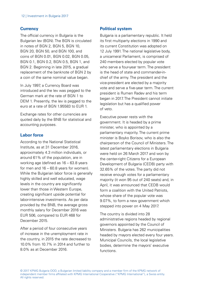## <span id="page-11-0"></span>**Currency**

The official currency in Bulgaria is the Bulgarian lev (BGN). The BGN is circulated in notes of BGN 2, BGN 5, BGN 10, BGN 20, BGN 50, and BGN 100, and coins of BGN 0.01, BGN 0.02, BGN 0.05, BGN 0.1, BGN 0.2, BGN 0.5, BGN 1, and BGN 2. Beginning in late 2015, a gradual replacement of the banknote of BGN 2 by a coin of the same nominal value began.

In July 1997, a Currency Board was introduced and the lev was pegged to the German mark at the rate of BGN 1 to DEM 1. Presently, the lev is pegged to the euro at a rate of BGN 1.95583 to EUR 1.

Exchange rates for other currencies are quoted daily by the BNB for statistical and accounting purposes.

## **Labor force**

According to the National Statistical Institute, as at 31 December 2016, approximately 4.3 million individuals, or around 61% of the population, are in working age (defined as 16 – 63.8 years for men and 16 – 60.8 years for women). While the Bulgarian labor force is generally highly skilled and well educated, wage levels in the country are significantly lower than those in Western Europe, creating significant upside potential for labor-intensive investments. As per data provided by the BNB, the average gross monthly salary for December 2016 was EUR 506, compared to EUR 468 for December 2015.

After a period of four consecutive years of increase in the unemployment rate in the country, in 2015 the rate decreased to 10.0% from 10.7% in 2014 and further to 8.0% as at December 2016.

## **Political system**

Bulgaria is a parliamentary republic. It held its first multiparty elections in 1990 and its current Constitution was adopted on 12 July 1991. The national legislative body, a unicameral Parliament, is comprised of 240 members elected by popular vote who serve a four-year term. The president is the head of state and commander-inchief of the army. The president and the vice-president are elected by a majority vote and serve a five-year term. The current president is Rumen Radev and his term began in 2017. The President cannot initiate legislation but has a qualified power of veto.

Executive power rests with the government. It is headed by a prime minister, who is appointed by a parliamentary majority. The current prime minister is Boyko Borisov, who is also the chairperson of the Council of Ministers. The latest parliamentary elections in Bulgaria were held on 26 March 2017 and won by the center-right Citizens for a European Development of Bulgaria (CEDB) party with 32.65% of the votes. The party did not receive enough votes for a parliamentary majority (it won 95 out of 240 seats) and, in April, it was announced that CEDB would form a coalition with the United Patriots whose share of the popular vote was 9.07%, to form a new government which stepped into power on 4 May 2017.

The country is divided into 28 administrative regions headed by regional governors appointed by the Council of Ministers. Bulgaria has 262 municipalities headed by mayors elected every four years. Municipal Councils, the local legislative bodies, determine the mayors' executive functions.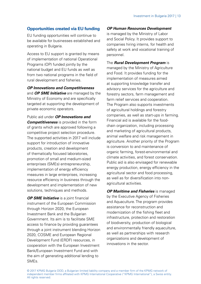# <span id="page-12-0"></span>**Opportunities created via EU funding**

EU funding opportunities will continue to be available for businesses established and operating in Bulgaria.

Access to EU support is granted by means of implementation of national Operational Programs (OP) funded jointly by the national budget and EU funds as well as from two national programs in the field of rural development and fisheries.

#### **OP Innovations and Competitiveness**

and **OP SME Initiative** are managed by the Ministry of Economy and are specifically targeted at supporting the development of private economic operators.

Public aid under **OP Innovations and Competitiveness** is provided in the form of grants which are approved following a competitive project selection procedure. The supported activities in 2017 will include support for introduction of innovative products, creation and development of thematically focused laboratories, promotion of small and medium-sized enterprises (SMEs) entrepreneurship, implementation of energy efficiency measures in large enterprises, increasing resource efficiency in business through the development and implementation of new solutions, techniques and methods.

**OP SME Initiative** is a joint financial instrument of the European Commission through Horizon 2020, the European Investment Bank and the Bulgarian Government. Its aim is to facilitate SME access to finance by providing guarantees through a joint instrument blending Horizon 2020, COSME and European Regional Development Fund (ERDF) resources, in cooperation with the European Investment Bank/European Investment Fund and with the aim of generating additional lending to SMEs.

#### **OP Human Resources Development**

is managed by the Ministry of Labor and Social Policy. It provides support to companies hiring interns, for health and safety at work and vocational training of personnel.

The **Rural Development Program** is managed by the Ministry of Agriculture and Food. It provides funding for the implementation of measures aimed at supporting knowledge transfer and advisory services for the agriculture and forestry sectors, farm management and farm relief services and cooperation. The Program also supports investments of agricultural holdings and forestry companies, as well as start-ups in farming. Financial aid is available for the foodchain organization, including processing and marketing of agricultural products, animal welfare and risk management in agriculture. Another priority of the Program is conversion to and maintenance of organic farming, forest-environmental and climate activities, and forest conservation. Public aid is also envisaged for renewable energy production, energy efficiency in the agricultural sector and food processing, as well as for diversification into nonagricultural activities.

**OP Maritime and Fisheries** is managed by the Executive Agency of Fisheries and Aquaculture. The program provides assistance for reconstruction and modernization of the fishing fleet and infrastructure, protection and restoration of biodiversity, production of biological and environmentally friendly aquaculture, as well as partnerships with research organizations and development of innovations in the sector.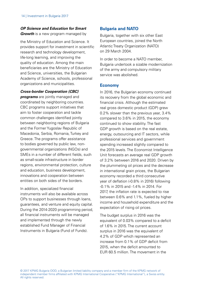## <span id="page-13-0"></span>**OP Science and Education for Smart Growth** is a new program managed by

the Ministry of Education and Science. It provides support for investment in scientific research and technology development, life-long learning, and improving the quality of education. Among the main beneficiaries are the Ministry of Education and Science, universities, the Bulgarian Academy of Science, schools, professional organizations and municipalities.

**Cross-border Cooperation (CBC)** 

**programs** are jointly managed and coordinated by neighboring countries. CBC programs support initiatives that aim to foster cooperation and tackle common challenges identified jointly between neighboring regions of Bulgaria and the Former Yugoslav Republic of Macedonia, Serbia, Romania, Turkey and Greece. The programs offer assistance to bodies governed by public law, nongovernmental organizations (NGOs) and SMEs in a number of different fields, such as small-scale infrastructure in border regions, environmental protection, culture and education, business development, innovations and cooperation between entities on both sides of the borders.

In addition, specialized financial instruments will also be available across OPs to support businesses through loans, guarantees, and venture and equity capital. During the 2014-2020 programming period, all financial instruments will be managed and implemented through the newly established Fund Manager of Financial Instruments in Bulgaria (Fund of Funds).

# **Bulgaria and NATO**

Bulgaria, together with six other East European countries, joined the North Atlantic Treaty Organization (NATO) on 29 March 2004.

In order to become a NATO member, Bulgaria undertook a sizable modernization of the army and compulsory military service was abolished.

## **Economy**

In 2016, the Bulgarian economy continued its recovery from the global economic and financial crisis. Although the estimated real gross domestic product (GDP) grew 0.2% slower than the previous year, 3.4% compared to 3.6% in 2015, the economy continued to show stability. The fast GDP growth is based on the real estate, energy, outsourcing and IT sectors, while professional services and government spending increased slightly compared to the 2015 levels. The Economist Intelligence Unit forecasts an average real GDP growth of 3.2% between 2016 and 2020. Driven by the plummeting oil prices and the decrease in international grain prices, the Bulgarian economy recorded a third consecutive year of deflation (-0.8% in 2016) following -0.1% in 2015 and -1.4% in 2014. For 2017, the inflation rate is expected to rise between 0.6% and 1.1%, fueled by higher income and household expenditure and the expectation of rising oil prices.

The budget surplus in 2016 was the equivalent of 0.03% compared to a deficit of 1.6% in 2015. The current account surplus in 2016 was the equivalent of 4.2% of GDP which represented an increase from 0.1% of GDP deficit from 2015, when the deficit amounted to EUR 60.5 million. The movement in the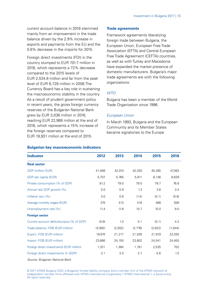current account balance in 2016 stemmed mainly from an improvement in the trade balance driven by the 2.9% increase in exports and payments from the EU and the 0.6% decrease in the imports for 2015.

Foreign direct investments (FDI) in the country slumped to EUR 701.7 million in 2016, which represents a 72% decrease compared to the 2015 levels of EUR 2,534.8 million and far from the peak level of EUR 6,728 million in 2008.The Currency Board has a key role in sustaining the macroeconomic stability in the country. As a result of prudent government policy in recent years, the gross foreign currency reserves of the Bulgarian National Bank grew by EUR 3,036 million in 2016, reaching EUR 22,968 million at the end of 2016, which represents a 15% increase of the foreign reserves compared to EUR 19,931 million at the end of 2015.

#### **Trade agreements**

Framework agreements liberalizing foreign trade between Bulgaria, the European Union, European Free Trade Association (EFTA) and Central European Free Trade Agreement (CEFTA) countries, as well as with Turkey and Macedonia have expanded the market presence of domestic manufacturers. Bulgaria's major trade agreements are with the following organizations:

### **WTO**

Bulgaria has been a member of the World Trade Organization since 1996.

#### European Union

In March 1993, Bulgaria and the European Community and its Member States became signatories to the Europe

| <b>Indicator</b>                           | 2012    | 2013    | 2014    | 2015    | 2016     |
|--------------------------------------------|---------|---------|---------|---------|----------|
| <b>Real sector</b>                         |         |         |         |         |          |
| <b>GDP</b> (million EUR)                   | 41,946  | 42,010  | 42,250  | 45,285  | 47,363   |
| GDP per capita (EUR)                       | 5,707   | 5,765   | 5,911   | 6,136   | 6,629    |
| Private consumption (% of GDP)             | 81.2    | 79.0    | 79.5    | 78.7    | 76.6     |
| Annual real GDP growth (%)                 | 0.0     | 0.9     | 1.3     | 3.6     | 3.4      |
| Inflation (av.) $(% )$                     | 3.0     | 0.9     | (1.4)   | (0.1)   | (0.8)    |
| Average monthly wages (EUR)                | 374     | 413     | 418     | 468     | 506      |
| Unemployment rate (%)                      | 11.4    | 11.8    | 10.7    | 10.0    | 8.0      |
| <b>Foreign sector</b>                      |         |         |         |         |          |
| Current account deficit/surplus (% of GDP) | (0.9)   | 1.3     | 0.1     | (0.1)   | 4.2      |
| Trade balance, FOB (EUR million)           | (3,992) | (2,932) | (2,776) | (2,622) | (1, 844) |
| Export, FOB (EUR million)                  | 19,674  | 21,217  | 21,026  | 21,919  | 22,555   |
| Import, FOB (EUR million)                  | 23,666  | 24,150  | 23,802  | 24,541  | 24,400   |
| Foreign direct investments (EUR million)   | 1,321   | 1,384   | 1,161   | 2,535   | 702      |
| Foreign direct investments % (GDP)         | 3.1     | 3.3     | 2.7     | 5.6     | 1.5      |
| Courses Dulessian Mational Dool:           |         |         |         |         |          |

#### **Bulgarian key macroeconomic indicators**

Source: Bulgarian National Bank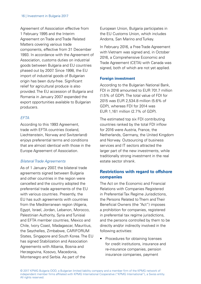<span id="page-15-0"></span>Agreement of Association effective from 1 February 1995 and the Interim Agreement on Trade and Trade Related Matters covering various trade components, effective from 31 December 1993. In accordance with the Agreement of Association, customs duties on industrial goods between Bulgaria and EU countries phased out by 2007. Since 1998, the EU import of industrial goods of Bulgarian origin has been duty-free. Significant relief for agricultural produce is also provided. The EU accession of Bulgaria and Romania in January 2007 expanded the export opportunities available to Bulgarian producers.

## **FFTA**

According to this 1993 Agreement, trade with EFTA countries (Iceland, Liechtenstein, Norway and Switzerland) enjoys preferential terms and conditions that are almost identical with those in the Europe Agreement of Association.

### Bilateral Trade Agreements

As of 1 January 2007, the bilateral trade agreements signed between Bulgaria and other countries in the region were cancelled and the country adopted the preferential trade agreements of the EU with various countries. Presently, the EU has such agreements with countries from the Mediterranean region (Algeria, Egypt, Israel, Jordan, Lebanon, Morocco, Palestinian Authority, Syria and Tunisia) and EFTA member countries, Mexico and Chile, Ivory Coast, Madagascar, Mauritius, the Seychelles, Zimbabwe, CARIFORUM States, Singapore and South Korea. The EU has signed Stabilization and Association Agreements with Albania, Bosnia and Herzegovina, Kosovo, Macedonia, Montenegro and Serbia. As part of the

European Union, Bulgaria participates in the EU Customs Union, which includes Andorra, San Marino and Turkey.

In February 2016, a Free Trade Agreement with Vietnam was signed and, in October 2016, a Comprehensive Economic and Trade Agreement (CETA) with Canada was signed, both of which are not yet applied.

### **Foreign investment**

According to the Bulgarian National Bank, FDI in 2016 amounted to FUR 701.7 million (1.5% of GDP). The total value of FDI for 2015 was EUR 2,534.8 million (5.6% of GDP), whereas FDI for 2014 was EUR 1,161 million (2.7% of GDP).

The estimated top six FDI contributing countries ranked by the total FDI inflow for 2016 were Austria, France, the Netherlands, Germany, the United Kingdom and Norway. Outsourcing of business services and IT sectors attracted the larger part of the new investments, while traditionally strong investment in the real estate sector shrank.

# **Restrictions with regard to offshore companies**

The Act on the Economic and Financial Relations with Companies Registered in Preferential Tax Regime Jurisdictions, the Persons Related to Them and Their Beneficial Owners (the "Act") imposes a prohibition for companies, registered in preferential tax regime jurisdictions, and the persons controlled by them to be directly and/or indirectly involved in the following activities:

• Procedures for obtaining licenses for credit institutions, insurance and re-insurance companies, pension insurance companies, payment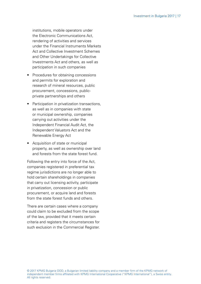institutions, mobile operators under the Electronic Communications Act, rendering of activities and services under the Financial Instruments Markets Act and Collective Investment Schemes and Other Undertakings for Collective Investments Act and others, as well as participation in such companies

- Procedures for obtaining concessions and permits for exploration and research of mineral resources, public procurement, concessions, publicprivate partnerships and others
- Participation in privatization transactions, as well as in companies with state or municipal ownership, companies carrying out activities under the Independent Financial Audit Act, the Independent Valuators Act and the Renewable Energy Act
- Acquisition of state or municipal property, as well as ownership over land and forests from the state forest fund.

Following the entry into force of the Act, companies registered in preferential tax regime jurisdictions are no longer able to hold certain shareholdings in companies that carry out licensing activity, participate in privatization, concession or public procurement, or acquire land and forests from the state forest funds and others.

There are certain cases where a company could claim to be excluded from the scope of the law, provided that it meets certain criteria and registers the circumstances for such exclusion in the Commercial Register.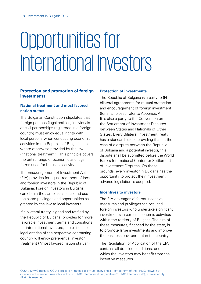# <span id="page-17-0"></span>Opportunities for International Investors

## **Protection and promotion of foreign investments**

## **National treatment and most favored nation status**

The Bulgarian Constitution stipulates that foreign persons (legal entities, individuals or civil partnerships registered in a foreign country) must enjoy equal rights with local persons when conducting economic activities in the Republic of Bulgaria except where otherwise provided by the law ("national treatment"). This principle covers the entire range of economic and legal forms used for business activity.

The Encouragement of Investment Act (EIA) provides for equal treatment of local and foreign investors in the Republic of Bulgaria. Foreign investors in Bulgaria can obtain the same assistance and use the same privileges and opportunities as granted by the law to local investors.

If a bilateral treaty, signed and ratified by the Republic of Bulgaria, provides for more favorable investment terms and conditions for international investors, the citizens or legal entities of the respective contracting country will enjoy preferential investor treatment ("most favored nation status").

## **Protection of investments**

The Republic of Bulgaria is a party to 64 bilateral agreements for mutual protection and encouragement of foreign investment (for a list please refer to Appendix A). It is also a party to the Convention on the Settlement of Investment Disputes between States and Nationals of Other States. Every Bilateral Investment Treaty has a standard clause providing that, in the case of a dispute between the Republic of Bulgaria and a potential investor, this dispute shall be submitted before the World Bank's International Center for Settlement of Investment Disputes. On these grounds, every investor in Bulgaria has the opportunity to protect their investment if adverse legislation is adopted.

#### **Incentives to investors**

The EIA envisages different incentive measures and privileges for local and foreign investors who undertake significant investments in certain economic activities within the territory of Bulgaria. The aim of these measures, financed by the state, is to promote large investments and improve the business environment in the country.

The Regulation for Application of the EIA contains all detailed conditions, under which the investors may benefit from the incentive measures.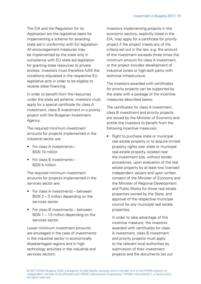The EIA and the Regulation for its Application are the legislative basis for implementing a scheme for awarding state aid in conformity with EU legislation. All encouragement measures may be implemented by the state only in compliance with EU state aid legislation for granting state resources to private entities. Investors must therefore fulfill the conditions stipulated in the respective EU legislative acts in order to be eligible to receive state financing.

In order to benefit from the resources under the state aid scheme, investors must apply for a special certificate for class A investment, class B investment or a priority project with the Bulgarian Investment Agency.

The required minimum investment amounts for projects implemented in the industrial sector are:

- For class A investments BGN 10 million
- For class B investments BGN 5 million.

The required minimum investment amounts for projects implemented in the services sector are:

- For class A investments between BGN 2 – 3 million depending on the services sector
- For class B investments between  $BGM 1 - 1.5$  million depending on the services sector.

Lower minimum investment amounts are envisaged in the case of investments in the industrial sector in economically disadvantaged regions and in high technology activities in the industrial and services sectors.

Investors implementing projects in the economic sectors, explicitly listed in the EIA, may apply for a certificate for priority project if the project meets any of the criteria set out in the law, e.g. the amount of the investment exceeds three times the minimum amount for class A investment, or the project includes development of industrial zones or high-tech parks with technical infrastructure.

The investors awarded with certificates for priority projects can be supported by the state with a package of the incentive measures described below.

The certificates for class A investment, class B investment and priority projects are issued by the Minister of Economy and entitle the investors to benefit from the following incentive measures:

• Right to purchase state or municipal real estate property or to acquire limited property rights over state or municipal real estate property, located near the investment site, without tender procedures, upon evaluation of the real estate property by at least two licensed independent valuers and upon written consent of the Minister of Economy and the Minister of Regional Development and Public Works for those real estate properties owned by the State, and approval of the respective municipal council for any municipal real estate properties.

In order to take advantage of this incentive measure, the investors awarded with certificates for class A investment, class B investment and priority projects must apply to the relevant local authorities by submission of their investment projects and the documents set out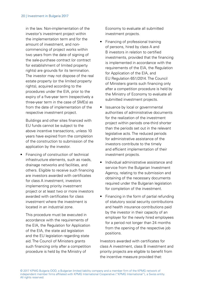in the law. Non-implementation of the investor's investment project within the implementation term and for the amount of investment, and noncommencing of project works within two years from the date of signing of the sale-purchase contract (or contract for establishment of limited property rights) are grounds for its termination. The investor may not dispose of the real estate property (or the limited property rights), acquired according to the procedures under the EIA, prior to the expiry of a five-year term (respectively a three-year term in the case of SMEs) as from the date of implementation of the respective investment project.

Buildings and other sites financed with EU funds cannot be subject to the above incentive transactions, unless 10 years have expired from the completion of the construction to submission of the application by the investor.

• Financing of construction of technical infrastructure elements, such as roads, drainage networks and facilities, and others. Eligible to receive such financing are investors awarded with certificates for class A investment, investors implementing priority investment project or at least two or more investors awarded with certificates for class investment where the investment is located in an industrial zone.

This procedure must be executed in accordance with the requirements of the EIA, the Regulation for Application of the EIA, the state aid legislation and the EU legislation regarding state aid. The Council of Ministers grants such financing only after a competition procedure is held by the Ministry of

Economy to evaluate all submitted investment projects.

- Financing of professional training of persons, hired by class A and B investors in relation to certified investments, provided that the financing is implemented in accordance with the requirements of the EIA, the Regulation for Application of the EIA, and EU Regulation 651/2014. The Council of Ministers grants such financing only after a competition procedure is held by the Ministry of Economy to evaluate all submitted investment projects.
- Issuance by local or governmental authorities of administrative documents for the realization of the investment project within periods one-third shorter than the periods set out in the relevant legislative acts. The reduced periods for administrative assistance of the investors contribute to the timely and efficient implementation of their investment projects.
- Individual administrative assistance and service from the Bulgarian Investment Agency, relating to the submission and obtaining of the necessary documents required under the Bulgarian legislation for completion of the investment.
- Financing in the form of partial refunding of statutory social security contributions and health insurance contributions paid by the investor in their capacity of an employer for the newly hired employees for a period not longer than 24 months from the opening of the respective job positions.

Investors awarded with certificates for class A investment, class B investment and priority projects are eligible to benefit from the incentive measure provided that: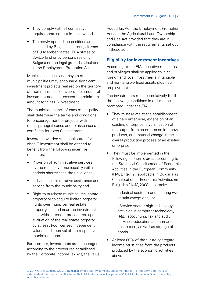- <span id="page-20-0"></span>• They comply with all cumulative requirements set out in the law and
- The newly opened job positions are occupied by Bulgarian citizens, citizens of EU Member States, EEA states or Switzerland or by persons residing in Bulgaria on the legal grounds stipulated in the Employment Promotion Act.

Municipal councils and mayors of municipalities may encourage significant investment projects realized on the territory of their municipalities where the amount of investment does not exceed the minimum amount for class B investment.

The municipal council of each municipality shall determine the terms and conditions for encouragement of projects with municipal significance and for issuance of a certificate for class C investment.

Investors awarded with certificates for class C investment shall be entitled to benefit from the following incentive measures:

- Provision of administrative services by the respective municipality within periods shorter than the usual ones
- Individual administrative assistance and service from the municipality and
- Right to purchase municipal real estate property or to acquire limited property rights over municipal real estate property, located near the investment site, without tender procedures, upon evaluation of the real estate property by at least two licensed independent valuers and approval of the respective municipal council.

Furthermore, investments are encouraged according to the procedures established by the Corporate Income Tax Act, the Value Added Tax Act, the Employment Promotion Act and the Agricultural Land Ownership and Use Act provided that they are in compliance with the requirements set out in these acts.

# **Eligibility for investment incentives**

According to the EIA, incentive measures and privileges shall be applied to initial foreign and local investments in tangible and non-tangible fixed assets plus new employment.

The investments must cumulatively fulfill the following conditions in order to be promoted under the EIA:

- They must relate to the establishment of a new enterprise, extension of an existing enterprise, diversification of the output from an enterprise into new products, or a material change in the overall production process of an existing enterprise
- They must be implemented in the following economic areas, according to the Statistical Classification of Economic Activities in the European Community (NACE Rev. 2), applicable in Bulgaria as Classification of Economic Activities (in Bulgarian "KИД 2008"), namely:
	- Industrial sector: manufacturing (with certain exceptions); or
	- vService sector: high technology activities in computer technology, R&D, accounting, tax and audit services, education and human health care, as well as storage of goods
- At least 80% of the future aggregate income must arise from the products produced by the economic activities above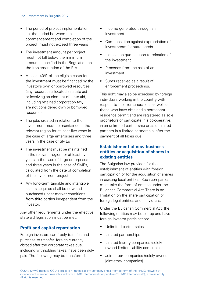#### <span id="page-21-0"></span>22 | Investment in Bulgaria 2017

- The period of project implementation, i.e. the period between the commencement and completion of the project, must not exceed three years
- The investment amount per project must not fall below the minimum amounts specified in the Regulation on the Implementation of the EIA
- At least 40% of the eligible costs for the investment must be financed by the investor's own or borrowed resources (any resources allocated as state aid or involving an element of state aid, including retained corporation tax, are not considered own or borrowed resources)
- The jobs created in relation to the investment must be maintained in the relevant region for at least five years in the case of large enterprises and three years in the case of SMEs
- The investment must be maintained in the relevant region for at least five years in the case of large enterprises and three years in the case of SMEs, calculated from the date of completion of the investment project
- Any long-term tangible and intangible assets acquired shall be new and purchased under market conditions from third parties independent from the investor.

Any other requirements under the effective state aid legislation must be met.

## **Profit and capital repatriation**

Foreign investors can freely transfer, and purchase to transfer, foreign currency abroad after the corporate taxes due, including withholding taxes, have been duly paid. The following may be transferred:

- Income generated through an investment
- Compensation against expropriation of investments for state needs
- Liquidation quotas upon termination of the investment
- Proceeds from the sale of an investment
- Sums received as a result of enforcement proceedings.

This right may also be exercised by foreign individuals working in the country with respect to their remuneration, as well as those who have obtained a permanent residence permit and are registered as sole proprietors or participate in a co-operative, in an unlimited partnership or as unlimited partners in a limited partnership, after the payment of all taxes due.

## **Establishment of new business entities or acquisition of shares in existing entities**

The Bulgarian law provides for the establishment of entities with foreign participation or for the acquisition of shares in existing local entities. Such companies must take the form of entities under the Bulgarian Commercial Act. There is no limitation on the share participation of foreign legal entities and individuals.

Under the Bulgarian Commercial Act, the following entities may be set up and have foreign investor participation:

- Unlimited partnerships
- Limited partnerships
- Limited liability companies (solelyowned limited liability companies)
- Joint-stock companies (solely-owned joint-stock companies)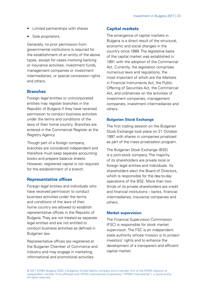- <span id="page-22-0"></span>• Limited partnerships with shares
- Sole proprietors.

Generally, no prior permission from governmental institutions is required for the establishment of an entity of the above types, except for cases involving banking or insurance activities, investment funds management companies or investment intermediaries, or special concession rights and others.

## **Branches**

Foreign legal entities or unincorporated entities may register branches in the Republic of Bulgaria if they have received permission to conduct business activities under the terms and conditions of the laws of their home country. Branches are entered in the Commercial Register at the Registry Agency.

Though part of a foreign company, branches are considered independent and therefore must keep separate accounting books and prepare balance sheets. However, registered capital is not required for the establishment of a branch.

## **Representative offices**

Foreign legal entities and individuals who have received permission to conduct business activities under the terms and conditions of the laws of their home country are allowed to establish representative offices in the Republic of Bulgaria. They are not treated as separate legal entities and are not entitled to conduct business activities as defined in Bulgarian law.

Representative offices are registered at the Bulgarian Chamber of Commerce and Industry and may engage in marketing, informational and promotional activities.

# **Capital markets**

The emergence of capital markets in Bulgaria is a direct result of the structural, economic and social changes in the country since 1989. The legislative basis of the capital market was established in 1991 with the adoption of the Commercial Act. Currently, the legislation comprises numerous laws and regulations, the most important of which are the Markets in Financial Instruments Act, the Public Offering of Securities Act, the Commercial Act, and ordinances on the activities of investment companies, management companies, investment intermediaries and others.

## **Bulgarian Stock Exchange**

The first trading session on the Bulgarian Stock Exchange took place on 21 October 1997 with shares in companies privatized as part of the mass privatization program.

The Bulgarian Stock Exchange (BSE) is a joint-stock company. The majority of its shareholders are private local or foreign legal entities and individuals. Its shareholders elect the Board of Directors, which is responsible for the day-to-day operations of the BSE. More than twothirds of its private shareholders are credit and financial institutions – banks, financial intermediaries, insurance companies and others.

### **Market supervision**

The Financial Supervision Commission (FSC) is responsible for stock market supervision. The FSC is an independent state authority whose mission is to protect investors' rights and to enhance the development of a transparent and efficient capital market.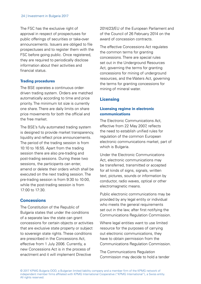<span id="page-23-0"></span>The FSC has the exclusive right of approval in respect of prospectuses for public offerings of securities or take-over announcements. Issuers are obliged to file prospectuses and to register them with the FSC before going public. Once registered, they are required to periodically disclose information about their activities and financial status.

#### **Trading procedures**

The BSE operates a continuous orderdriven trading system. Orders are matched automatically according to time and price priority. The minimum lot size is currently one share. There are daily limits on share price movements for both the official and the free market.

The BSE's fully automated trading system is designed to provide market transparency, liquidity and reflect price announcements. The period of the trading session is from 10:10 to 16:55. Apart from the trading session there are also pre-trading and post-trading sessions. During these two sessions, the participants can enter. amend or delete their orders which shall be executed on the next trading session. The pre-trading session is from 9:30 to 10:00, while the post-trading session is from 17:00 to 17:30.

## **Concessions**

The Constitution of the Republic of Bulgaria states that under the conditions of a separate law the state can grant concessions for certain objects or activities that are exclusive state property or subject to sovereign state rights. These conditions are prescribed in the Concessions Act, effective from 1 July 2006. Currently, a new Concessions Act is in the process of enactment and it will implement Directive

2014/23/EU of the European Parliament and of the Council of 26 February 2014 on the award of concession contracts.

The effective Concessions Act regulates the common terms for granting concessions. There are special rules set out in the Underground Resources Act, governing the terms for granting concessions for mining of underground resources, and the Waters Act, governing the terms for granting concessions for mining of mineral water.

## **Licensing**

## **Licensing regime in electronic communications**

The Electronic Communications Act, effective from 22 May 2007 reflects the need to establish unified rules for regulation of the common European electronic communications market, part of which is Bulgaria.

Under the Electronic Communications Act, electronic communications may be transferred, transmitted or accepted for all kinds of signs, signals, written text, pictures, sounds or information by conductor, radio waves, optical or other electromagnetic means.

Public electronic communications may be provided by any legal entity or individual who meets the general requirements set out in the law, after first notifying the Communications Regulation Commission.

Where legal entities want to use limited resource for the purposes of carrying out electronic communications, they have to obtain permission from the Communications Regulation Commission.

The Communications Regulation Commission may decide to hold a tender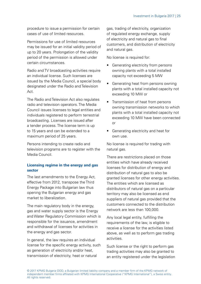procedure to issue a permission for certain cases of use of limited resources.

Permissions for use of limited resources may be issued for an initial validity period of up to 20 years. Prolongation of the validity period of the permission is allowed under certain circumstances.

Radio and TV broadcasting activities require an individual license. Such licenses are issued by the Media Council, a special body designated under the Radio and Television Act.

The Radio and Television Act also regulates radio and television operators. The Media Council issues licenses to legal entities and individuals registered to perform terrestrial broadcasting. Licenses are issued after a tender process. The license term is up to 15 years and can be extended to a maximum period of 25 years.

Persons intending to create radio and television programs are to register with the Media Council.

## **Licensing regime in the energy and gas sector**

The last amendments to the Energy Act, effective from 2012, transpose the Third Energy Package into Bulgarian law thus opening the Bulgarian energy and gas market to liberalization.

The main regulatory body in the energy, gas and water supply sector is the Energy and Water Regulatory Commission which is responsible for the issuance, amendment and withdrawal of licenses for activities in the energy and gas sector.

In general, the law requires an individual license for the specific energy activity, such as generation of electricity and/or heat, transmission of electricity, heat or natural

gas, trading of electricity, organization of regulated energy exchange, supply of electricity and natural gas to final customers, and distribution of electricity and natural gas

No license is required for:

- Generating electricity from persons owning plants with a total installed capacity not exceeding 5 MW
- Generating heat from persons owning plants with a total installed capacity not exceeding 10 MW or
- Transmission of heat from persons owning transmission networks to which plants with a total installed capacity not exceeding 10 MW have been connected or
- Generating electricity and heat for own use.

No license is required for trading with natural gas.

There are restrictions placed on those entities which have already received licenses for distribution of energy and distribution of natural gas to also be granted licenses for other energy activities. The entities which are licensed as distributors of natural gas on a particular territory may also be licensed as end suppliers of natural gas provided that the customers connected to the distribution network are less than 100,000.

Any local legal entity, fulfilling the requirements of the law, is eligible to receive a license for the activities listed above, as well as to perform gas trading activities.

Such license or the right to perform gas trading activities may also be granted to an entity registered under the legislation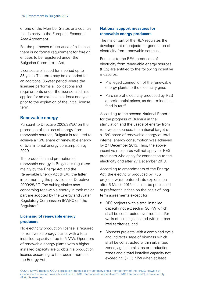<span id="page-25-0"></span>of one of the Member States or a country that is party to the European Economic Area Agreement.

For the purposes of issuance of a license, there is no formal requirement for foreign entities to be registered under the Bulgarian Commercial Act.

Licenses are issued for a period up to 35 years. The term may be extended for an additional 35-year period where the licensee performs all obligations and requirements under the license, and has applied for an extension at least one year prior to the expiration of the initial license term.

## **Renewable energy**

Pursuant to Directive 2009/28/EC on the promotion of the use of energy from renewable sources, Bulgaria is required to achieve a 16% share of renewable energy of total internal energy consumption by 2020.

The production and promotion of renewable energy in Bulgaria is regulated mainly by the Energy Act and the Renewable Energy Act (REA), the latter implementing the provisions of Directive 2009/28/EC. The sublegislative acts concerning renewable energy in their major part are adopted by the Energy and Water Regulatory Commission (EWRC or "the Regulator").

## **Licensing of renewable energy producers**

No electricity production license is required for renewable energy plants with a total installed capacity of up to 5 MW. Operators of renewable energy plants with a higher installed capacity are to obtain a production license according to the requirements of the Energy Act.

## **National support measures for renewable energy producers**

The major part of the REA regulates the development of projects for generation of electricity from renewable sources.

Pursuant to the REA, producers of electricity from renewable energy sources (RES) are entitled to the following incentive measures:

- Privileged connection of the renewable energy plants to the electricity grids
- Purchase of electricity produced by RES at preferential prices, as determined in a feed-in-tariff.

According to the second National Report for the progress of Bulgaria in the stimulation and the usage of energy from renewable sources, the national target of a 16% share of renewable energy of total internal energy consumption was achieved by 27 December 2013. Thus, the above incentive measures will not apply for RES producers who apply for connection to the electricity grid after 27 December 2013.

According to amendments of the Energy Act, the electricity produced by RES projects which entered into exploitation after 6 March 2015 shall not be purchased at preferential prices on the basis of longterm agreements except for:

- RES projects with a total installed capacity not exceeding 30 kW which shall be constructed over roofs and/or walls of buildings located within urbanized territories, and
- Biomass projects with a combined cycle and indirect usage of biomass which shall be constructed within urbanized zones, agricultural sites or production zones and a total installed capacity not exceeding: (i) 1.5 MW when at least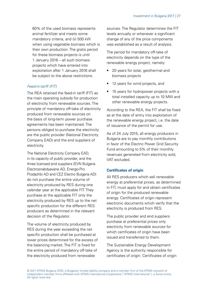60% of the used biomass represents animal fertilizer and meets some mandatory criteria, and (ii) 500 kW when using vegetable biomass which is their own production. The gratis period for these biomass projects is until 1 January 2016 – all such biomass projects which have entered into exploitation after 1 January 2016 shall be subject to the above restrictions.

## Feed-in-tariff (FIT)

The REA retained the feed-in tariff (FIT) as the main operating subsidy for production of electricity from renewable sources. The principle of mandatory off-take of electricity produced from renewable sources on the basis of long-term power purchase agreements has been maintained. The persons obliged to purchase the electricity are the public provider (National Electricity Company EAD) and the end suppliers of electricity.

The National Electricity Company EAD, in its capacity of public provider, and the three licensed end suppliers (EVN Bulgaria Electrosnabdyavane AD, Energo-Pro Prodazhbi AD and CEZ Electro Bulgaria AD) do not purchase the entire volume of electricity produced by RES during one calendar year at the applicable FIT. They purchase at the applicable FIT only the electricity produced by RES up to the net specific production for the different RES producers as determined in the relevant decision of the Regulator.

The volume of electricity produced by RES during the year exceeding the net specific production shall be purchased at lower prices determined for the excess of the balancing market. The FIT is fixed for the entire period of mandatory off-take of the electricity produced from renewable

sources. The Regulator determines the FIT levels annually or whenever a significant change of any of the price components was established as a result of analysis.

The period for mandatory off-take of electricity depends on the type of the renewable energy project, namely:

- 20 years for solar, geothermal and biomass projects
- 12 years for wind projects, and
- 15 years for hydropower projects with a total installed capacity up to 10 MW and other renewable energy projects.

According to the REA, the FIT shall be fixed as at the date of entry into exploitation of the renewable energy project, i.e. the date of issuance of the permit for use.

As of 24 July 2015, all energy producers in Bulgaria are to pay monthly contributions in favor of the Electric Power Grid Security Fund amounting to 5% of their monthly revenues generated from electricity sold, VAT excluded.

### **Certificates of origin**

All RES producers which sell renewable energy at preferential prices, as determined in FIT, must apply for and obtain certificates of origin for the produced renewable energy. Certificates of origin represent electronic documents which verify that the electricity is produced from RES.

The public provider and end suppliers purchase at preferential prices only electricity from renewable sources for which certificates of origin have been issued and transferred to them.

The Sustainable Energy Development Agency is the authority responsible for certificates of origin. Certificates of origin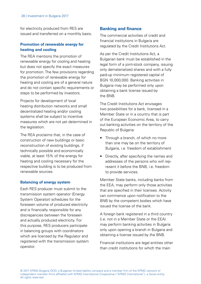<span id="page-27-0"></span>for electricity produced from RES are issued and transferred on a monthly basis.

## **Promotion of renewable energy for heating and cooling**

The REA mentions the promotion of renewable energy for cooling and heating but does not specify the exact measures for promotion. The few provisions regarding the promotion of renewable energy for heating and cooling are of a general nature and do not contain specific requirements or steps to be performed by investors.

Projects for development of local heating distribution networks and small decentralized heating and/or cooling systems shall be subject to incentive measures which are not yet determined in the legislation.

The REA proclaims that, in the case of construction of new buildings or basic reconstruction of existing buildings, if technically possible and economically viable, at least 15% of the energy for heating and cooling necessary for the respective building is to be produced from renewable sources.

### **Balancing of energy system**

Each RES producer must submit to the transmission system operator (Energy System Operator) schedules for the foreseen volume of produced electricity and is financially responsible for any discrepancies between the foreseen and actually produced electricity. For this purpose, RES producers participate in balancing groups with coordinators which are licensed by the Regulator and registered with the transmission system operator.

## **Banking and finance**

The commercial activities of credit and financial institutions in Bulgaria are regulated by the Credit Institutions Act.

As per the Credit Institutions Act, a Bulgarian bank must be established in the legal form of a joint-stock company, issuing only dematerialized shares and with a fully paid-up minimum registered capital of BGN 10,000,000. Banking activities in Bulgaria may be performed only upon obtaining a bank license issued by the BNB.

The Credit Institutions Act envisages two possibilities for a bank, licensed in a Member State or in a country that is part of the European Economic Area, to carry out banking activities on the territory of the Republic of Bulgaria:

- Through a branch, of which no more than one may be on the territory of Bulgaria, i.e. freedom of establishment
- Directly, after specifying the names and addresses of the persons who will represent it before the BNB, i.e. freedom to provide services.

Member State banks, including banks from the EEA, may perform only those activities that are specified in their licenses. Activity can commence upon notification to the BNB by the competent bodies which have issued the license of the bank.

A foreign bank registered in a third country (i.e. not in a Member State or the EEA) may perform banking activities in Bulgaria only upon opening a branch in Bulgaria and obtaining a license issued by the BNB.

Financial institutions are legal entities other than credit institutions for which the main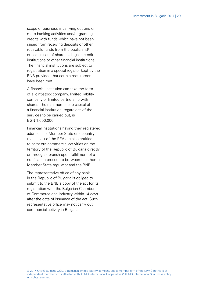scope of business is carrying out one or more banking activities and/or granting credits with funds which have not been raised from receiving deposits or other repayable funds from the public and/ or acquisition of shareholdings in credit institutions or other financial institutions. The financial institutions are subject to registration in a special register kept by the BNB provided that certain requirements have been met.

A financial institution can take the form of a joint-stock company, limited liability company or limited partnership with shares. The minimum share capital of a financial institution, regardless of the services to be carried out, is BGN 1,000,000.

Financial institutions having their registered address in a Member State or a country that is part of the EEA are also entitled to carry out commercial activities on the territory of the Republic of Bulgaria directly or through a branch upon fulfillment of a notification procedure between their home Member State regulator and the BNB.

The representative office of any bank in the Republic of Bulgaria is obliged to submit to the BNB a copy of the act for its registration with the Bulgarian Chamber of Commerce and Industry within 14 days after the date of issuance of the act. Such representative office may not carry out commercial activity in Bulgaria.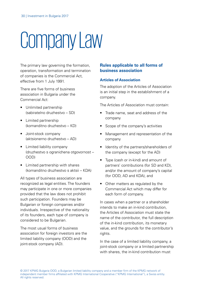# <span id="page-29-0"></span>Company Law

The primary law governing the formation, operation, transformation and termination of companies is the Commercial Act, effective from 1 July 1991.

There are five forms of business association in Bulgaria under the Commercial Act:

- Unlimited partnership (sabiratelno druzhestvo – SD)
- Limited partnership (komanditno druzhestvo – KD)
- Joint-stock company (aktsionerno druzhestvo – AD)
- Limited liability company (druzhestvo s ogranichena otgovornost – OOD)
- Limited partnership with shares (komanditno druzhestvo s aktsii – KDA)

All types of business association are recognized as legal entities. The founders may participate in one or more companies provided that the law does not prohibit such participation. Founders may be Bulgarian or foreign companies and/or individuals. Irrespective of the nationality of its founders, each type of company is considered to be Bulgarian.

The most usual forms of business association for foreign investors are the limited liability company (OOD) and the joint-stock company (AD).

## **Rules applicable to all forms of business association**

### **Articles of Association**

The adoption of the Articles of Association is an initial step in the establishment of a company.

The Articles of Association must contain:

- Trade name, seat and address of the company
- Scope of the company's activities
- Management and representation of the company
- Identity of the partners/shareholders of the company (except for the AD)
- Type (cash or in-kind) and amount of partners' contributions (for SD and KD), and/or the amount of company's capital (for OOD, AD and KDA), and
- Other matters as regulated by the Commercial Act which may differ for each form of company.

In cases when a partner or a shareholder intends to make an in-kind contribution, the Articles of Association must state the name of the contributor, the full description of the in-kind contribution, its monetary value, and the grounds for the contributor's rights.

In the case of a limited liability company, a joint-stock company or a limited partnership with shares, the in-kind contribution must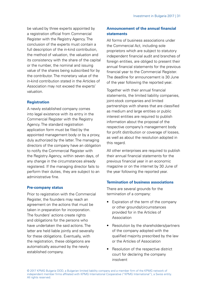be valued by three experts appointed by a registration official from Commercial Register with the Registry Agency. The conclusion of the experts must contain a full description of the in-kind contribution the method of valuation, the valuation and its consistency with the share of the capital or the number, the nominal and issuing value of the shares being subscribed for by the contributor. The monetary value of the in-kind contribution stated in the Articles of Association may not exceed the experts' valuation.

#### **Registration**

A newly established company comes into legal existence with its entry in the Commercial Register with the Registry Agency. The standard registration application form must be filed by the appointed management body or by a proxy, duly authorized by the latter. The managing directors of the company have an obligation to notify the Commercial Register with the Registry Agency, within seven days, of any change in the circumstances already registered. If the managing director fails to perform their duties, they are subject to an administrative fine.

#### **Pre-company status**

Prior to registration with the Commercial Register, the founders may reach an agreement on the actions that must be taken in preparation for incorporation. The founders' actions create rights and obligations for the persons who have undertaken the said actions. The latter are held liable jointly and severally for these obligations. Eventually, with the registration, these obligations are automatically assumed by the newly established company.

## **Announcement of the annual financial statements**

All forms of business associations under the Commercial Act, including sole proprietors which are subject to statutory independent financial audit and branches of foreign entities, are obliged to present their annual financial statements for the previous financial year to the Commercial Register. The deadline for announcement is 30 June of the year following the reported year.

Together with their annual financial statements, the limited liability companies, joint-stock companies and limited partnerships with shares that are classified as medium and large entities or public interest entities are required to publish information about the proposal of the respective company's management body for profit distribution or coverage of losses, as well as about the resolution adopted in this regard.

All other enterprises are required to publish their annual financial statements for the previous financial year in an economic magazine or on the internet by 30 June of the year following the reported year.

#### **Termination of business associations**

There are several grounds for the termination of a company:

- Expiration of the term of the company or other grounds/circumstances provided for in the Articles of Association
- Resolution by the shareholders/partners of the company adopted with the qualified majority prescribed by the law or the Articles of Association
- Resolution of the respective district court for declaring the company insolvent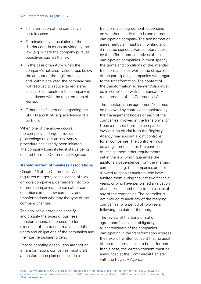#### 32 | Investment in Bulgaria 2017

- Transformation of the company in certain cases
- Termination by a resolution of the district court in cases provided by the law (e.g. where the company pursues objectives against the law)
- In the case of an AD when the company's net asset value drops below the amount of the registered capital and, within one year, the company has not resolved to reduce its registered capital or to transform the company in accordance with the requirements of the law
- Other specific grounds regarding the SD, KD and KDA (e.g. insolvency of a partner).

When one of the above occurs. the company undergoes liquidation proceedings unless an insolvency procedure has already been initiated. The company loses its legal status being deleted from the Commercial Register.

#### **Transformation of business associations**

Chapter 16 of the Commercial Act regulates mergers, consolidation of two or more companies, demergers into two or more companies, the spin-off of certain operations into a new company, and transformations whereby the type of the company changes.

The applicable provisions specify and classify the types of business transformations, the procedure for execution of the transformation, and the rights and obligations of the companies and their partners/shareholders.

Prior to adopting a resolution authorizing a transformation, companies must draft a transformation plan or conclude a

transformation agreement, depending on whether initially there is one or more participating company. The transformation agreement/plan must be in writing and it must be signed before a notary public by the official representatives of the participating companies. It must specify the terms and conditions of the intended transformation, as well as the obligations of the participating companies with regard to the transformation. The content of the transformation agreement/plan must be in compliance with the mandatory requirements of the Commercial Act.

The transformation agreement/plan must be reviewed by controllers appointed by the management bodies of each of the companies involved in the transformation. Upon a request from the companies involved, an official from the Registry Agency may appoint a joint controller for all companies. The controller must be a registered auditor. The controller must also meet other requirements set in the law, which guarantee the auditor's independence from the merging companies, e.g. the companies are not allowed to appoint auditors who have audited them during the last two financial years, or who have performed a valuation of an in-kind contribution to the capital of any of the companies. The controller is not allowed to audit any of the merging companies for a period of two years following the date of the merger.

The review of the transformation agreement/plan is not obligatory, if all shareholders of the companies participating in the transformation express their explicit written consent that no audit of the transformation is to be performed. In this case, the written consent must be announced at the Commercial Register with the Registry Agency.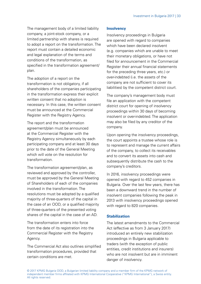The management body of a limited liability company, a joint-stock company, or a limited partnership with shares is required to adopt a report on the transformation. The report must contain a detailed economic and legal explanation of the terms and conditions of the transformation, as specified in the transformation agreement/ plan.

The adoption of a report on the transformation is not obligatory, if all shareholders of the companies participating in the transformation express their explicit written consent that no adoption is necessary. In this case, the written consent must be announced at the Commercial Register with the Registry Agency.

The report and the transformation agreement/plan must be announced at the Commercial Register with the Registry Agency simultaneously by each participating company and at least 30 days prior to the date of the General Meeting which will vote on the resolution for transformation.

The transformation agreement/plan, as reviewed and approved by the controller, must be approved by the General Meeting of Shareholders of each of the companies involved in the transformation. The resolutions must be adopted by a qualified majority of three-quarters of the capital in the case of an OOD, or a qualified majority of three-quarters of the presented voting shares of the capital in the case of an AD.

The transformation enters into force from the date of its registration into the Commercial Register with the Registry **Agency** 

The Commercial Act also outlines simplified transformation procedures, provided that certain conditions are met.

#### **Insolvency**

Insolvency proceedings in Bulgaria are opened with regard to companies which have been declared insolvent (e.g. companies which are unable to meet their monetary obligations, or have not filed for announcement in the Commercial Register their annual financial statements for the preceding three years, etc.) or over-indebted (i.e. the assets of the company are not sufficient to cover its liabilities) by the competent district court.

The company's management body must file an application with the competent district court for opening of insolvency proceedings within 30 days of becoming insolvent or over-indebted. The application may also be filed by any creditor of the company.

Upon opening the insolvency proceedings, the court appoints a trustee whose role is to represent and manage the current affairs of the company, to collect its receivables and to convert its assets into cash and subsequently distribute the cash to the company's creditors.

In 2016, insolvency proceedings were opened with regard to 452 companies in Bulgaria. Over the last few years, there has been a downward trend in the number of insolvent companies following the peak in 2013 with insolvency proceedings opened with regard to 820 companies.

### **Stabilization**

The latest amendments to the Commercial Act (effective as from 3 January 2017) introduced an entirely new stabilization proceedings in Bulgaria applicable to traders (with the exception of public entities, credit institutions and insurers) who are not insolvent but are in imminent danger of insolvency.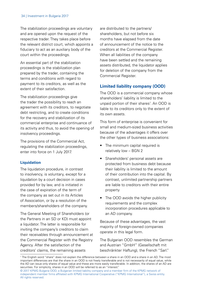<span id="page-33-0"></span>The stabilization proceedings are voluntary and are opened upon the request of the respective trader. They takes place before the relevant district court, which appoints a fiduciary to act as an auxiliary body of the court within the proceedings.

An essential part of the stabilization proceedings is the stabilization plan prepared by the trader, containing the terms and conditions with regard to payment to its creditors, as well as the extent of their satisfaction.

The stabilization proceedings give the trader the possibility to reach an agreement with its creditors, to negotiate debt restricting, and to create conditions for the recovery and stabilization of its commercial enterprise and continuance of its activity and thus, to avoid the opening of insolvency proceedings.

The provisions of the Commercial Act, regulating the stabilization proceedings, enter into force on 1 July 2017.

### **Liquidation**

The liquidation procedure, in contrast to insolvency, is voluntary, except for a liquidation by a court decision in cases provided for by law, and is initiated in the case of expiration of the term of the company as set out in its Articles of Association, or by a resolution of the members/shareholders of the company.

The General Meeting of Shareholders (or the Partners in an SD or KD) must appoint a liquidator. The latter is responsible for inviting the company's creditors to claim their receivables through announcement at the Commercial Register with the Registry Agency. After the satisfaction of the creditors' claims, the remaining assets

are distributed to the partners/ shareholders, but not before six months have elapsed from the date of announcement of the notice to the creditors at the Commercial Register. When all liabilities of the company have been settled and the remaining assets distributed, the liquidator applies for deletion of the company from the Commercial Register.

# **Limited liability company (OOD)**

The OOD is a commercial company whose shareholders' liability is limited to the unpaid portion of their shares1 . An OOD is liable to its creditors only to the extent of its own assets.

This form of enterprise is convenient for small and medium-sized business activities because of the advantages it offers over the other types of business associations:

- The minimum capital required is relatively low – BGN 2
- Shareholders' personal assets are protected from business debt because their liability is limited to the amount of their contribution into the capital. By contrast, unlimited partnership partners are liable to creditors with their entire property
- The OOD avoids the higher publicity requirements and the complex incorporation procedures applicable to an AD company.

Because of these advantages, the vast majority of foreign-owned companies operate in this legal form.

The Bulgarian OOD resembles the German and Austrian "GmbH" (Gesellschaft mit beschränkter Haftung), the French "Sarl."

<sup>1</sup> The English word "share" does not explain the difference between a share in an OOD and a share in an AD. The most important differences are that the share in an OOD is not freely transferable and is not necessarily of equal value, while the AD can issue only shares of equal value and these are more easily transferable. In addition, the shares of an AD are securities. For simplicity, shares in an OOD will be referred to as an "interest."

<sup>© 2017</sup> KPMG Bulgaria OOD, a Bulgarian limited liability company and a member firm of the KPMG network of independent member firms affiliated with KPMG International Cooperative ("KPMG International"), a Swiss entity. All rights reserved.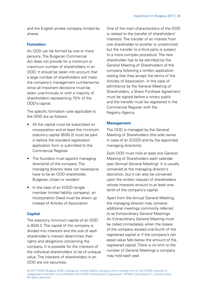and the English private company limited by shares.

## **Formation**

An OOD can be formed by one or more persons. The Bulgarian Commercial Act does not provide for a minimum or maximum number of shareholders in an OOD. It should be taken into account that a large number of shareholders will make the company's management cumbersome, since all important decisions must be taken unanimously or with a majority of shareholders representing 75% of the OOD's capital.

The specific formation rules applicable to the OOD are as follows:

- All the capital must be subscribed on incorporation and at least the minimum statutory capital (BGN 2) must be paid in before the standard registration application form is submitted to the Commercial Register
- The founders must appoint managing director(s) of the company. The managing director does not necessarily have to be an OOD shareholder, Bulgarian citizen or resident
- In the case of an EOOD (single member limited liability company), an Incorporation Deed must be drawn up instead of Articles of Association.

## **Capital**

The statutory minimum capital of an OOD is BGN 2. The capital of the company is divided into interests and the size of each shareholder's interest determines their rights and obligations concerning the company. It is possible for the interests of the individual shareholders to be of unequal value. The interests of shareholders in an OOD are not securities.

One of the main characteristics of the OOD is related to the transfer of shareholders' interests. The transfer of an interest from one shareholder to another is unrestricted but the transfer to a third party is subject to a more complex procedure. The new shareholder has to be admitted by the General Meeting of Shareholders of the company following a written application stating that they accept the terms of the Articles of Association. In the case of admittance by the General Meeting of Shareholders, a Share Purchase Agreement must be signed before a notary public and the transfer must be registered in the Commercial Register with the Registry Agency.

## **Management**

The OOD is managed by the General Meeting of Shareholders (the sole owner in case of an EOOD) and by the appointed managing director(s).

Each OOD must hold at least one General Meeting of Shareholders each calendar year (Annual General Meeting). It is usually convened at the managing director's discretion, but it can also be convened upon the written request of shareholders whose interests amount to at least onetenth of the company's capital.

Apart from the Annual General Meeting, the managing director may convene additional meetings commonly referred to as Extraordinary General Meetings. An Extraordinary General Meeting must be called immediately when the losses of the company exceed one-fourth of the registered capital or if the company's net asset value falls below the amount of the registered capital. There is no limit to the number of General Meetings a company may hold each year.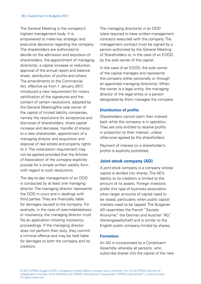<span id="page-35-0"></span>The General Meeting is the company's highest management body. It is empowered to make key strategic and executive decisions regarding the company. The shareholders are authorized to decide on the admission and expulsion of shareholders, the appointment of managing director(s), a capital increase or reduction, approval of the annual report and balance sheet, distribution of profits and others. The amendments to the Commercial Act, effective as from 1 January 2017, introduced a new requirement for notary certification of the signatures and the content of certain resolutions, adopted by the General Meeting/the sole owner of the capital of limited liability companies, namely the resolutions for acceptance and dismissal of shareholders, share capital increase and decrease, transfer of shares to a new shareholder, appointment of a managing director and acquisition and disposal of real estate and property rights to it. The notarization requirement may not be applied provided that the Articles of Association of the company explicitly provide for a simple written validity form with regard to such resolutions.

The day-to-day management of an OOD is conducted by at least one managing director. The managing director represents the OOD in court and in dealings with third parties. They are financially liable for damages caused to the company. For example, in the case of over-indebtedness or insolvency, the managing director must file an application initiating insolvency proceedings. If the managing director does not perform their duty, they commit a criminal offence and may be held liable for damages to both the company and its creditors.

The managing director(s) in an OOD is/are required to have written management contracts executed with the company. The management contract must be signed by a person authorized by the General Meeting of Shareholders or, in the case of an EOOD, by the sole owner of the capital.

In the case of an EOOD, the sole owner of the capital manages and represents the company either personally or through an appointed managing director(s). When the owner is a legal entity, the managing director of the legal entity or a person designated by them manages the company.

### **Distribution of profits**

Shareholders cannot claim their interest back while the company is in operation. They are only entitled to receive profits in proportion to their interest, unless otherwise agreed by the shareholders.

Payment of interest on a shareholder's profits is explicitly prohibited.

## **Joint-stock company (AD)**

A joint-stock company is a company whose capital is divided into shares. The AD's liability to its creditors is limited to the amount of its assets. Foreign investors prefer this type of business association when larger amounts of capital need to be raised, particularly when public capital markets need to be tapped. The Bulgarian AD resembles the French "Societe Anonyme," the German and Austrian "AG" (Aktiengesellschaft) and is similar to the English public company limited by shares.

### **Formation**

An AD is incorporated by a Constituent Assembly whereby all persons, who subscribe shares into the capital of the new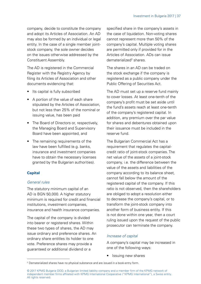company, decide to constitute the company and adopt its Articles of Association. An AD may also be formed by an individual or legal entity. In the case of a single member jointstock company, the sole owner decides on the issues otherwise addressed by the Constituent Assembly.

The AD is registered in the Commercial Register with the Registry Agency by filing its Articles of Association and other documents evidencing that:

- Its capital is fully subscribed
- A portion of the value of each share stipulated by the Articles of Association, but not less than 25% of the nominal or issuing value, has been paid
- The Board of Directors or, respectively. the Managing Board and Supervisory Board have been appointed, and
- The remaining requirements of the law have been fulfilled (e.g. banks, insurance and investment companies have to obtain the necessary licenses granted by the Bulgarian authorities).

## **Capital**

### General rules

The statutory minimum capital of an AD is BGN 50,000. A higher statutory minimum is required for credit and financial institutions, investment companies, insurance and health insurance companies.

The capital of the company is divided into bearer or registered shares. Within these two types of shares, the AD may issue ordinary and preference shares. An ordinary share entitles its holder to one vote. Preference shares may provide a guaranteed or additional dividend or a

specified share in the company's assets in the case of liquidation. Non-voting shares cannot represent more than 50% of the company's capital. Multiple voting shares are permitted only if provided for in the Articles of Association. ADs can issue dematerialized<sup>2</sup> shares.

The shares in an AD can be traded on the stock exchange if the company is registered as a public company under the Public Offering of Securities Act.

The AD must set up a reserve fund mainly to cover losses. At least one-tenth of the company's profit must be set aside until the fund's assets reach at least one-tenth of the company's registered capital. In addition, any premium over the par value for shares and debentures obtained upon their issuance must be included in the reserve fund.

The Bulgarian Commercial Act has a requirement that regulates the capitalcredit ratio of joint-stock companies. The net value of the assets of a joint-stock company, i.e. the difference between the value of the assets and liabilities of the company according to its balance sheet, cannot fall below the amount of the registered capital of the company. If this ratio is not observed, then the shareholders are obliged to adopt a resolution either to decrease the company's capital, or to transform the joint-stock company into another form of business entity. If this is not done within one year, then a court ruling issued upon the request of the public prosecutor can terminate the company.

## Increase of capital

A company's capital may be increased in one of the following ways:

• Issuing new shares

<sup>&</sup>lt;sup>2</sup> Dematerialized shares have no physical substance and are issued in a book-entry form.

<sup>© 2017</sup> KPMG Bulgaria OOD, a Bulgarian limited liability company and a member firm of the KPMG network of independent member firms affiliated with KPMG International Cooperative ("KPMG International"), a Swiss entity. All rights reserved.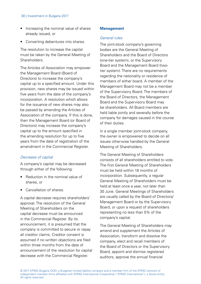#### 38 | Investment in Bulgaria 2017

- Increasing the nominal value of shares already issued, or
- Converting debentures into shares.

The resolution to increase the capital must be taken by the General Meeting of **Shareholders** 

The Articles of Association may empower the Management Board (Board of Directors) to increase the company's capital up to a specified amount. Under this provision, new shares may be issued within five years from the date of the company's incorporation. A resolution which allows for the issuance of new shares may also be passed by amending the Articles of Association of the company. If this is done, then the Management Board (or Board of Directors) may increase the company's capital up to the amount specified in the amending resolution for up to five years from the date of registration of the amendment in the Commercial Register.

### Decrease of capital

A company's capital may be decreased through either of the following:

- Reduction in the nominal value of shares, or
- Cancellation of shares.

A capital decrease requires shareholders' approval. The resolution of the General Meeting of Shareholders on the capital decrease must be announced in the Commercial Register. By its announcement, it is presumed that the company is committed to secure or repay all creditor claims. Creditor consent is assumed if no written objections are filed within three months from the date of announcement of the resolution for capital decrease with the Commercial Register.

#### **Management**

#### General rules

The joint-stock company's governing bodies are the General Meeting of Shareholders and the Board of Directors (one-tier system), or the Supervisory Board and the Management Board (twotier system). There are no requirements regarding the nationality or residence of members of either board. A member of the Management Board may not be a member of the Supervisory Board. The members of the Board of Directors, the Management Board and the Supervisory Board may be shareholders. All Board members are held liable jointly and severally before the company for damages caused in the course of their duties.

In a single member joint-stock company, the owner is empowered to decide on all issues otherwise handled by the General Meeting of Shareholders.

The General Meeting of Shareholders consists of all shareholders entitled to vote. The first General Meeting of Shareholders must be held within 18 months of incorporation. Subsequently, a regular General Meeting of Shareholders must be held at least once a year, not later than 30 June. General Meetings of Shareholders are usually called by the Board of Directors/ Management Board or by the Supervisory Board, or upon a request of shareholders representing no less than 5% of the company's capital.

The General Meeting of Shareholders may amend and supplement the Articles of Association, transform and dissolve the company, elect and recall members of the Board of Directors or the Supervisory Board, appoint and dismiss registered auditors, approve the annual financial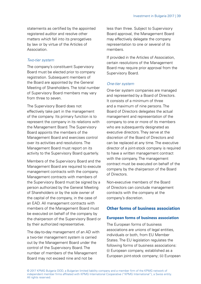statements as certified by the appointed registered auditor and resolve other matters which fall into its prerogatives by law or by virtue of the Articles of Association.

#### Two-tier system

The company's constituent Supervisory Board must be elected prior to company registration. Subsequent members of the Board are appointed by the General Meeting of Shareholders. The total number of Supervisory Board members may vary from three to seven.

The Supervisory Board does not effectively take part in the management of the company. Its primary function is to represent the company in its relations with the Management Board. The Supervisory Board appoints the members of the Management Board and exercises control over its activities and resolutions. The Management Board must report on its activity to the Supervisory Board quarterly.

Members of the Supervisory Board and the Management Board are required to execute management contracts with the company. Management contracts with members of the Supervisory Board must be signed by a person authorized by the General Meeting of Shareholders or by the sole owner of the capital of the company, in the case of an EAD. All management contracts with members of the Management Board must be executed on behalf of the company by the chairperson of the Supervisory Board or by their authorized representative.

The day-to-day management of an AD with a two-tier management system is carried out by the Management Board under the control of the Supervisory Board. The number of members of the Management Board may not exceed nine and not be

less than three. Subject to Supervisory Board approval, the Management Board may effectively delegate the company representation to one or several of its members.

If provided in the Articles of Association, certain resolutions of the Management Board may require prior approval from the Supervisory Board.

#### One-tier system

One-tier system companies are managed and represented by a Board of Directors. It consists of a minimum of three and a maximum of nine persons. The Board of Directors delegates the actual management and representation of the company to one or more of its members who are subsequently designated as executive directors. They serve at the discretion of the Board of Directors and can be replaced at any time. The executive director of a joint-stock company is required to have a written management contract with the company. The management contract must be executed on behalf of the company by the chairperson of the Board of Directors.

Non-executive members of the Board of Directors can conclude management contracts with the company at the company's discretion.

## **Other forms of business association**

#### **European forms of business association**

The European forms of business associations are unions of legal entities, individuals or both, from EU Member States. The EU legislation regulates the following forms of business associations: (i) European company, established as a European joint-stock company; (ii) European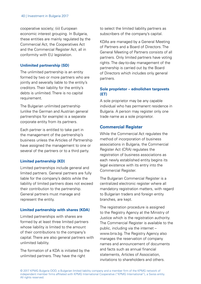cooperative society; (iii) European economic interest grouping. In Bulgaria, these entities are mainly regulated by the Commercial Act, the Cooperatives Act and the Commercial Register Act, all in conformity with EU legislation.

## **Unlimited partnership (SD)**

The unlimited partnership is an entity formed by two or more partners who are jointly and severally liable to the entity's creditors. Their liability for the entity's debts is unlimited. There is no capital requirement.

The Bulgarian unlimited partnership (unlike the German and Austrian general partnerships for example) is a separate corporate entity from its partners.

Each partner is entitled to take part in the management of the partnership's business unless the Articles of Partnership have assigned the management to one or several of the partners or to a third party.

## **Limited partnership (KD)**

Limited partnerships include general and limited partners. General partners are fully liable for the company's debts while the liability of limited partners does not exceed their contribution to the partnership. General partners must manage and represent the entity.

## **Limited partnership with shares (KDA)**

Limited partnerships with shares are formed by at least three limited partners whose liability is limited to the amount of their contributions to the company's capital. There are also general partners with unlimited liability.

The formation of a KDA is initiated by the unlimited partners. They have the right

to select the limited liability partners as subscribers of the company's capital.

KDAs are managed by a General Meeting of Partners and a Board of Directors. The General Meeting of Partners consists of all partners. Only limited partners have voting rights. The day-to-day management of the partnership is carried out by the Board of Directors which includes only general partners.

## **Sole proprietor – ednolichen targovets (ET)**

A sole proprietor may be any capable individual who has permanent residence in Bulgaria. A person may register only one trade name as a sole proprietor.

## **Commercial Register**

While the Commercial Act regulates the method of incorporation of business associations in Bulgaria, the Commercial Register Act (CRA) regulates the registration of business associations as each newly established entity begins its legal existence with its entry into the Commercial Register.

The Bulgarian Commercial Register is a centralized electronic register where all mandatory registration matters, with regard to Bulgarian traders and foreign entity branches, are kept.

The registration procedure is assigned to the Registry Agency at the Ministry of Justice which is the registration authority. The Commercial Register is available to the public, including via the internet – www.brra.bg. The Registry Agency also manages the reservation of company names and announcement of documents and facts such as annual financial statements, Articles of Association, invitations to shareholders and others.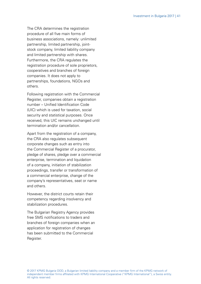The CRA determines the registration procedure of all five main forms of business associations, namely: unlimited partnership, limited partnership, jointstock company, limited liability company and limited partnership with shares. Furthermore, the CRA regulates the registration procedure of sole proprietors, cooperatives and branches of foreign companies. It does not apply to partnerships, foundations, NGOs and others.

Following registration with the Commercial Register, companies obtain a registration number – Unified Identification Code (UIC) which is used for taxation, social security and statistical purposes. Once received, this UIC remains unchanged until termination and/or cancellation.

Apart from the registration of a company, the CRA also regulates subsequent corporate changes such as entry into the Commercial Register of a procurator, pledge of shares, pledge over a commercial enterprise, termination and liquidation of a company, initiation of stabilization proceedings, transfer or transformation of a commercial enterprise, change of the company's representatives, seat or name and others.

However, the district courts retain their competency regarding insolvency and stabilization procedures.

The Bulgarian Registry Agency provides free SMS notifications to traders and branches of foreign companies when an application for registration of changes has been submitted to the Commercial Register.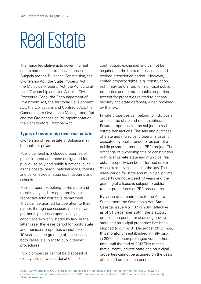## Real Estate

The major legislative acts governing real estate and real estate transactions in Bulgaria are the Bulgarian Constitution, the Ownership Act, the State Property Act, the Municipal Property Act, the Agricultural Land Ownership and Use Act, the Civil Procedure Code, the Encouragement of Investment Act, the Territorial Development Act, the Obligations and Contracts Act, the Condominium Ownership Management Act and the Ordinances on its implementation, the Constructors Chamber Act.

## **Types of ownership over real estate**

Ownership of real estate in Bulgaria may be public or private.

Public ownership includes properties of public interest and those designated for public use only and public functions, such as the coastal beach, national roads, forests and parks, streets, squares, museums and schools.

Public properties belong to the state and municipality and are operated by the respective administrative department. They can be granted for operation to third parties through concession, public-private partnership or lease upon satisfying conditions explicitly stated by law. In the latter case, the lease period for public state and municipal properties cannot exceed 10 years, as the granting of the lease in both cases is subject to public tender procedures.

Public properties cannot be disposed of (i.e. by sale purchase, donation, in-kind

contribution, exchange) and cannot be acquired on the basis of possession and expired prescription period. However, limited property rights (e.g. construction right) may be granted for municipal public properties and for state public properties (except for properties related to national security and state defense), when provided by the law.

Private properties can belong to individuals, entities, the state and municipalities. Private properties can be subject to real estate transactions. The sale and purchase of state and municipal property is usually executed by public tender or as part of a public-private partnership (PPP) project. The exchange of ownership title or construction right over private state and municipal real estate property can be performed only in cases explicitly specified in the law. The lease period for state and municipal private property cannot exceed 10 years and the granting of a lease is subject to public tender procedures or PPP procedures.

By virtue of amendments to the Act to Supplement the Ownership Act (State Gazette, issue No. 107 of 2014, effective as of 31 December 2014), the statutory prescription period for acquiring private state and municipal properties has been stopped to run by 31 December 2017. Thus, this moratorium established initially back in 2006 has been prolonged yet another time until the end of 2017. This means that currently private state and municipal properties cannot be acquired on the basis of expired prescription period.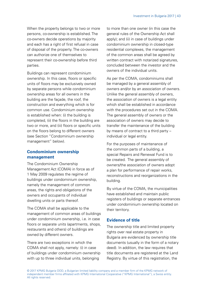When the property belongs to two or more persons, co-ownership is established. The co-owners decide operations by majority and each has a right of first refusal in case of disposal of the property. The co-owners can authorize one of themselves to represent their co-ownership before third parties.

Buildings can represent condominium ownership. In this case, floors or specific units of floors may be exclusively owned by separate persons while condominium ownership areas for all owners in the building are the façade, the roof, the construction and everything which is for common use. Condominium ownership is established when: (i) the building is completed, (ii) the floors in the building are two or more, and (iii) floors or specific units on the floors belong to different owners (see Section "Condominium ownership management" below).

### **Condominium ownership management**

The Condominium Ownership Management Act (COMA) in force as of 1 May 2009 regulates the regime of buildings under condominium ownership, namely the management of common areas, the rights and obligations of the owners and occupants of individual dwelling units or parts thereof.

The COMA shall be applicable to the management of common areas of buildings under condominium ownership, i.e. in case floors or separate units (apartments, shops, restaurants and others) of buildings are owned by different owners.

There are two exceptions in which the COMA shall not apply, namely: (i) in case of buildings under condominium ownership with up to three individual units, belonging

to more than one owner (in this case the general rules of the Ownership Act shall apply); and (ii) in case of buildings under condominium ownership in closed-type residential complexes, the management of the common areas shall be agreed by written contract with notarized signatures. concluded between the investor and the owners of the individual units.

As per the COMA, condominiums shall be managed by a general assembly of owners and/or by an association of owners. Unlike the general assembly of owners, the association of owners is a legal entity which shall be established in accordance with the procedures set out in the COMA The general assembly of owners or the association of owners may decide to transfer the maintenance of the building by means of contract to a third party – individual or legal entity.

For the purposes of maintenance of the common parts of a building, a special Repairs and Renewal Fund is to be created. The general assembly of owners/the association of owners adopt a plan for performance of repair works, reconstructions and reorganizations in the building.

By virtue of the COMA, the municipalities have established and maintain public registers of buildings or separate entrances under condominium ownership located on their territory.

## **Evidence of title**

The ownership title and limited property rights over real estate property in Bulgaria are evidenced by ownership title documents (usually in the form of a notary deed). In addition, the law requires that title documents are registered at the Land Registry. By virtue of this registration, the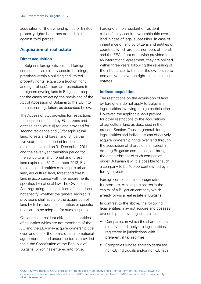acquisition of the ownership title or limited property rights becomes defendable against third parties.

## **Acquisition of real estate**

#### **Direct acquisition**

In Bulgaria, foreign citizens and foreign companies can directly acquire buildings, premises within a building and limited property rights (e.g. a construction right and right of use). There are restrictions to foreigners owning land in Bulgaria, except for the cases reflecting the provisions of the Act of Accession of Bulgaria to the EU into the national legislation, as described below.

The Accession Act provides for restrictions for acquisition of land by EU citizens and entities as follows: (i) for land provided for second residence and (ii) for agricultural land, forests and forest land. Since the five-year transition period for second residence expired on 31 December 2011 and the seven-year transition period for the agricultural land, forest and forest land expired on 31 December 2013, EU residents and entities can acquire urban land, agricultural land, forest and forest land in accordance with the requirements specified by national law. The Ownership Act, regulating the acquisition of land, does not specify whether the general legislative provisions shall apply to the acquisition of land by EU residents and entities or specific rules are to be adopted for such acquisition.

Citizens (non-resident citizens) and entities of countries which are not members of the EU and the EEA may acquire ownership title over land under the terms of an international agreement ratified under the terms provided for in the Constitution of the Republic of Bulgaria, which has entered into force.

Foreigners (non-resident or resident citizens) may acquire ownership title over land in case of legal succession. In case of inheritance of land by citizens and entities of countries which are not members of the EU and the EEA, if not otherwise provided for in an international agreement, they are obliged, within three years following the revealing of the inheritance, to transfer the ownership to persons who have the right to acquire such estates.

#### **Indirect acquisition**

The restrictions on the acquisition of land by foreigners do not apply to Bulgarian legal entities involving foreign participation. However, the applicable laws provide for other restrictions to the acquisitions of agricultural land as described in the present Section. Thus, in general, foreign legal entities and individuals can effectively acquire ownership rights over land through the acquisition of shares or an interest in existing Bulgarian companies, or through the establishment of such companies under Bulgarian law. It is possible for such a company to be 100-percent owned by a foreign investor.

Foreign companies and foreign citizens. furthermore, can acquire shares in the capital of a Bulgarian company which already owns a real estate in Bulgaria.

In contrast to the above, the following legal entities may not acquire and possess ownership title over agricultural land:

- Companies in which the shareholders directly or indirectly are legal entities registered in jurisdictions with preferential tax regimes
- Companies whose shareholder(s) are non-EU individuals and/or non-EU legal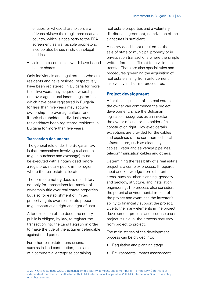entities, or whose shareholders are citizens of/have their registered seat at a country, which is not a party to the EEA agreement, as well as sole proprietors, incorporated by such individuals/legal entities

• Joint-stock companies which have issued bearer shares.

Only individuals and legal entities who are residents and have resided, respectively have been registered, in Bulgaria for more than five years may acquire ownership title over agricultural lands. Legal entities which have been registered in Bulgaria for less than five years may acquire ownership title over agricultural lands if their shareholders individuals have resided/have been registered residents in Bulgaria for more than five years.

#### **Transaction documents**

The general rule under the Bulgarian law is that transactions involving real estate (e.g., a purchase and exchange) must be executed with a notary deed before a registered notary public in the region where the real estate is located.

The form of a notary deed is mandatory not only for transactions for transfer of ownership title over real estate properties, but also for establishment of limited property rights over real estate properties (e.g., construction right and right of use).

After execution of the deed, the notary public is obliged, by law, to register the transaction into the Land Registry in order to make the title of the acquirer defendable against third parties.

For other real estate transactions, such as in-kind contribution, the sale of a commercial enterprise containing real estate properties and a voluntary distribution agreement, notarization of the signatures is sufficient.

A notary deed is not required for the sale of state or municipal property or in privatization transactions where the simple written form is sufficient for a valid title transfer. There are also special rules and procedures governing the acquisition of real estate arising from enforcement, insolvency and similar procedures.

## **Project development**

After the acquisition of the real estate, the owner can commence the project development, since the Bulgarian legislation recognizes as an investor the owner of land, or the holder of a construction right. However, certain exceptions are provided for the cables and pipelines of the common technical infrastructure, such as electricity cables, water and sewerage pipelines, telecommunication cables and others.

Determining the feasibility of a real estate project is a complex process. It requires input and knowledge from different areas, such as urban planning, geodesy and geology, structure, and installation engineering. The process also considers the potential environmental impact of the project and examines the investor's ability to financially support the project. Due to the many elements in the project development process and because each project is unique, the process may vary from project to project.

The main stages of the development process can be divided into:

- Regulation and planning stage
- Environmental impact assessment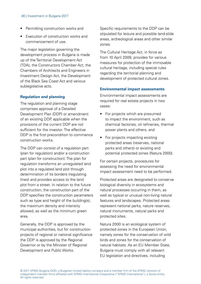#### 46 | Investment in Bulgaria 2017

- Permitting construction works and
- Execution of construction works and commencement of use.

The major legislation governing the development process in Bulgaria is made up of the Territorial Development Act (TDA), the Constructors Chamber Act, the Chambers of Architects and Engineers in Investment Design Act, the Development of the Black Sea Coast Act and various sublegislative acts.

### **Regulation and planning**

The regulation and planning stage comprises approval of a Detailed Development Plan (DDP) or amendment of an existing DDP, applicable when the provisions of the current DDP are not sufficient for the investor. The effective DDP is the first precondition to commence construction works.

The DDP can consist of a regulation part (plan for regulation) and/or a construction part (plan for construction). The plan for regulation transforms an unregulated land plot into a regulated land plot through determination of its borders (regulating lines) and provides access to the land plot from a street. In relation to the future construction, the construction part of the DDP specifies the construction parameters such as type and height of the building(s), the maximum density and intensity allowed, as well as the minimum green area.

Generally, the DDP is approved by the municipal authorities, but for construction projects of regional or national significance the DDP is approved by the Regional Governor or by the Minister of Regional Development and Public Works.

Specific requirements to the DDP can be stipulated for leisure and possible land-slide areas, archeological areas and other similar zones.

The Cultural Heritage Act, in force as from 10 April 2009, provides for various measures for protection of the immovable cultural heritage, including special rules regarding the territorial planning and development of protected cultural zones.

#### **Environmental impact assessments**

Environmental impact assessments are required for real estate projects in two cases:

- For projects which are presumed to impact the environment, such as chemical factories, oil refineries, thermal power plants and others, and
- For projects impacting existing protected areas (reserves, national parks and others) or existing and potential protected zones (Natura 2000).

For certain projects, procedures for assessing the need for environmental impact assessment need to be performed.

Protected areas are designated to conserve biological diversity in ecosystems and natural processes occurring in them, as well as typical or unusual non-living natural features and landscapes. Protected areas represent national parks, nature reserves, natural monuments, natural parks and protected sites.

Natura 2000 is an ecological system of protected zones in the European Union, namely zones for the conservation of wild birds and zones for the conservation of natural habitats. As an EU Member State, Bulgaria must comply with all relevant EU legislation and directives, including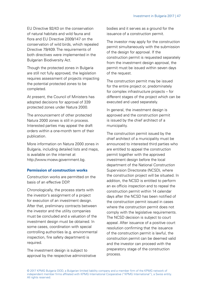EU Directive 92/43 on the conservation of natural habitats and wild fauna and flora and EU Directive 2009/147 on the conservation of wild birds, which repealed Directive 79/409. The requirements of both directives were implemented in the Bulgarian Biodiversity Act.

Though the protected zones in Bulgaria are still not fully approved, the legislation requires assessment of projects impacting the potential protected zones to be completed.

At present, the Council of Ministers has adopted decisions for approval of 339 protected zones under Natura 2000.

The announcement of other protected Natura 2000 zones is still in process. Interested parties may appeal the draft orders within a one-month term of their publication.

More information on Natura 2000 zones in Bulgaria, including detailed lists and maps, is available on the internet at http://www.moew.government.bg.

## **Permission of construction works**

Construction works are permitted on the basis of an effective DDP.

Chronologically, the process starts with the investor's assignment of a project for execution of an investment design. After that, preliminary contracts between the investor and the utility companies must be concluded and a valuation of the investment design must be obtained. In some cases, coordination with special controlling authorities (e.g. environmental inspection, fire safety department) is required.

The investment design is subject to approval by the respective administrative bodies and it serves as a ground for the issuance of a construction permit.

The investor may apply for the construction permit simultaneously with the submission of the design for approval. If the construction permit is requested separately from the investment design approval, the permit must be issued within seven days of the request.

The construction permit may be issued for the entire project or, predominately for complex infrastructure projects – for different stages of the project which can be executed and used separately.

In general, the investment design is approved and the construction permit is issued by the chief architect of a municipality.

The construction permit issued by the chief architect of a municipality must be announced to interested third parties who are entitled to appeal the construction permit together with the approved investment design before the local department of the National Construction Supervision Directorate (NCSD), where the construction project will be situated. In addition, the NCSD is entitled to perform an ex officio inspection and to repeal the construction permit within 14 calendar days after the NCSD has been notified of the construction permit issued in cases where the construction permit does not comply with the legislative requirements. The NCSD decision is subject to court appeal. After issuance of a positive court resolution confirming that the issuance of the construction permit is lawful, the construction permit can be deemed valid and the investor can proceed with the preparatory stage of the construction process.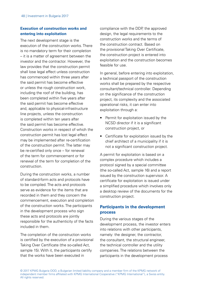## **Execution of construction works and entering into exploitation**

The next development stage is the execution of the construction works. There is no mandatory term for their completion – it is a matter of agreement between the investor and the contractor. However, the law provides that the construction permit shall lose legal effect unless construction has commenced within three years after the said permit has become effective or unless the rough construction work, including the roof of the building, has been completed within five years after the said permit has become effective and, applicable to physical-infrastructure line projects, unless the construction is completed within ten years after the said permit has become effective. Construction works in respect of which the construction permit has lost legal effect may be implemented after re-certification of the construction permit. The latter may be re-certified only once – for renewal of the term for commencement or for renewal of the term for completion of the construction.

During the construction works, a number of standard-form acts and protocols have to be compiled. The acts and protocols serve as evidence for the items that are recorded in them and they concern the commencement, execution and completion of the construction works. The participants in the development process who sign these acts and protocols are jointly responsible for the authenticity of the facts included in them.

The completion of the construction works is certified by the execution of a provisional Taking Over Certificate (the so-called Act, sample 15). With it, the participants certify that the works have been executed in

compliance with the DDP, the approved design, the legal requirements to the construction works and the terms of the construction contract. Based on the provisional Taking Over Certificate, the construction project is entered into exploitation and the construction becomes feasible for use.

In general, before entering into exploitation, a technical passport of the construction works shall be prepared by the respective consultant/technical controller. Depending on the significance of the construction project, its complexity and the associated operational risks, it can enter into exploitation through a:

- Permit for exploitation issued by the NCSD director if it is a significant construction project, or
- Certificate for exploitation issued by the chief architect of a municipality if it is not a significant construction project.

A permit for exploitation is based on a complex procedure which includes a protocol signed by a special committee (the so-called Act, sample 16) and a report issued by the construction supervisor. A certificate for exploitation is issued under a simplified procedure which involves only a desktop review of the documents for the construction project.

## **Participants in the development process**

During the various stages of the development process, the investor enters into relations with other participants, namely: the designer, the contractor, the consultant, the structural engineer, the technical controller and the utility companies. The relations between the participants in the development process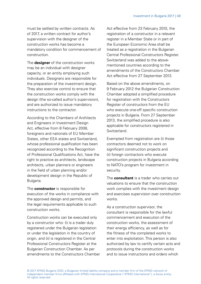must be settled by written contracts. As of 2017, a written contract for author's supervision with the designer of the construction works has become a mandatory condition for commencement of construction.

The **designer** of the construction works may be an individual with designer capacity, or an entity employing such individuals. Designers are responsible for the preparation of the investment design. They also exercise control to ensure that the construction works comply with the design (the so-called author's supervision), and are authorized to issue mandatory instructions to the contractor.

According to the Chambers of Architects and Engineers in Investment Design Act, effective from 8 February 2008, foreigners and nationals of EU Member States, other EEA states and Switzerland, whose professional qualification has been recognized according to the Recognition of Professional Qualifications Act, have the right to practice as architects, landscape architects, urban planners or engineers in the field of urban planning and/or development design in the Republic of Bulgaria.

The **constructor** is responsible for execution of the works in compliance with the approved design and permits, and the legal requirements applicable to such construction works.

Construction works can be executed only by a constructor who: (i) is a trader duly registered under the Bulgarian legislation or under the legislation in the country of origin, and (ii) is registered in the Central Professional Constructors Register at the Bulgarian Construction Chamber. As per amendments to the Constructors Chamber Act effective from 23 February 2010, the registration of a constructor in a relevant register in a Member State or in part of the European Economic Area shall be treated as a registration in the Bulgarian Central Professional Constructors Register. Switzerland was added to the abovementioned countries according to the amendments of the Constructors Chamber Act effective from 27 September 2013.

Based on the above amendments, on 9 February 2012 the Bulgarian Construction Chamber adopted a simplified procedure for registration with the Constructors Register of constructors from the EU who execute one-off specific construction projects in Bulgaria. From 27 September 2013, the simplified procedure is also applicable for constructors registered in Switzerland.

Exempted from registration are (i) those contractors deemed not to work on significant construction projects and (ii) foreign contractors who execute construction projects in Bulgaria according to NATO's program for investment in security.

The **consultant** is a trader who carries out valuations to ensure that the construction work complies with the investment design and exercises supervision over construction works.

As a construction supervisor, the consultant is responsible for the lawful commencement and execution of the construction works, the assessment of their energy efficiency, as well as for the fitness of the completed works to enter into exploitation. This person is also authorized by law to certify certain acts and protocols during the construction works and to issue instructions and orders which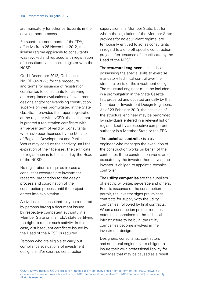are mandatory for other participants in the development process.

Pursuant to amendments of the TDA, effective from 26 November 2012, the license regime applicable to consultants was revoked and replaced with registration of consultants at a special register with the NCSD.

On 11 December 2012, Ordinance No. RD-02-20-25 for the procedure and terms for issuance of registration certificates to consultants for carrying out compliance evaluations of investment designs and/or for exercising construction supervision was promulgated in the State Gazette. It provides that, upon registration at the register with NCSD, the consultant is granted a registration certificate with a five-year term of validity. Consultants who have been licensed by the Minister of Regional Development and Public Works may conduct their activity until the expiration of their licenses. The certificate for registration is to be issued by the Head of the NCSD.

No registration is required in case a consultant executes pre-investment research, preparation for the design process and coordination of the construction process until the project enters into exploitation.

Activities as a consultant may be rendered by persons having a document issued by respective competent authority in a Member State or in an EEA state certifying the right to render such activity. In this case, a subsequent certificate issued by the Head of the NCSD is required.

Persons who are eligible to carry out compliance evaluations of investment designs and/or exercise construction

supervision in a Member State, but for whom the legislation of the Member State provides for no equivalent regime, are temporarily entitled to act as consultants in regard to a one-off specific construction project after issuance of a certificate by the Head of the NCSD.

The **structural engineer** is an individual possessing the special skills to exercise mandatory technical control over the structural parts of the investment design. The structural engineer must be included in a promulgation in the State Gazette list, prepared and updated annually by the Chamber of Investment Design Engineers. As of 23 February 2010, the activities of the structural engineer may be performed by individuals entered in a relevant list or register kept by a respective competent authority in a Member State or the EEA.

The **technical controller** is a civil engineer who manages the execution of the construction works on behalf of the contractor. If the construction works are executed by the investor themselves, the investor is obliged to appoint a technical controller.

The **utility companies** are the suppliers of electricity, water, sewerage and others. Prior to issuance of the construction permit, the investor signs preliminary contracts for supply with the utility companies, followed by final contracts. When a construction project requires external connections to the technical infrastructure to be built, the utility companies become involved in the investment design.

Designers, consultants, contractors and structural engineers are obliged to insure their own professional liability for damages that may be caused as a result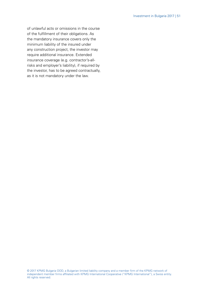of unlawful acts or omissions in the course of the fulfillment of their obligations. As the mandatory insurance covers only the minimum liability of the insured under any construction project, the investor may require additional insurance. Extended insurance coverage (e.g. contractor's-allrisks and employer's liability), if required by the investor, has to be agreed contractually, as it is not mandatory under the law.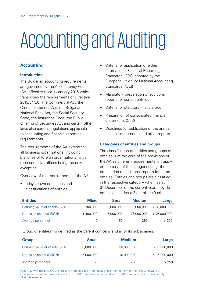# Accounting and Auditing

## **Accounting**

### **Introduction**

The Bulgarian accounting requirements are governed by the Accountancy Act (AA) effective from 1 January 2016 which transposes the requirements of Directive 2013/34/EU. The Commercial Act, the Credit Institutions Act, the Bulgarian National Bank Act, the Social Security Code, the Insurance Code, the Public Offering of Securities Act and certain other laws also contain regulations applicable to accounting and financial reporting requirements.

The requirements of the AA extend to all business organizations, including branches of foreign organizations, with representative offices being the only exception.

Overview of the requirements of the AA:

• It lays down definitions and classifications of entities

- Criteria for application of either International Financial Reporting Standards (IFRS) adopted by the European Union, or National Accounting Standards (NAS)
- Mandatory preparation of additional reports for certain entities
- Criteria for statutory financial audit
- Preparation of consolidated financial statements (CFS)
- Deadlines for publication of the annual financial statements and other reports.

## **Categories of entities and groups**

The classification of entities and groups of entities is at the core of the provisions of the AA as different requirements will apply on the basis of the categories, e.g. the preparation of additional reports for some entities. Entities and groups are classified in the respective category when, as at 31 December of the current year, they do not exceed at least 2 out of the 3 criteria.

| <b>Entities</b>                | <b>Micro</b> | <b>Small</b> | <b>Medium</b> | Large          |
|--------------------------------|--------------|--------------|---------------|----------------|
| Carrying value of assets (BGN) | 700,000      | 8.000.000    | 38.000.000    | $>$ 38,000,000 |
| Net sales revenue (BGN)        | 1,400,000    | 16,000,000   | 76,000,000    | > 76.000.000   |
| Average personnel              | 10           | 50           | 250           | >250           |

"Group of entities" is defined as the parent company and all of its subsidiaries.

| <b>Groups</b>                  | <b>Small</b> | <b>Medium</b> | Large          |
|--------------------------------|--------------|---------------|----------------|
| Carrying value of assets (BGN) | 8,000,000    | 38,000,000    | $>$ 38,000,000 |
| Net sales revenue (BGN)        | 16,000,000   | 76,000,000    | > 76,000,000   |
| Average personnel              | 50           | 250           | >250           |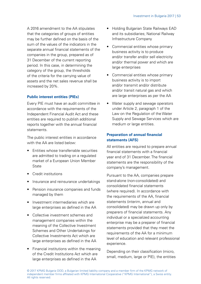A 2016 amendment to the AA stipulates that the categories of groups of entities may be further defined on the basis of the sum of the values of the indicators in the separate annual financial statements of the companies in the group, prepared as of 31 December of the current reporting period. In this case, in determining the category of the group, the thresholds of the criteria for the carrying value of assets and the net sales revenue shall be increased by 20%.

## **Public interest entities (PIEs)**

Every PIE must have an audit committee in accordance with the requirements of the Independent Financial Audit Act and these entities are required to publish additional reports together with the annual financial statements.

The public interest entities in accordance with the AA are listed below:

- Entities whose transferrable securities are admitted to trading on a regulated market of a European Union Member **State**
- Credit institutions
- Insurance and reinsurance undertakings
- Pension insurance companies and funds managed by them
- Investment intermediaries which are large enterprises as defined in the AA
- Collective investment schemes and management companies within the meaning of the Collective Investment Schemes and Other Undertakings for Collective Investments Act which are large enterprises as defined in the AA
- Financial institutions within the meaning of the Credit Institutions Act which are large enterprises as defined in the AA
- Holding Bulgarian State Railways EAD and its subsidiaries; National Railway Infrastructure Company
- Commercial entities whose primary business activity is to produce and/or transfer and/or sell electricity and/or thermal power and which are large enterprises
- Commercial entities whose primary business activity is to import and/or transmit and/or distribute and/or transit natural gas and which are large enterprises as per the AA
- Water supply and sewage operators under Article 2, paragraph 1 of the Law on the Regulation of the Water Supply and Sewage Services which are medium or large entities.

## **Preparation of annual financial statements (AFS)**

All entities are required to prepare annual financial statements with a financial year end of 31 December. The financial statements are the responsibility of the company's management.

Pursuant to the AA, companies prepare stand-alone (non-consolidated) and consolidated financial statements (where required). In accordance with the requirements of the AA, financial statements (interim, annual and consolidated) may be drawn up only by preparers of financial statements. Any individual or a specialized accounting enterprise may be a preparer of financial statements provided that they meet the requirements of the AA for a minimum level of education and relevant professional experience.

Depending on their classification (micro, small, medium, large or PIE), the entities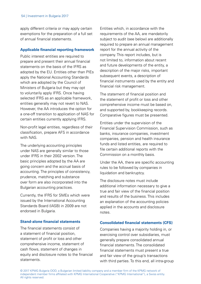apply different criteria or may apply certain exemptions for the preparation of a full set of annual financial statements.

#### **Applicable financial reporting framework**

Public interest entities are required to prepare and present their annual financial statements on the basis of the IFRS as adopted by the EU. Entities other than PIEs apply the National Accounting Standards which are adopted by the Council of Ministers of Bulgaria but they may opt to voluntarily apply IFRS. Once having selected IFRS as an applicable framework, entities generally may not revert to NAS. However, the AA introduces the option for a one-off transition to application of NAS for certain entities currently applying IFRS.

Non-profit legal entities, regardless of their classification, prepare AFS in accordance with NAS.

The underlying accounting principles under NAS are generally similar to those under IFRS in their 2002 version. The basic principles adopted by the AA are going concern and the accrual basis of accounting. The principles of consistency, prudence, matching and substance over form are also incorporated into the Bulgarian accounting practices.

Currently, the IFRS for SMEs which were issued by the International Accounting Standards Board (IASB) in 2009 are not endorsed in Bulgaria.

#### **Stand-alone financial statements**

The financial statements consist of a statement of financial position, statement of profit or loss and other comprehensive income, statement of cash flows, statement of changes in equity and disclosure notes to the financial statements.

Entities which, in accordance with the requirements of the AA, are mandatorily subject to audit (see below) are additionally required to prepare an annual management report for the annual activity of the company. This report includes, but is not limited to, information about recent and future developments of the entity, a description of the major risks, important subsequent events, a description of financial instruments used by the entity and financial risk management.

The statement of financial position and the statement of profit or loss and other comprehensive income must be based on, and supported by, bookkeeping records. Comparative figures must be presented.

Entities under the supervision of the Financial Supervision Commission, such as banks, insurance companies, investment companies, pension and health insurance funds and listed entities, are required to file certain additional reports with the Commission on a monthly basis.

Under the AA, there are specific accounting rules to be followed by companies in liquidation and bankruptcy.

The disclosure notes must include additional information necessary to give a true and fair view of the financial position and results of the business. This includes an explanation of the accounting policies applied in the accounts and disclosure notes.

#### **Consolidated financial statements (CFS)**

Companies having a majority holding in, or exercising control over subsidiaries, must generally prepare consolidated annual financial statements. The consolidated financial statements must present a true and fair view of the group's transactions with third parties. To this end, all intra-group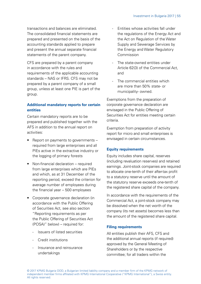transactions and balances are eliminated. The consolidated financial statements are prepared and presented on the basis of the accounting standards applied to prepare and present the annual separate financial statements of the parent company.

CFS are prepared by a parent company in accordance with the rules and requirements of the applicable accounting standards – NAS or IFRS. CFS may not be prepared by a parent company of a small group, unless at least one PIE is part of the group.

## **Additional mandatory reports for certain entities**

Certain mandatory reports are to be prepared and published together with the AFS in addition to the annual report on activities:

- Report on payments to governments required from large enterprises and all PIEs active in the extractive industry or the logging of primary forests
- Non-financial declaration required from large enterprises which are PIEs and which, as at 31 December of the reporting period, exceed the criterion for average number of employees during the financial year – 500 employees
- Corporate governance declaration (in accordance with the Public Offering of Securities Act, see also section "Reporting requirements as per the Public Offering of Securities Act (POSA)" below) – required for:
	- Issuers of listed securities
	- Credit institutions
	- Insurance and reinsurance undertakings
- Entities whose activities fall under the regulations of the Energy Act and the Act on Regulation of the Water Supply and Sewerage Services by the Energy and Water Regulatory Commission
- The state-owned entities under Article 62(3) of the Commercial Act, and
- The commercial entities which are more than 50% state- or municipality- owned.

Exemptions from the preparation of corporate governance declaration are envisaged in the Public Offering of Securities Act for entities meeting certain criteria.

Exemption from preparation of activity report for micro and small enterprises is envisaged in certain circumstances.

### **Equity requirements**

Equity includes share capital, reserves (including revaluation reserves) and retained earnings. Joint-stock companies are required to allocate one-tenth of their after-tax profit to a statutory reserve until the amount of the statutory reserve exceeds one-tenth of the registered share capital of the company.

In accordance with the requirements of the Commercial Act, a joint-stock company may be dissolved when the net worth of the company (its net assets) becomes less than the amount of the registered share capital.

### **Filing requirements**

All entities publish their AFS, CFS and the additional annual reports (if required) approved by the General Meeting of Shareholders or by the respective committee; for all traders within the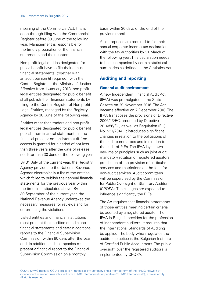meaning of the Commercial Act, this is done through filing with the Commercial Register before 30 June of the following year. Management is responsible for the timely preparation of the financial statements and their content.

Non-profit legal entities designated for public benefit have to file their annual financial statements, together with an audit opinion (if required), with the Central Register at the Ministry of Justice. Effective from 1 January 2018, non-profit legal entities designated for public benefit shall publish their financial statements by filing to the Central Register of Non-profit Legal Entities, managed by the Registry Agency by 30 June of the following year.

Entities other than traders and non-profit legal entities designated for public benefit publish their financial statements in the financial press or on the internet (if free access is granted for a period of not less than three years after the date of release) not later than 30 June of the following year.

By 31 July of the current year, the Registry Agency provides to the National Revenue Agency electronically a list of the entities which failed to publish their annual financial statements for the previous year within the time limit stipulated above. By 30 September of the current year, the National Revenue Agency undertakes the necessary measures for reviews and for determining the violations.

Listed entities and financial institutions must present their audited stand-alone financial statements and certain additional reports to the Financial Supervision Commission within 90 days after the year end. In addition, such companies must present a financial report to the Financial Supervision Commission on a monthly

basis within 30 days of the end of the previous month.

All enterprises are required to file their annual corporate income tax declaration with the tax authorities by 31 March of the following year. This declaration needs to be accompanied by certain statistical summaries as defined in the Statistics Act.

## **Auditing and reporting**

### **General audit environment**

A new Independent Financial Audit Act (IFAA) was promulgated in the State Gazette on 29 November 2016. The Act became effective on 2 December 2016. The IFAA transposes the provisions of Directive 2006/43/EC, amended by Directive 2014/56/EU, as well as Regulation (EU) No. 537/2014. It introduces significant changes in relation to the obligations of the audit committees and in relation to the audit of PIEs. The IFAA lays down new major principles such as joint audit, mandatory rotation of registered auditors, prohibition of the provision of particular services and restrictions on the fees for non-audit services. Audit committees will be supervised by the Commission for Public Oversight of Statutory Auditors (CPOSA). The changes are expected to influence significantly the PIEs.

The AA requires that financial statements of those entities meeting certain criteria be audited by a registered auditor. The IFAA in Bulgaria provides for the profession of independent auditors. It requires that the International Standards of Auditing be applied. The body which regulates the auditors' practice is the Bulgarian Institute of Certified Public Accountants. The public oversight over the registered auditors is implemented by CPOSA.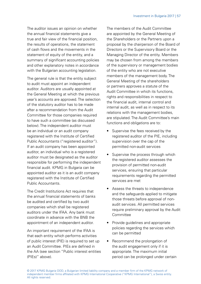The auditor issues an opinion on whether the annual financial statements give a true and fair view of the financial position, the results of operations, the statement of cash flows and the movements in the statement of equity of the entity, and a summary of significant accounting policies and other explanatory notes in accordance with the Bulgarian accounting legislation.

The general rule is that the entity subject to audit must appoint an independent auditor. Auditors are usually appointed at the General Meeting at which the previous year's accounts are approved. The selection of the statutory auditor has to be made after a recommendation from the Audit Committee for those companies required to have such a committee (as discussed below). The independent auditor must be an individual or an audit company registered with the Institute of Certified Public Accountants ("registered auditor"). If an audit company has been appointed auditor, an individual who is a registered auditor must be designated as the auditor responsible for performing the independent financial audit. KPMG in Bulgaria can be appointed auditor as it is an audit company registered with the Institute of Certified Public Accountants.

The Credit Institutions Act requires that the annual financial statements of banks be audited and certified by two audit companies which shall be registered auditors under the IFAA. Any bank must coordinate in advance with the BNB the appointment of an independent auditor.

An important requirement of the IFAA is that each entity which performs activities of public interest (PIE) is required to set up an Audit Committee. PIEs are defined in the AA (see section "Public interest entities (PIEs)" above).

The members of the Audit Committee are appointed by the General Meeting of the Shareholders or the Partners upon a proposal by the chairperson of the Board of Directors or the Supervisory Board or the Managing Director of the entity. Members may be chosen from among the members of the supervisory or management bodies of the entity who are not executive members of the management body. The General Meeting of the shareholders or partners approves a statute of the Audit Committee in which its functions, rights and responsibilities in respect to the financial audit, internal control and internal audit, as well as in respect to its relations with the management bodies, are stipulated. The Audit Committee's main functions and obligations are to:

- Supervise the fees received by the registered auditor of the PIE, including supervision over the cap of the permitted non-audit services
- Supervise the process through which the registered auditor assesses the provision of permitted non-audit services, ensuring that particular requirements regarding the permitted services are met
- Assess the threats to independence and the safeguards applied to mitigate those threats before approval of nonaudit services. All permitted services require preliminary approval by the Audit **Committee**
- Provide quidelines and appropriate policies regarding the services which can be permitted
- Recommend the prolongation of the audit engagement only if it is appropriate. The maximum initial period can be prolonged under certain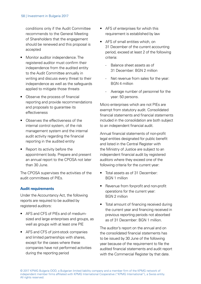conditions only if the Audit Committee recommends to the General Meeting of Shareholders that the engagement should be renewed and this proposal is accepted

- Monitor auditor independence. The registered auditor must confirm their independence from the audited entity to the Audit Committee annually in writing and discuss every threat to their independence as well as the safeguards applied to mitigate those threats
- Observe the process of financial reporting and provide recommendations and proposals to guarantee its effectiveness
- Observes the effectiveness of the internal control system, of the risk management system and the internal audit activity regarding the financial reporting in the audited entity
- Report its activity before the appointment body. Prepare and present an annual report to the CPOSA not later than 30 June.

The CPOSA supervises the activities of the audit committees of PIEs.

### **Audit requirements**

Under the Accountancy Act, the following reports are required to be audited by registered auditors:

- AFS and CFS of PIEs and of mediumsized and large enterprises and groups, as well as groups with at least one PIE
- AFS and CFS of joint-stock companies and limited partnerships with shares, except for the cases where these companies have not performed activities during the reporting period
- AFS of enterprises for which this requirement is established by law
- AFS of small entities which, on 31 December of the current accounting period, exceed at least 2 of the following criteria:
	- Balance sheet assets as of 31 December: BGN 2 million
	- Net revenue from sales for the year: BGN 4 million
	- Average number of personnel for the year: 50 persons.

Micro enterprises which are not PIEs are exempt from statutory audit. Consolidated financial statements and financial statements included in the consolidation are both subject to an independent financial audit.

Annual financial statements of non-profit legal entities designated for public benefit and listed in the Central Register with the Ministry of Justice are subject to an independent financial audit by registered auditors where they exceed one of the following criteria for the current year:

- Total assets as of 31 December: BGN 1 million
- Revenue from for-profit and non-profit operations for the current year: BGN 2 million
- Total amount of financing received during the current year and financing received in previous reporting periods not absorbed as of 31 December: BGN 1 million.

The auditor's report on the annual and on the consolidated financial statements has to be issued by 30 June of the following year because of the requirement to file the audited financial statements and audit report with the Commercial Register by that date.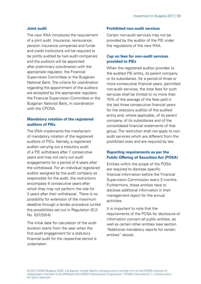#### **Joint audit**

The new IFAA introduces the requirement of a joint audit. Insurance, reinsurance, pension insurance companies and funds and credit institutions will be required to be jointly audited by two audit companies and the auditors will be appointed after preliminary coordination with the appropriate regulator, the Financial Supervision Committee or the Bulgarian National Bank. The criteria for coordination regarding the appointment of the auditors are accepted by the appropriate regulator, the Financial Supervision Committee or the Bulgarian National Bank, in coordination with the CPOSA

## **Mandatory rotation of the registered auditors of PIEs**

The IFAA implements the mechanism of mandatory rotation of the registered auditors of PIEs. Namely, a registered auditor carrying out a statutory audit of a PIE withdraws after 7 consecutive years and may not carry out audit engagements for a period of 4 years after the withdrawal. For an individual registered auditor assigned by the audit company as responsible for the audit, the restrictions encompass 4 consecutive years after which they may not perform the role for 3 years after their withdrawal. There is no possibility for extension of the maximum deadline through a tender procedure (unlike the possibilities set out in Regulation (EU) No. 537/2014).

The initial date for calculation of the audit duration starts from the year when the first audit engagement for a statutory financial audit for the respective period is undertaken.

#### **Prohibited non-audit services**

Certain non-audit services may not be provided by the auditor of the PIE under the regulations of the new IFAA.

## **Cap on fees for non-audit services provided to PIEs**

When the registered auditor provides to the audited PIE entity, its parent company or its subsidiaries, for a period of three or more consecutive financial years, permitted non-audit services, the total fees for such services shall be limited to no more than 70% of the average of the fees paid in the last three consecutive financial years for the statutory audit(s) of the audited entity and, where applicable, of its parent company, of its subsidiaries and of the consolidated financial statements of that group. The restriction shall not apply to nonaudit services which are different from the prohibited ones and are required by law.

## **Reporting requirements as per the Public Offering of Securities Act (POSA)**

Entities within the scope of the POSA are required to disclose specific financial information before the Financial Supervision Commission every 3 months. Furthermore, these entities have to disclose additional information in their management report for the annual activities.

It is important to note that the requirements of the POSA for disclosure of information concern all public entities, as well as certain other entities (see section "Additional mandatory reports for certain entities" above).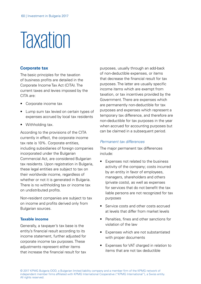## **Taxation**

#### **Corporate tax**

The basic principles for the taxation of business profits are detailed in the Corporate Income Tax Act (CITA). The current taxes and levies imposed by the CITA are:

- Corporate income tax
- Lump sum tax levied on certain types of expenses accrued by local tax residents
- Withholding tax.

According to the provisions of the CITA currently in effect, the corporate income tax rate is 10%. Corporate entities, including subsidiaries of foreign companies incorporated under the Bulgarian Commercial Act, are considered Bulgarian tax residents. Upon registration in Bulgaria, these legal entities are subject to tax on their worldwide income, regardless of whether or not it is generated in Bulgaria. There is no withholding tax or income tax on undistributed profits.

Non-resident companies are subject to tax on income and profits derived only from Bulgarian sources.

#### **Taxable income**

Generally, a taxpayer's tax base is the entity's financial result according to its income statement, further adjusted for corporate income tax purposes. These adjustments represent either items that increase the financial result for tax purposes, usually through an add-back of non-deductible expenses, or items that decrease the financial result for tax purposes. The latter are usually specific income items which are exempt from taxation, or tax incentives provided by the Government. There are expenses which are permanently non-deductible for tax purposes and expenses which represent a temporary tax difference, and therefore are non-deductible for tax purposes in the year when accrued for accounting purposes but can be claimed in a subsequent period.

#### Permanent tax differences

The major permanent tax differences include:

- Expenses not related to the business activity of the company; costs incurred by an entity in favor of employees, managers, shareholders and others (private costs), as well as expenses for services that do not benefit the tax liable persons are not recognized for tax purposes
- Service costs and other costs accrued at levels that differ from market levels
- Penalties, fines and other sanctions for violation of the law
- Expenses which are not substantiated with proper documents
- Expenses for VAT charged in relation to items that are not tax deductible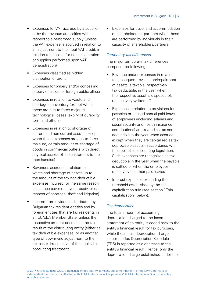- Expenses for VAT accrued by a supplier or by the revenue authorities with respect to a performed supply (unless the VAT expense is accrued in relation to an adjustment to the input VAT credit, in relation to supplies for no consideration or supplies performed upon VAT deregistration)
- Expenses classified as hidden distribution of profit
- Expenses for bribery and/or concealing bribery of a local or foreign public official
- Expenses in relation to waste and shortage of inventory (except when these are due to force majeure, technological losses, expiry of durability term and others)
- Expenses in relation to shortage of current and non-current assets (except when those expenses are due to force majeure, certain amount of shortage of goods in commercial outlets with direct physical access of the customers to the merchandise)
- Revenues accrued in relation to waste and shortage of assets up to the amount of the tax non-deductible expenses incurred for the same reason (insurance cover received, receivables in respect of shortage, theft and litigation)
- Income from dividends distributed by Bulgarian tax resident entities and by foreign entities that are tax residents in an EU/EEA Member State, unless the respective amount decreases the tax result of the distributing entity (either as tax deductible expenses, or as another type of downward adjustment to the tax base), irrespective of the applicable accounting treatment

• Expenses for travel and accommodation of shareholders or partners when these are performed by individuals in their capacity of shareholders/partners.

#### Temporary tax differences

The major temporary tax differences comprise the following:

- Revenue and/or expenses in relation to subsequent revaluation/impairment of assets is taxable, respectively tax deductible, in the year when the respective asset is disposed of, respectively written off
- Expenses in relation to provisions for payables or unused annual paid leave of employees (including salaries and social security and health insurance contributions) are treated as tax nondeductible in the year when accrued, except when they are capitalized as tax depreciable assets in accordance with the applicable accounting legislation. Such expenses are recognized as tax deductible in the year when the payable is settled or when the employees effectively use their paid leaves
- Interest expenses exceeding the threshold established by the thin capitalization rule (see section "Thin capitalization" below).

### Tax depreciation

The total amount of accounting depreciation charged to the income statement of an entity is added back to the entity's financial result for tax purposes, while the annual depreciation charge as per the Tax Depreciation Schedule (TDS) is reported as a decrease to the entity's financial result. Hence, only the depreciation charge established under the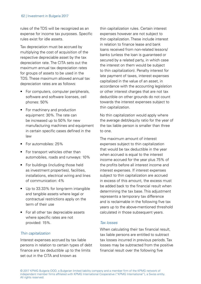#### 62 | Investment in Bulgaria 2017

rules of the TDS will be recognized as an expense for income tax purposes. Specific rules exist for idle assets.

Tax depreciation must be accrued by multiplying the cost of acquisition of the respective depreciable asset by the tax depreciation rate. The CITA sets out the maximum annual tax depreciation rates for groups of assets to be used in the TDS. These maximum allowed annual tax depreciation rates are as follows:

- For computers, computer peripherals, software and software licenses, cell phones: 50%
- For machinery and production equipment: 30%. The rate can be increased up to 50% for new manufacturing machines and equipment in certain specific cases defined in the law
- For automobiles: 25%
- For transport vehicles other than automobiles, roads and runways: 10%
- For buildings (including those held as investment properties), facilities, installations, electrical wiring and lines of communication: 4%
- Up to 33.33% for long-term intangible and tangible assets where legal or contractual restrictions apply on the term of their use
- For all other tax depreciable assets where specific rates are not provided: 15%.

### Thin capitalization

Interest expenses accrued by tax liable persons in relation to certain types of debt finance are tax deductible up to the limits set out in the CITA and known as

thin capitalization rules. Certain interest expenses however are not subject to thin capitalization. These include interest in relation to finance lease and bank loans received from non-related lessors/ banks (unless the loan is guaranteed or secured by a related party, in which case the interest on them would be subject to thin capitalization). Penalty interest for late payment of taxes, interest expenses capitalized in the value of an asset, in accordance with the accounting legislation or other interest charges that are not tax deductible on other grounds do not count towards the interest expenses subject to thin capitalization.

No thin capitalization would apply where the average debt/equity ratio for the year of the tax liable person is smaller than three to one.

The maximum amount of interest expenses subject to thin capitalization that would be tax deductible in the year when accrued is equal to the interest income accrued for the year plus 75% of the profits before all interest income and interest expenses. If interest expenses subject to thin capitalization are accrued in excess of this amount, the excess must be added back to the financial result when determining the tax base. This adjustment represents a temporary tax difference and is reclaimable in the following five tax years up to the above-mentioned threshold calculated in those subsequent years.

### Tax losses

When calculating their tax financial result, tax liable persons are entitled to subtract tax losses incurred in previous periods. Tax losses may be subtracted from the positive financial result over the following five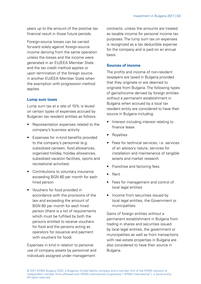years up to the amount of the positive tax financial result in those future periods.

Foreign-source losses can be carried forward solely against foreign-source income deriving from the same operation unless the losses and the income were generated in an EU/EEA Member State and the tax credit method applies or upon termination of the foreign source in another EU/EEA Member State when the exemption with progression method applies

#### **Lump sum taxes**

Lump sum tax at a rate of 10% is levied on certain types of expenses accrued by Bulgarian tax resident entities as follows:

- Representation expenses related to the company's business activity
- Expenses for in-kind benefits provided to the company's personnel (e.g. subsidized canteen, food allowances, organized holiday, holiday allowances, subsidized vacation facilities, sports and recreational activities)
- Contributions to voluntary insurance exceeding BGN 60 per month for each hired person
- Vouchers for food provided in accordance with the provisions of the law and exceeding the amount of BGN 60 per month for each hired person (there is a list of requirements which must be fulfilled by both the persons entitled to receive vouchers for food and the persons acting as operators for issuance and payment with vouchers for food).

Expenses in kind in relation to personal use of company assets by personnel and individuals assigned under management

contracts, unless the amounts are treated as taxable income for personal income tax purposes. The lump sum tax on expenses is recognized as a tax deductible expense for the company and is paid on an annual basis.

#### **Sources of income**

The profits and income of non-resident taxpayers are taxed in Bulgaria provided that they originate or are deemed to originate from Bulgaria. The following types of gains/income derived by foreign entities without a permanent establishment in Bulgaria when accrued by a local tax resident entity are considered to have their source in Bulgaria including:

- Interest including interest relating to finance lease
- **Rovalties**
- Fees for technical services, i.e. services of an advisory nature, services for installation and maintenance of tangible assets and market research
- Franchise and factoring fees
- Rent
- Fees for management and control of local legal entities
- Income from securities issued by local legal entities, the Government or municipalities.

Gains of foreign entities without a permanent establishment in Bulgaria from trading in shares and securities issued by local legal entities, the government or municipalities as well as from transactions with real estate properties in Bulgaria are also considered to have their source in Bulgaria.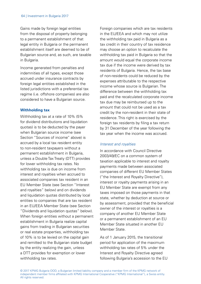Gains made by foreign legal entities from the disposal of property belonging to a permanent establishment of that legal entity in Bulgaria or the permanent establishment itself are deemed to be of Bulgarian source and, as such, are taxable in Bulgaria.

Income generated from penalties and indemnities of all types, except those accrued under insurance contracts by foreign legal entities established in the listed jurisdictions with a preferential tax regime (i.e. offshore companies) are also considered to have a Bulgarian source.

#### **Withholding tax**

Withholding tax at a rate of 10% (5% for dividend distributions and liquidation quotas) is to be deducted by the payer when Bulgarian source income (see Section "Sources of income" above) is accrued by a local tax resident entity to non-resident taxpayers without a permanent establishment in Bulgaria, unless a Double Tax Treaty (DTT) provides for lower withholding tax rates. No withholding tax is due on income from interest and royalties when accrued to associated companies tax resident in an EU Member State (see Section "Interest and royalties" below) and on dividends and liquidation quotas distributed by local entities to companies that are tax resident in an EU/EEA Member State (see Section "Dividends and liquidation quotas" below). When foreign entities without a permanent establishment in Bulgaria realize capital gains from trading in Bulgarian securities or real estate properties, withholding tax of 10% is to be levied on the capital gain and remitted to the Bulgarian state budget by the entity realizing the gain, unless a DTT provides for exemption or lower withholding tax rates.

Foreign companies which are tax residents in the EU/EEA and which may not utilize the withholding tax paid in Bulgaria as a tax credit in their country of tax residence may choose an option to recalculate the withholding tax paid in Bulgaria so that the amount would equal the corporate income tax due if the income were derived by tax residents of Bulgaria. Hence, the tax base of non-residents could be reduced by the expenses attributable to the respective income whose source is Bulgarian. The difference between the withholding tax paid and the recalculated corporate income tax due may be reimbursed up to the amount that could not be used as a tax credit by the non-resident in their state of residence. This right is exercised by the foreign tax residents by filing a tax return by 31 December of the year following the tax year when the income was accrued.

#### Interest and royalties

In accordance with Council Directive 2003/49/EC on a common system of taxation applicable to interest and royalty payments made between associated companies of different EU Member States ("the Interest and Royalty Directive"), interest or royalty payments arising in an EU Member State are exempt from any taxes imposed on those payments in that state, whether by deduction at source or by assessment, provided that the beneficial owner of the interest or royalties is a company of another EU Member State or a permanent establishment of an EU Member State situated in another EU Member State.

As of 1 January 2015, the transitional period for application of the maximum withholding tax rates of 5% under the Interest and Royalty Directive agreed following Bulgaria's accession to the EU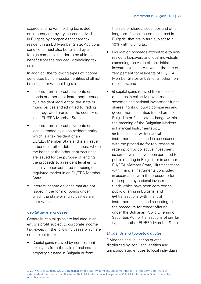expired and no withholding tax is due on interest and royalty income derived in Bulgaria by companies that are tax resident in an EU Member State. Additional conditions must also be fulfilled by a foreign company in order to be able to benefit from the reduced withholding tax rate.

In addition, the following types of income generated by non-resident entities shall not be subject to withholding tax:

- Income from interest payments on bonds or other debt instruments issued by a resident legal entity, the state or municipalities and admitted to trading on a regulated market in the country or in an EU/EEA Member State
- Income from interest payments on a loan extended by a non-resident entity which is a tax resident of an EU/EEA Member State and is an issuer of bonds or other debt securities, where the bonds or the other debt securities are issued for the purpose of lending the proceeds to a resident legal entity and have been admitted to trading on a regulated market in an EU/EEA Member **State**
- Interest income on loans that are not issued in the form of bonds under which the state or municipalities are borrowers.

## Capital gains and losses

Generally, capital gains are included in an entity's profit subject to corporate income tax, except in the following cases which are not subject to tax:

• Capital gains realized by non-resident taxpayers from the sale of real estate property situated in Bulgaria or from

the sale of shares, securities and other long-term financial assets sourced in Bulgaria, that are in turn subject to a 10% withholding tax

- Liquidation proceeds attributable to nonresident taxpayers and local individuals exceeding the value of their initial investment that are taxed at the rate of zero percent for residents of EU/EEA Member States or 5% for all other nonresidents; and
- (i) capital gains realized from the sale of shares in collective investment schemes and national investment funds, shares, rights of public companies and government securities traded on the Bulgarian or EU stock exchange within the meaning of the Bulgarian Markets in Financial Instruments Act, (ii) transactions with financial instruments concluded in accordance with the procedure for repurchase or redemption by collective investment schemes which have been admitted to public offering in Bulgaria or in another EU/EEA Member State, (iii) transactions with financial instruments concluded in accordance with the procedure for redemption by national investment funds which have been admitted to public offering in Bulgaria, and (iv) transactions with financial instruments concluded according to the procedure for tender offering under the Bulgarian Public Offering of Securities Act, or transactions of similar type in another EU/EEA Member State.

## Dividends and liquidation quotas

Dividends and liquidation quotas distributed by local legal entities and unincorporated entities to local individuals,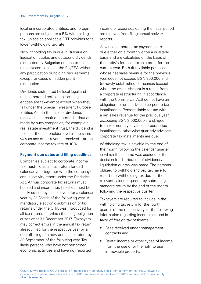local unincorporated entities, and foreign persons are subject to a 5% withholding tax, unless an applicable DTT provides for a lower withholding tax rate.

No withholding tax is due in Bulgaria on liquidation quotas and outbound dividends distributed by Bulgarian entities to tax resident companies in the EU/EEA without any participation or holding requirements, except for cases of hidden profit distribution.

Dividends distributed by local legal and unincorporated entities to local legal entities are tax-exempt except when they fall under the Special Investment Purpose Entities Act. In the case of dividends received as a result of a profit distribution made by such companies, for example a real estate investment trust, the dividend is taxed at the shareholder level in the same way as any other revenue received – at the corporate income tax rate of 10%.

### **Payment due dates and filing deadlines**

Companies subject to corporate income tax must file an annual return for each calendar year together with the company's annual activity report under the Statistics Act. Annual corporate tax returns must be filed and income tax liabilities must be finally settled by all taxpayers for a calendar year by 31 March of the following year. A mandatory electronic submission of tax returns under the CITA was introduced for all tax returns for which the filing obligation arises after 31 December 2017. Taxpayers may correct errors in the annual tax return already filed for the respective year by a one-off filing of a new annual tax return by 30 September of the following year. Tax liable persons who have not performed economic activities and have not reported

income or expenses during the fiscal period are relieved from filing annual activity reports.

Advance corporate tax payments are due either on a monthly or on a quarterly basis and are calculated on the basis of the entity's forecast taxable profit for the current year. Both (i) tax liable persons whose net sales revenue for the previous year does not exceed BGN 300,000 and (ii) newly established companies (except when the establishment is a result from a corporate restructuring in accordance with the Commercial Act) do not have an obligation to remit advance corporate tax installments. Persons liable for tax with a net sales revenue for the previous year exceeding BGN 3,000,000 are obliged to make monthly advance corporate tax installments, otherwise quarterly advance corporate tax installments are due.

Withholding tax is payable by the end of the month following the calendar quarter in which the income was accrued or the decision for distribution of dividends/ liquidation quotas was made. The persons obliged to withhold and pay tax have to report the withholding tax due for the relevant calendar quarter by submitting a standard return by the end of the month following the respective quarter.

Taxpayers are required to include in the withholding tax return for the fourth quarter of the respective year the following information regarding income accrued in favor of foreign tax residents:

- Fees received under management contracts and
- Rental income or other types of income from the use of or the right to use immovable property.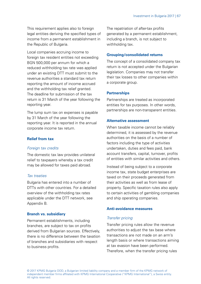This requirement applies also to foreign legal entities deriving the specified types of income from a permanent establishment in the Republic of Bulgaria.

Local companies accruing income to foreign tax resident entities not exceeding BGN 500,000 per annum for which a reduced withholding tax rate was applied under an existing DTT must submit to the revenue authorities a standard tax return reporting the amount of income accrued and the withholding tax relief granted. The deadline for submission of the tax return is 31 March of the year following the reporting year.

The lump sum tax on expenses is payable by 31 March of the year following the reporting year. It is reported in the annual corporate income tax return.

#### **Relief from tax**

#### Foreign tax credits

The domestic tax law provides unilateral relief to taxpayers whereby a tax credit may be allowed for taxes paid abroad.

#### Tax treaties

Bulgaria has entered into a number of DTTs with other countries. For a detailed overview of the withholding tax rates applicable under the DTT network, see Appendix B.

#### **Branch vs. subsidiary**

Permanent establishments, including branches, are subject to tax on profits derived from Bulgarian sources. Effectively, there is no difference between the taxation of branches and subsidiaries with respect to business profits.

The repatriation of after-tax profits generated by a permanent establishment, including a branch, is not subject to withholding tax.

#### **Grouping/consolidated returns**

The concept of a consolidated company tax return is not accepted under the Bulgarian legislation. Companies may not transfer their tax losses to other companies within a corporate group.

#### **Partnerships**

Partnerships are treated as incorporated entities for tax purposes. In other words, partnerships are non-transparent entities.

#### **Alternative assessment**

When taxable income cannot be reliably determined, it is assessed by the revenue authorities on the basis of a number of factors including the type of activities undertaken, duties and fees paid, bank account transfers, capital, turnover, profits of entities with similar activities and others.

Instead of being subject to a corporate income tax, state budget enterprises are taxed on their proceeds generated from their activities as well as from lease of property. Specific taxation rules also annly to certain activities of gambling companies and ship operating companies.

#### **Anti-avoidance measures**

#### Transfer pricing

Transfer pricing rules allow the revenue authorities to adjust the tax base where transactions are not made on an arm's length basis or where transactions aiming at tax evasion have been performed. Therefore, when the transfer pricing rules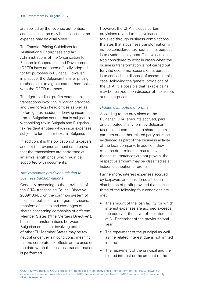are applied by the revenue authorities, additional income may be assessed or an expense may be disallowed.

The Transfer Pricing Guidelines for Multinational Enterprises and Tax Administrations of the Organization for Economic Cooperation and Development (OECD) have not been officially adopted for tax purposes in Bulgaria. However, in practice, the Bulgarian transfer pricing methods are, to a great extent, harmonized with the OFCD methods.

The right to adjust profits extends to transactions involving Bulgarian branches and their foreign head offices as well as to foreign tax residents deriving income from a Bulgarian source that is subject to withholding tax in Bulgaria and Bulgarian tax resident entities which incur expenses subject to lump sum taxes in Bulgaria.

In addition, it is the obligation of taxpayers and not the revenue authorities to prove that the transactions are performed at an arm's length price which must be supported with documents.

## Anti-avoidance provisions relating to business transformations

Generally, according to the provisions of the CITA, transposing Council Directive 2009/133/EC on the common system of taxation applicable to mergers, divisions, transfers of assets and exchanges of shares concerning companies of different Member States ("the Mergers Directive"), business transformations between Bulgarian entities or involving entities of other EU Member States may be tax neutral under certain conditions, meaning that no corporate tax effects are to arise on the date when the business transformation is performed.

However, the CITA includes certain provisions related to tax avoidance achieved through business combinations. It states that a business transformation will not be considered tax neutral if its purpose is to evade tax payment. Tax avoidance is also considered to exist in cases when the business transformation is not carried out for valid economic reasons or its purpose is to conceal the disposal of assets. In this case, following the general provisions of the CITA, it is possible that taxable gains may be realized upon disposal of the assets at market prices.

## Hidden distribution of profits

According to the provisions of the Bulgarian CITA, amounts accrued, paid or distributed in any form by Bulgarian tax resident companies to shareholders partners or another related party must be evidenced as part of the business activity of the local company. In addition, they must be determined at market levels. If these circumstances are not proven, the respective amount may be classified as a hidden distribution of profits.

Furthermore, interest expenses accrued by taxpayers are considered a hidden distribution of profit provided that at least three of the following four conditions are met:

- The amount of the loan facility for which interest expenses are accrued exceeds the equity of the payer of the interest as at 31 December of the previous fiscal year
- The repayment of the principal as well as the related interest due is not limited in time
- The repayment of the principal and the related interest or the amount of the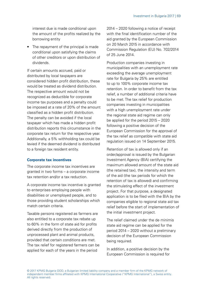interest due is made conditional upon the amount of the profits realized by the borrowing entity

• The repayment of the principal is made conditional upon satisfying the claims of other creditors or upon distribution of dividends.

If certain amounts accrued, paid or distributed by local taxpayers are considered hidden profit distribution, these would be treated as dividend distribution. The respective amount would not be recognized as deductible for corporate income tax purposes and a penalty could be imposed at a rate of 20% of the amount classified as a hidden profit distribution. The penalty can be avoided if the local taxpayer which has made a hidden profit distribution reports this circumstance in the corporate tax return for the respective year. Additionally, a 5% withholding tax could be levied if the deemed dividend is distributed to a foreign tax resident entity.

#### **Corporate tax incentives**

The corporate income tax incentives are granted in two forms – a corporate income tax retention and/or a tax reduction.

A corporate income tax incentive is granted to enterprises employing people with disabilities or unemployed people, and to those providing student scholarships which match certain criteria.

Taxable persons registered as farmers are also entitled to a corporate tax rebate up to 60% in the form of state aid for profits derived directly from the production of unprocessed plant and animal products, provided that certain conditions are met. The tax relief for registered farmers can be applied for each of the years in the period

2014 – 2020 following a notice of receipt with the final identification number of the aid granted by the European Commission on 20 March 2015 in accordance with Commission Regulation (EU) No. 702/2014 of 25 June 2014.

Production companies investing in municipalities with an unemployment rate exceeding the average unemployment rate for Bulgaria by 25% are entitled to up to 100% corporate income tax retention. In order to benefit from the tax relief, a number of additional criteria have to be met. The tax relief for production companies investing in municipalities with a high unemployment rate under the regional state aid regime can only be applied for the period 2015 – 2020 following a positive decision of the European Commission for the approval of the tax relief as compatible with state aid regulation issued on 14 September 2015.

Retention of tax is allowed only if an order/approval is issued by the Bulgarian Investment Agency (BIA) certifying the maximum allowed amount of the state aid (the retained tax), the intensity and term of the aid (the tax periods for which the retention of tax is allowed) and confirming the stimulating effect of the investment project. For that purpose, a designated application is to be filed with the BIA by the companies eligible to regional state aid tax relief before the start of implementation of the initial investment project.

The relief claimed under the de minimis state aid regime can be applied for the period 2014 – 2020 without a preliminary decision of the European Commission being required.

In addition, a positive decision by the European Commission is required for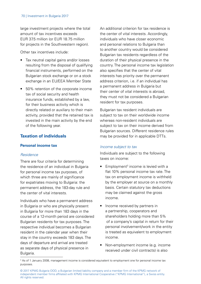large investment projects where the total amount of tax incentives exceeds EUR 37.5 million (or EUR 18.75 million for projects in the Southwestern region).

Other tax incentives include:

- Tax neutral capital gains and/or losses resulting from the disposal of qualifying financial instruments, performed on the Bulgarian stock exchange or on a stock exchange in an EU/EEA Member State
- 50% retention of the corporate income tax of social security and health insurance funds, established by a law, for their business activity which is directly related or auxiliary to their main activity, provided that the retained tax is invested in the main activity by the end of the following year.

## **Taxation of individuals**

#### **Personal income tax**

#### Residence

There are four criteria for determining the residence of an individual in Bulgaria for personal income tax purposes, of which three are mainly of significance for expatriates moving to Bulgaria: the permanent address, the 183-day rule and the center of vital interests.

Individuals who have a permanent address in Bulgaria or who are physically present in Bulgaria for more than 183 days in the course of a 12-month period are considered Bulgarian residents for tax purposes. The respective individual becomes a Bulgarian resident in the calendar year when their stay in the country exceeds 183 days. The days of departure and arrival are treated as separate days of physical presence in Bulgaria.

An additional criterion for tax residence is the center of vital interests. Accordingly, individuals who have closer economic and personal relations to Bulgaria than to another country would be considered Bulgarian tax residents regardless of the duration of their physical presence in the country. The personal income tax legislation also specifies that the center of vital interests has priority over the permanent address criterion, i.e. if an individual has a permanent address in Bulgaria but their center of vital interests is abroad, they must not be considered a Bulgarian resident for tax purposes.

Bulgarian tax resident individuals are subject to tax on their worldwide income whereas non-resident individuals are subject to tax on their income derived from Bulgarian sources. Different residence rules may be provided for in applicable DTTs.

#### Income subject to tax

Individuals are subject to the following taxes on income:

- $\bullet$  Employment<sup>3</sup> income is levied with a flat 10% personal income tax rate. The tax on employment income is withheld by the employer at source on a monthly basis. Certain statutory tax deductions may be claimed against the gross income.
- Income received by partners in a partnership, cooperators and shareholders holding more than 5% of a company's capital in return for their personal involvement/work in the entity is treated as equivalent to employment income.
- Non-employment income (e.g. income received under civil contracts) is also

<sup>&</sup>lt;sup>3</sup> As of 1 January 2008, management income is considered equivalent to employment one for personal income tax purposes.

<sup>© 2017</sup> KPMG Bulgaria OOD, a Bulgarian limited liability company and a member firm of the KPMG network of independent member firms affiliated with KPMG International Cooperative ("KPMG International"), a Swiss entity. All rights reserved.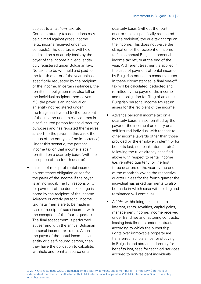subject to a flat 10% tax rate. Certain statutory tax deductions may be claimed against gross income (e.g., income received under civil contracts). The due tax is withheld and paid on a quarterly basis by the payer of the income if a legal entity duly registered under Bulgarian law. No tax is to be withheld and paid for the fourth quarter of the year unless specifically requested by the recipient of the income. In certain instances, the remittance obligation may also fall on the individual recipient themselves if (i) the payer is an individual or an entity not registered under the Bulgarian law and (ii) the recipient of the income under a civil contract is a self-insured person for social security purposes and has reported themselves as such to the payer (in this case, the status of the entity is of no importance). Under this scenario, the personal income tax on that income is again remitted on a quarterly basis (with the exception of the fourth quarter).

• In case of receipt of rental income. no remittance obligation arises for the payer of the income if the payer is an individual. The full responsibility for payment of the due tax charge is borne by the recipient of the income. Advance quarterly personal income tax installments are to be made in case of receipt of such income (with the exception of the fourth quarter). The final assessment is performed at year end with the annual Bulgarian personal income tax return. When the payer of the rental income is an entity or a self-insured person, then they have the obligation to calculate, withhold and remit at source on a

quarterly basis (without the fourth quarter unless specifically requested by the recipient) the due tax charge on the income. This does not waive the obligation of the recipient of income to file an annual Bulgarian personal income tax return at the end of the year. A different treatment is applied in the case of payment of rental income by Bulgarian entities to condominiums. In these circumstances, a final one-off tax will be calculated, deducted and remitted by the payer of the income and no obligation for filing of an annual Bulgarian personal income tax return arises for the recipient of the income.

- Advance personal income tax on a quarterly basis is also remitted by the payer of the income if an entity or a self-insured individual with respect to other income (awards other than those provided by the employer, indemnity for benefits lost, non-bank interest, etc.) following the rules already specified above with respect to rental income (i.e. remitted quarterly for the first three quarters of the year by the end of the month following the respective quarter unless for the fourth quarter the individual has asked payments to also be made in which case withholding and remittance will continue).
- A 10% withholding tax applies to interest, rents, royalties, capital gains, management income, income received under franchise and factoring contracts, leasing installments under contracts according to which the ownership rights over immovable property are transferred, scholarships for studying in Bulgaria and abroad, indemnity for benefits lost, fees for technical services accrued to non-resident individuals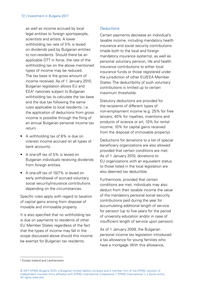as well as income accrued by local legal entities to foreign sportspeople. scientists and artists. A lower withholding tax rate of 5% is levied on dividends paid by Bulgarian entities to non-residents. Should there be an applicable DTT in force, the rate of the withholding tax on the above mentioned types of income may be reduced. The tax base is the gross amount of income received. As of 1 January 2010, Bulgarian legislation allows EU and EEA4 nationals subject to Bulgarian withholding tax to calculate the tax base and the due tax following the same rules applicable to local residents, i.e. the application of deductions from gross income is possible through the filing of an annual Bulgarian personal income tax return.

- A withholding tax of 8% is due on interest income accrued on all types of bank accounts.
- A one-off tax of 5% is levied on Bulgarian individuals receiving dividends from foreign entities.
- A one-off tax of 10/7% is levied on early withdrawal of accrued voluntary social security/insurance contributions depending on the circumstances.

Specific rules apply with regard to taxation of capital gains arising from disposal of movable and immovable property.

It is also specified that no withholding tax is due on payments to residents of other EU Member States regardless of the fact that the types of income may fall in the scope discussed above should this income be exempt for Bulgarian tax residents.

## **Deductions**

Certain payments decrease an individual's taxable income, including mandatory health insurance and social security contributions (made both to the local and foreign mandatory insurance systems), as well as personal voluntary pension, life and health insurance contributions to either local insurance funds or those registered under the jurisdiction of other EU/EEA Member States. The deductibility of such voluntary contributions is limited up to certain maximum thresholds.

Statutory deductions are provided for the recipients of different types of non-employment income (e.g. 25% for free lancers; 40% for royalties, inventions and products of science or art; 10% for rental income; 10% for capital gains received from the disposal of immovable property).

Deductions for donations to a list of special beneficiary organizations are also allowed provided that certain conditions are met. As of 1 January 2010, donations to EU organizations with an equivalent status to those listed in the local legislation are also deemed tax deductible.

Furthermore, provided that certain conditions are met, individuals may also deduct from their taxable income the value of the mandatory personal social security contributions paid during the year for accumulating additional length of service for pension (up to five years for the period of university education and/or in case of insufficient length of service upon pension).

As of 1 January 2009, the Bulgarian personal income tax legislation introduced a tax allowance for young families who have a mortgage. With this allowance,

<sup>4</sup> Except Iceland and Liechtenstein

<sup>© 2017</sup> KPMG Bulgaria OOD, a Bulgarian limited liability company and a member firm of the KPMG network of independent member firms affiliated with KPMG International Cooperative ("KPMG International"), a Swiss entity. All rights reserved.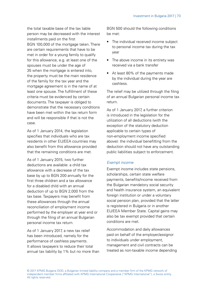the total taxable base of the tax liable person may be decreased with the interest installments paid on the first BGN 100,000 of the mortgage taken. There are certain requirements that have to be met in order for a young family to qualify for this allowance, e.g. at least one of the spouses must be under the age of 35 when the mortgage is entered into, the property must be the main residence of the family for the tax year and the mortgage agreement is in the name of at least one spouse. The fulfillment of these criteria must be evidenced by certain documents. The taxpayer is obliged to demonstrate that the necessary conditions have been met within the tax return form and will be responsible if that is not the case.

As of 1 January 2014, the legislation specifies that individuals who are tax residents in other EU/EEA countries may also benefit from this allowance provided that the remaining conditions are met.

As of 1 January 2015, two further deductions are available: a child tax allowance with a decrease of the tax base by up to BGN 200 annually for the first three children and a tax allowance for a disabled child with an annual deduction of up to BGN 2,000 from the tax base. Taxpayers may benefit from these allowances through the annual reconciliation of employment income performed by the employer at year end or through the filing of an annual Bulgarian personal income tax return.

As of 1 January 2017, a new tax relief has been introduced, namely for the performance of cashless payments. It allows taxpayers to reduce their total annual tax liability by 1% but no more than BGN 500 should the following conditions be met:

- The individual received income subject to personal income tax during the tax year
- The above income in its entirety was received via a bank transfer
- At least 80% of the payments made by the individual during the year are cashless.

The relief may be utilized through the filing of an annual Bulgarian personal income tax return.

As of 1 January 2017, a further criterion is introduced in the legislation for the utilization of all deductions (with the exception of the statutory deduction applicable to certain types of non-employment income specified above): the individual benefitting from the deduction should not have any outstanding public liabilities subject to enforcement.

## Exempt income

Exempt income includes state pensions, scholarships, certain state welfare payments, benefits/income received from the Bulgarian mandatory social security and health insurance system, an equivalent foreign institution or under a voluntary social pension plan, provided that the latter is registered in Bulgaria or in another EU/EEA Member State. Capital gains may also be tax exempt provided that certain conditions are met.

Accommodation and daily allowances paid on behalf of the employer/assignor to individuals under employment, management and civil contracts can be treated as non-taxable income depending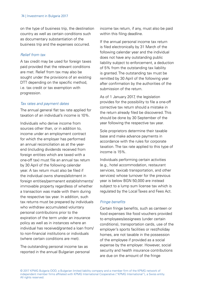on the type of business trip, the destination country as well as certain conditions such as documentary substantiation of the business trip and the expenses occurred.

## Relief from tax

A tax credit may be used for foreign taxes paid provided that the relevant conditions are met. Relief from tax may also be sought under the provisions of an existing DTT depending on the specific method. i.e. tax credit or tax exemption with progression.

## Tax rates and payment dates

The annual general flat tax rate applied for taxation of an individual's income is 10%.

Individuals who derive income from sources other than, or in addition to, income under an employment contract for which the employer has performed an annual reconciliation as at the yearend (including dividends received from foreign entities which are taxed with a one-off tax) must file an annual tax return by 30 April of the following calendar year. A tax return must also be filed if the individual owns shares/allotment in foreign entities/permanent establishments/ immovable property regardless of whether a transaction was made with them during the respective tax year. In addition, such tax returns must be prepared by individuals who withdraw accumulated voluntary personal contributions prior to the expiration of the term under an insurance policy as well as in instances where an individual has received/granted a loan from/ to non-financial institutions or individuals (where certain conditions are met).

The outstanding personal income tax as reported in the annual Bulgarian personal income tax return, if any, must also be paid within this filing deadline.

If the annual personal income tax return is filed electronically by 31 March of the following calendar year and the individual does not have any outstanding public liability subject to enforcement, a deduction of 5% from the outstanding tax liability is granted. The outstanding tax must be remitted by 30 April of the following year after confirmation by the authorities of the submission of the return.

As of 1 January 2017, the legislation provides for the possibility to file a one-off corrective tax return should a mistake in the return already filed be discovered. This should be done by 30 September of the year following the respective tax year.

Sole proprietors determine their taxable base and make advance payments in accordance with the rules for corporate taxation. The tax rate applied to this type of income is 15%.

Individuals performing certain activities (e.g., hotel accommodation, restaurant services, taxicab transportation, and other services) whose turnover for the previous year is below BGN 50,000 are instead subject to a lump sum license tax which is regulated by the Local Taxes and Fees Act.

## Fringe benefits

Certain fringe benefits, such as canteen or food expenses like food vouchers provided to employees/assignees (under certain conditions), transportation cards, use of the employer's sports facilities or rest/holiday homes, are not taxable in the possession of the employee if provided as a social expense by the employer. However, social security and health insurance contributions are due on the amount of the fringe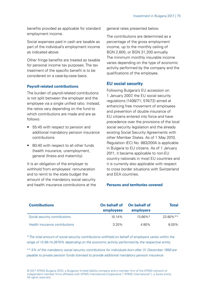benefits provided as applicable for standard employment income.

Social expenses paid in cash are taxable as part of the individual's employment income as indicated above.

Other fringe benefits are treated as taxable for personal income tax purposes. The tax treatment of the specific benefit is to be considered on a case-by-case basis.

#### **Payroll-related contributions**

The burden of payroll-related contributions is not split between the employer and the employee via a single unified ratio. Instead, the ratios vary depending on the fund to which contributions are made and are as follows:

- 55:45 with respect to pension and additional mandatory pension insurance contributions
- 60:40 with respect to all other funds (health insurance, unemployment, general illness and maternity).

It is an obligation of the employer to withhold from employees' remuneration and to remit to the state budget the amount of the mandatory social security and health insurance contributions at the general rates presented below.

The contributions are determined as a percentage of the gross employment income, up to the monthly ceiling of BGN 2,600, or BGN 31,200 annually. The minimum monthly insurable income varies depending on the type of economic activity performed by the company and the qualifications of the employee.

## **EU social security**

Following Bulgaria's EU accession on 1 January 2007, the EU social security regulations (1408/71; 574/72) aimed at enhancing free movement of employees and prevention of double insurance of EU citizens entered into force and have precedence over the provisions of the local social security legislation and the already existing Social Security Agreements with other Member States. As of 1 May 2010, Regulation (EC) No. 883/2004 is applicable in Bulgaria to EU citizens. As of 1 January 2011, it became applicable to non-EU country nationals in most EU countries and it is currently also applicable with respect to cross border situations with Switzerland and EEA countries.

#### **Persons and territories covered**

| <b>Contributions</b>           | On behalf of<br>employees | On behalf of<br>employers | Total     |
|--------------------------------|---------------------------|---------------------------|-----------|
| Social security contributions  | 10.14%                    | $13.66\%$ <sup>*</sup>    | 23.80% ** |
| Health insurance contributions | 3.20%                     | 4.80%                     | 8.00%     |

\* The total amount of social security contributions withheld on behalf of employers varies within the range of 13.56-14.2670% depending on the economic activity performed by the respective entity.

\*\* 5% of the mandatory social security contributions for individuals born after 31 December 1959 are payable to private pension funds licensed to provide additional mandatory pension insurance.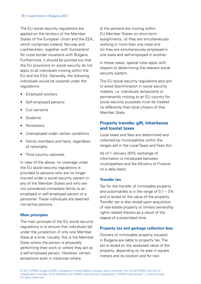The EU social security regulations are applied on the territory of the Member States of the European Union and the EEA, which comprises Iceland, Norway and Liechtenstein, together with Switzerland for cross border situations with Bulgaria. Furthermore, it should be pointed out that the EU provisions on social security do not apply to all individuals moving within the EU and the EEA. Generally, the following individuals would be covered under the regulations:

- Employed workers
- Self-employed persons
- Civil servants
- Students
- Pensioners
- Unemployed under certain conditions
- Family members and heirs, regardless of nationality
- Third country nationals.

In view of the above, no coverage under the EU social security regulations is provided to persons who are no longer insured under a social security system in any of the Member States and who are not considered immediate family to an employed or self-employed person or a pensioner. These individuals are deemed non-active persons.

#### **Main principles**

The main principle of the EU social security regulations is to ensure that individuals fall under the jurisdiction of only one Member State at a time. Usually, this is the Member State where the person is physically performing their work or where they act as a self-employed person. However, certain exceptions exist in instances where

(i) the persons are moving within EU Member States on short-term assignments, (ii) they are simultaneously working in more than one state and (iii) they are simultaneously employed in one state and self-employed in another.

In these cases, special rules apply with respect to determining the relevant social security system.

The EU social security regulations also aim to avoid discrimination in social security matters, i.e. individuals temporarily or permanently moving to an EU country for social security purposes must be treated no differently than local citizens of that Member State.

# **Property transfer, gift, inheritance and tourist taxes**

Local taxes and fees are determined and collected by municipalities within the ranges set in the Local Taxes and Fees Act.

As of 1 January 2015, exchange of information is introduced between municipalities and the Ministry of Finance on a daily basis.

## **Transfer tax**

Tax for the transfer of immovable property and automobiles is in the range of 0.1 – 3% and is levied on the value of the property. Transfer tax is also levied upon acquisition of real estate property or limited ownership rights related thereto as a result of the elapse of a prescribed time.

## **Property tax and garbage collection fees**

Owners of immovable property situated in Bulgaria are liable to property tax. The tax is levied on the assessed value of the property, depending on its area in square meters and its location and for non-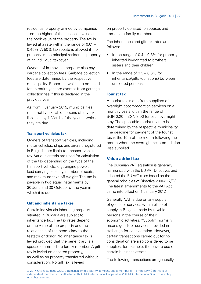residential property owned by companies – on the higher of the assessed value and the book value of the property. The tax is levied at a rate within the range of 0.01 – 0.45%. A 50% tax rebate is allowed if the property is the principal residential property of an individual taxpayer.

Owners of immovable property also pay garbage collection fees. Garbage collection fees are determined by the respective municipality. Properties which are not used for an entire year are exempt from garbage collection fee if this is declared in the previous year.

As from 1 January 2015, municipalities must notify tax liable persons of any tax liabilities by 1 March of the year in which they are due.

#### **Transport vehicles tax**

Owners of transport vehicles, including motor vehicles, ships and aircraft registered in Bulgaria, are liable to transport vehicles tax. Various criteria are used for calculation of the tax depending on the type of the transport vehicle, e.g. engine power, load-carrying capacity, number of seats, and maximum take-off weight. The tax is payable in two equal installments by 30 June and 30 October of the year in which it is due.

## **Gift and inheritance taxes**

Certain individuals inheriting property situated in Bulgaria are subject to inheritance tax. The tax rates depend on the value of the property and the relationship of the beneficiary to the testator or donor. No inheritance tax is levied provided that the beneficiary is a spouse or immediate family member. A gift tax is levied on donated property, as well as on property transferred without consideration. No gift tax is levied

on property donated to spouses and immediate family members.

The inheritance and gift tax rates are as follows:

- In the range of 0.4 0.8% for property inherited by/donated to brothers, sisters and their children
- In the range of  $3.3 6.6\%$  for inheritance/gifts (donations) between unrelated persons.

## **Tourist tax**

A tourist tax is due from suppliers of overnight accommodation services on a monthly basis within the range of BGN 0.20 – BGN 3.00 for each overnight stay. The applicable tourist tax rate is determined by the respective municipality. The deadline for payment of the tourist tax is the 15th of the month following the month when the overnight accommodation was supplied.

# **Value added tax**

The Bulgarian VAT legislation is generally harmonized with the EU VAT Directives and adopted the EU VAT rules based on the general principles of Directive 2006/112/EC. The latest amendments to the VAT Act came into effect on 1 January 2017.

Generally, VAT is due on any supply of goods or services with a place of supply in Bulgaria made by taxable persons in the course of their economic activities. "Supply" normally means goods or services provided in exchange for consideration. However, certain transactions carried out for no consideration are also considered to be supplies, for example, the private use of certain business assets.

The following transactions are generally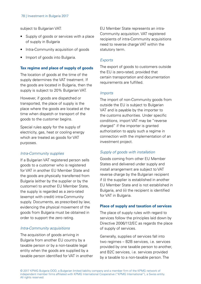subject to Bulgarian VAT:

- Supply of goods or services with a place of supply in Bulgaria
- Intra-Community acquisition of goods
- Import of goods into Bulgaria.

#### **Tax regime and place of supply of goods**

The location of goods at the time of the supply determines the VAT treatment. If the goods are located in Bulgaria, then the supply is subject to 20% Bulgarian VAT.

However, if goods are dispatched or transported, the place of supply is the place where the goods are located at the time when dispatch or transport of the goods to the customer begins.

Special rules apply for the supply of electricity, gas, heat or cooling energy which are treated as goods for VAT purposes.

#### Intra-Community supplies

If a Bulgarian VAT registered person sells goods to a customer who is registered for VAT in another EU Member State and the goods are physically transferred from Bulgaria (either by the supplier or by the customer) to another EU Member State, the supply is regarded as a zero-rated (exempt with credit) intra-Community supply. Documents, as prescribed by law, evidencing the physical movement of the goods from Bulgaria must be obtained in order to support the zero rating.

#### Intra-Community acquisitions

The acquisition of goods arriving in Bulgaria from another EU country by a taxable person or by a non-taxable legal entity when the goods are supplied by a taxable person identified for VAT in another EU Member State represents an intra-Community acquisition. VAT registered recipients of intra-Community acquisitions need to reverse charge VAT within the statutory term.

#### **Exports**

The export of goods to customers outside the EU is zero-rated, provided that certain transportation and documentation requirements are fulfilled.

#### Imports

The import of non-Community goods from outside the EU is subject to Bulgarian VAT and is payable by the importer to the customs authorities. Under specific conditions, import VAT may be "reverse charged" if the importer is granted authorization to apply such a regime in connection with the implementation of an investment project.

#### Supply of goods with installation

Goods coming from other EU Member States and delivered under supply and install arrangement are subject to VAT reverse charge by the Bulgarian recipient if (i) the supplier is established in another EU Member State and is not established in Bulgaria, and (ii) the recipient is identified for VAT in Bulgaria.

#### **Place of supply and taxation of services**

The place of supply rules with regard to services follow the principles laid down by Directive 2006/112/EC as regards the place of supply of services.

Generally, supplies of services fall into two regimes – B2B services, i.e. services provided by one taxable person to another, and B2C services, i.e. services provided by a taxable to a non-taxable person. The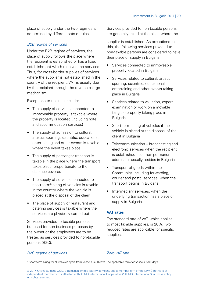place of supply under the two regimes is determined by different sets of rules.

#### B2B regime of services

Under the B2B regime of services, the place of supply follows the place where the recipient is established or has a fixed establishment which receives the services. Thus, for cross-border supplies of services where the supplier is not established in the country of the recipient, VAT is usually due by the recipient through the reverse charge mechanism.

Exceptions to this rule include:

- The supply of services connected to immoveable property is taxable where the property is located (including hotel and accommodation services)
- The supply of admission to cultural. artistic, sporting, scientific, educational, entertaining and other events is taxable where the event takes place
- The supply of passenger transport is taxable in the place where the transport takes place, proportionate to the distance covered
- The supply of services connected to short-term5 hiring of vehicles is taxable in the country where the vehicle is placed at the disposal of the client
- The place of supply of restaurant and catering services is taxable where the services are physically carried out.

Services provided to taxable persons but used for non-business purposes by the owner or the employees are to be treated as services provided to non-taxable persons (B2C).

Services provided to non-taxable persons are generally taxed at the place where the

supplier is established. As exceptions to this, the following services provided to non-taxable persons are considered to have their place of supply in Bulgaria:

- Services connected to immoveable property located in Bulgaria
- Services related to cultural, artistic, sporting, scientific, educational, entertaining and other events taking place in Bulgaria
- Services related to valuation, expert examination or work on a movable tangible property taking place in Bulgaria
- Short-term hiring of vehicles if the vehicle is placed at the disposal of the client in Bulgaria
- Telecommunication broadcasting and electronic services when the recipient is established, has their permanent address or usually resides in Bulgaria
- Transport of goods within the Community, including forwarding, courier and postal services, when the transport begins in Bulgaria
- Intermediary services, when the underlying transaction has a place of supply in Bulgaria.

## **VAT rates**

The standard rate of VAT, which applies to most taxable supplies, is 20%. Two reduced rates are applicable for specific supplies.

#### B2C regime of services

#### Zero VAT rate

<sup>5</sup> Short-term hiring for all vehicles apart from vessels is 30 days. The applicable term for vessels is 90 days.

<sup>© 2017</sup> KPMG Bulgaria OOD, a Bulgarian limited liability company and a member firm of the KPMG network of independent member firms affiliated with KPMG International Cooperative ("KPMG International"), a Swiss entity. All rights reserved.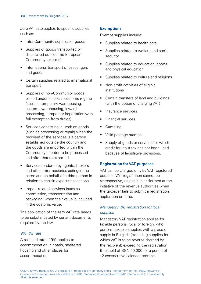Zero VAT rate applies to specific supplies such as:

- Intra-Community supplies of goods
- Supplies of goods transported or dispatched outside the European Community (exports)
- International transport of passengers and goods
- Certain supplies related to international transport
- Supplies of non-Community goods placed under a special customs regime (such as temporary warehousing, customs warehousing, inward processing, temporary importation with full exemption from duties)
- Services consisting in work on goods (such as processing or repair) when the recipient of the services is a person established outside the country and the goods are imported within the Community in order to be processed and after that re-exported
- Services rendered by agents, brokers and other intermediaries acting in the name and on behalf of a third person in relation to certain export transactions
- Import related services (such as commission, transportation and packaging) when their value is included in the customs value.

The application of the zero VAT rate needs to be substantiated by certain documents required by the law.

## 9% VAT rate

A reduced rate of 9% applies to accommodation in hotels, sheltered housing and other places for accommodation.

## **Exemptions**

Exempt supplies include:

- Supplies related to health care
- Supplies related to welfare and social security
- Supplies related to education, sports and physical education
- Supplies related to culture and religions
- Non-profit activities of eligible institutions
- Certain transfers of land and buildings (with the option of charging VAT)
- Insurance services
- Financial services
- Gambling
- Valid postage stamps
- Supply of goods or services for which credit for input tax has not been used because of legislative provisions.

## **Registration for VAT purposes**

VAT can be charged only by VAT registered persons. VAT registration cannot be retrospective, unless it is performed at the initiative of the revenue authorities when the taxpayer fails to submit a registration application on time.

## Mandatory VAT registration for local supplies

Mandatory VAT registration applies for taxable persons, local or foreign, who perform taxable supplies with a place of supply in Bulgaria (excluding supplies for which VAT is to be reverse charged by the recipient) exceeding the registration threshold of BGN 50,000 for a period of 12 consecutive calendar months.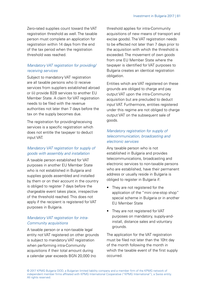Zero-rated supplies count toward the VAT registration threshold as well. The taxable person must complete an application for registration within 14 days from the end of the tax period when the registration threshold was reached.

## Mandatory VAT registration for providing/ receiving services

Subject to mandatory VAT registration are all taxable persons who (i) receive services from suppliers established abroad or (ii) provide B2B services to another EU Member State. A claim for VAT registration needs to be filed with the revenue authorities not later than 7 days before the tax on the supply becomes due.

The registration for providing/receiving services is a specific registration which does not entitle the taxpayer to deduct input VAT.

## Mandatory VAT registration for supply of goods with assembly and installation

A taxable person established for VAT purposes in another EU Member State who is not established in Bulgaria and supplies goods assembled and installed by them or on their account in the country is obliged to register 7 days before the chargeable event takes place, irrespective of the threshold reached. This does not apply if the recipient is registered for VAT purposes in Bulgaria.

## Mandatory VAT registration for intra-Community acquisitions

A taxable person or a non-taxable legal entity not VAT registered on other grounds is subject to mandatory VAT registration when performing intra-Community acquisitions if their total amount during a calendar year exceeds BGN 20,000 (no

threshold applies for intra-Community acquisitions of new means of transport and excise goods). The VAT registration needs to be effected not later than 7 days prior to the acquisition with which the threshold is exceeded. The movement of own goods from one EU Member State where the taxpayer is identified for VAT purposes to Bulgaria creates an identical registration obligation.

Entities which are VAT registered on these grounds are obliged to charge and pay output VAT upon the intra-Community acquisition but are precluded to deduct input VAT. Furthermore, entities registered under this regime are not obliged to charge output VAT on the subsequent sale of goods.

## Mandatory registration for supply of telecommunication, broadcasting and electronic services

Any taxable person who is not established in Bulgaria and provides telecommunications, broadcasting and electronic services to non-taxable persons who are established, have their permanent address or usually reside in Bulgaria is obliged to register in Bulgaria if:

- They are not registered for the application of the "mini one-stop shop" special scheme in Bulgaria or in another EU Member State
- They are not registered for VAT purposes on mandatory, supply-andinstall, distance sales and voluntary grounds.

The application for the VAT registration must be filed not later than the 10ht day of the month following the month in which the taxable event of the first supply occurred.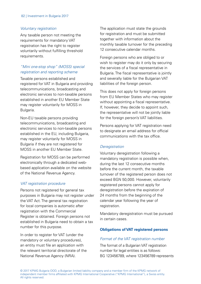#### Voluntary registration

Any taxable person not meeting the requirements for mandatory VAT registration has the right to register voluntarily without fulfilling threshold requirements.

## "Mini one-stop shop" (MOSS) special registration and reporting scheme

Taxable persons established and registered for VAT in Bulgaria and providing telecommunications, broadcasting and electronic services to non-taxable persons established in another EU Member State may register voluntarily for MOSS in Bulgaria.

Non-EU taxable persons providing telecommunications, broadcasting and electronic services to non-taxable persons established in the EU, including Bulgaria, may register voluntarily for MOSS in Bulgaria if they are not registered for MOSS in another EU Member State.

Registration for MOSS can be performed electronically through a dedicated webbased application available on the website of the National Revenue Agency.

## VAT registration procedure

Persons not registered for general tax purposes in Bulgaria may not register under the VAT Act. The general tax registration for local companies is automatic after registration with the Commercial Register is obtained. Foreign persons not established in Bulgaria need to obtain a tax number for this purpose.

In order to register for VAT (under the mandatory or voluntary procedures), an entity must file an application with the relevant territorial directorate of the National Revenue Agency (NRA).

The application must state the grounds for registration and must be submitted together with information about the monthly taxable turnover for the preceding 12 consecutive calendar months.

Foreign persons who are obliged to or wish to register may do it only by securing the services of a fiscal representative in Bulgaria. The fiscal representative is jointly and severally liable for the Bulgarian VAT liabilities of the foreign person.

This does not apply for foreign persons from EU Member States who may register without appointing a fiscal representative. If, however, they decide to appoint such, the representative will not be jointly liable for the foreign person's VAT liabilities.

Persons applying for VAT registration need to designate an email address for official communications with the tax office.

## **Deregistration**

Voluntary deregistration following a mandatory registration is possible when. during the last 12 consecutive months before the current month, the taxable turnover of the registered person does not exceed BGN 50,000. However, voluntarily registered persons cannot apply for deregistration before the expiration of 24 months from the beginning of the calendar year following the year of registration.

Mandatory deregistration must be pursued in certain cases.

## **Obligations of VAT registered persons**

## Format of the VAT registration number

The format of a Bulgarian VAT registration number for legal entities is as follows: BG 123456789, where 123456789 represents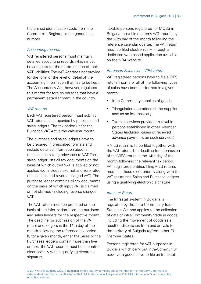the unified identification code from the Commercial Register or the general tax number.

## Accounting records

VAT registered persons must maintain detailed accounting records which must be adequate for the determination of their VAT liabilities. The VAT Act does not provide for the form or the level of detail of the accounting information that has to be kept. The Accountancy Act, however, regulates this matter for foreign persons that have a permanent establishment in the country.

## VAT returns

Each VAT registered person must submit VAT returns accompanied by purchase and sales ledgers. The tax period under the Bulgarian VAT Act is the calendar month.

The purchase and sales ledgers have to be prepared in prescribed formats and include detailed information about all transactions having relevance to VAT. The sales ledger lists all tax documents on the basis of which output VAT is applied or not applied (i.e. includes exempt and zero-rated transactions and reverse charged VAT). The purchase ledger contains all tax documents on the basis of which input VAT is claimed or not claimed (including reverse charged VAT).

The VAT return must be prepared on the basis of the information from the purchase and sales ledgers for the respective month. The deadline for submission of the VAT return and ledgers is the 14th day of the month following the reference tax period. If, for a given month, either the Sales or the Purchases ledgers contain more than five entries, the VAT records must be submitted electronically with a qualifying electronic signature.

Taxable persons registered for MOSS in Bulgaria must file quarterly VAT returns by the 20th day of the month following the reference calendar quarter. The VAT return must be filed electronically through a dedicated web-based application available on the NRA website.

## European Sales List – VIES return

VAT registered persons have to file a VIES return if some or all of the following types of sales have been performed in a given month:

- Intra-Community supplies of goods
- Triangulation operations (if the supplier acts as an intermediary)
- Taxable services provided to taxable persons established in other Member States (including cases of received advance payments on such services)

A VIES return is to be filed together with the VAT return. The deadline for submission of the VIES return is the 14th day of the month following the relevant tax period. VAT registered entities filing VIES returns must file these electronically along with the VAT return and Sales and Purchase ledgers using a qualifying electronic signature.

## Intrastat Return

The Intrastat system in Bulgaria is regulated by the Intra-Community Trade Statistics Act and applies to the collection of data of intra-Community trade in goods, including the movement of goods as a result of dispatches from and arrivals to the territory of Bulgaria to/from other EU Member States.

Persons registered for VAT purposes in Bulgaria which carry out intra-Community trade with goods have to file an Intrastat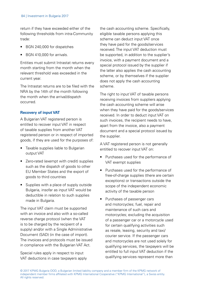return if they have exceeded either of the following thresholds from intra-Community trade:

- BGN 240,000 for dispatches
- BGN 410,000 for arrivals.

Entities must submit Intrastat returns every month starting from the month when the relevant threshold was exceeded in the current year.

The Intrastat returns are to be filed with the NRA by the 14th of the month following the month when the arrival/dispatch occurred.

## **Recovery of input VAT**

A Bulgarian VAT registered person is entitled to recover input VAT in respect of taxable supplies from another VAT registered person or in respect of imported goods, if they are used for the purposes of:

- Taxable supplies liable to Bulgarian output VAT
- Zero-rated (exempt with credit) supplies such as the dispatch of goods to other EU Member States and the export of goods to third countries
- Supplies with a place of supply outside Bulgaria, insofar as input VAT would be deductible in relation to such supplies made in Bulgaria.

The input VAT claim must be supported with an invoice and also with a so-called reverse charge protocol (when the VAT is to be charged by the recipient of a supply) and/or with a Single Administrative Document (SAD) (in the case of import). The invoices and protocols must be issued in compliance with the Bulgarian VAT Act.

Special rules apply in respect to input VAT deductions in case taxpayers apply the cash accounting scheme. Specifically, eligible taxable persons applying this scheme can deduct input VAT once they have paid for the goods/services received. The input VAT deduction must be supported, in addition to the supplier's invoice, with a payment document and a special protocol issued by the supplier if the latter also applies the cash accounting scheme, or by themselves if the supplier does not apply the cash accounting scheme.

The right to input VAT of taxable persons receiving invoices from suppliers applying the cash accounting scheme will arise when they have paid for the goods/services received. In order to deduct input VAT on such invoices, the recipient needs to have, apart from the invoice, also a payment document and a special protocol issued by the supplier.

A VAT registered person is not generally entitled to recover input VAT on:

- Purchases used for the performance of VAT exempt supplies
- Purchases used for the performance of free-of-charge supplies (there are certain exceptions) or transactions outside the scope of the independent economic activity of the taxable person
- Purchases of passenger cars and motorcycles; fuel, repair and maintenance of such cars and motorcycles; excluding the acquisition of a passenger car or a motorcycle used for certain qualifying activities such as resale, leasing, security and taxi/ courier service. If the passenger cars and motorcycles are not used solely for qualifying services, the taxpayers will be entitled to full input VAT deduction if the qualifying services represent more than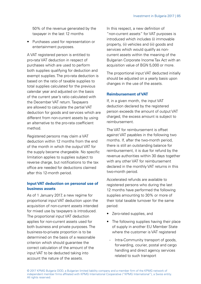50% of the revenue generated by the taxpayer in the last 12 months

• Purchases used for representation or entertainment purposes.

A VAT registered person is entitled to pro-rata VAT deduction in respect of purchases which are used to perform both supplies qualifying for deduction and exempt supplies. The pro-rata deduction is based on the ratio of taxable supplies to total supplies calculated for the previous calendar year and adjusted on the basis of the current year's ratio calculated with the December VAT return. Taxpayers are allowed to calculate the partial VAT deduction for goods and services which are different from non-current assets by using an alternative to the pro-rata coefficient method.

Registered persons may claim a VAT deduction within 12 months from the end of the month in which the output VAT for the supply became chargeable. No specific limitation applies to supplies subject to reverse charge, but notifications to the tax office are needed for deductions claimed after this 12-month period.

## **Input VAT deduction on personal use of business assets**

As of 1 January 2017, a new regime for proportional input VAT deduction upon the acquisition of non-current assets intended for mixed use by taxpayers is introduced. The proportional input VAT deduction applies for non-current assets used for both business and private purposes. The business-to-private proportion is to be determined on the basis of a reasonable criterion which should guarantee the correct calculation of the amount of the input VAT to be deducted taking into account the nature of the assets.

In this respect, a new definition of "non-current assets" for VAT purposes is introduced which includes (i) immovable property, (ii) vehicles and (iii) goods and services which would qualify as noncurrent assets within the meaning of the Bulgarian Corporate Income Tax Act with an acquisition value of BGN 5,000 or more.

The proportional input VAT deducted initially should be adjusted on a yearly basis upon changes in the use of the assets.

## **Reimbursement of VAT**

If, in a given month, the input VAT deduction declared by the registered person exceeds the amount of output VAT charged, the excess amount is subject to reimbursement.

The VAT for reimbursement is offset against VAT payables in the following two months. If, after the two-month period, there is still an outstanding balance for reimbursement, it is due for refund by the revenue authorities within 30 days together with any other VAT for reimbursement declared in the monthly VAT returns in this two-month period.

Accelerated refunds are available to registered persons who during the last 12 months have performed the following supplies amounting to 30% or more of their total taxable turnover for the same period:

- Zero-rated supplies, and
- The following supplies having their place of supply in another EU Member State where the customer is VAT registered
	- Intra-Community transport of goods. forwarding, courier, postal and cargo handling and direct agency services related to such transport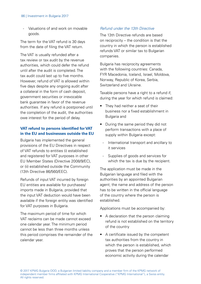#### 86 | Investment in Bulgaria 2017

- Valuations of and work on movable goods.

The term for the VAT refund is 30 days from the date of filing the VAT return.

The VAT is usually refunded after a tax review or tax audit by the revenue authorities, which could defer the refund until after the audit is completed. The tax audit could last up to five months. However, refund of VAT is allowed within five days despite any ongoing audit after a collateral in the form of cash deposit, government securities or irrevocable bank guarantee in favor of the revenue authorities. If any refund is postponed until the completion of the audit, the authorities owe interest for the period of delay.

## **VAT refund to persons identified for VAT in the EU and businesses outside the EU**

Bulgaria has implemented the general provisions of the EU Directives in respect of VAT refunds to entities (i) established and registered for VAT purposes in other EU Member States (Directive 2008/9/EC), or (ii) established outside the Community (13th Directive 86/560/EEC).

Refunds of input VAT incurred by foreign EU entities are available for purchases/ imports made in Bulgaria, provided that the input VAT deduction would have been available if the foreign entity was identified for VAT purposes in Bulgaria.

The maximum period of time for which VAT reclaims can be made cannot exceed one calendar year. The minimum period cannot be less than three months unless this period comprises the remainder of the calendar year.

## Refund under the 13th Directive

The 13th Directive refunds are based on reciprocity – the condition is that the country in which the person is established refunds VAT or similar tax to Bulgarian companies.

Bulgaria has reciprocity agreements with the following countries: Canada, FYR Macedonia, Iceland, Israel, Moldova, Norway, Republic of Korea, Serbia, Switzerland and Ukraine.

Taxable persons have a right to a refund if, during the year for which refund is claimed:

- They had neither a seat of their business nor a fixed establishment in Bulgaria and
- During the same period they did not perform transactions with a place of supply within Bulgaria except:
	- International transport and ancillary to it services
	- Supplies of goods and services for which the tax is due by the recipient.

The application must be made in the Bulgarian language and filed with the authorities by an appointed Bulgarian agent; the name and address of the person has to be written in the official language of the country where the person is established.

Applications must be accompanied by:

- A declaration that the person claiming refund is not established on the territory of the country
- A certificate issued by the competent tax authorities from the country in which the person is established, which proves that the person performed economic activity during the calendar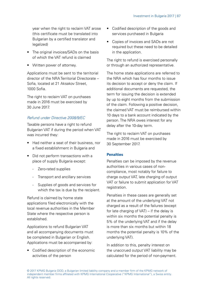year when the right to reclaim VAT arose (this certificate must be translated into Bulgarian by a certified translator and legalized)

- The original invoices/SADs on the basis of which the VAT refund is claimed
- Written power of attorney

Applications must be sent to the territorial director of the NRA Territorial Directorate – Sofia, located at 21 Aksakov Street, 1000 Sofia.

The right to reclaim VAT on purchases made in 2016 must be exercised by 30 June 2017.

## Refund under Directive 2008/9/EC

Taxable persons have a right to refund Bulgarian VAT if during the period when VAT was incurred they:

- Had neither a seat of their business, nor a fixed establishment in Bulgaria and
- Did not perform transactions with a place of supply Bulgaria except:
	- Zero-rated supplies
	- Transport and ancillary services
	- Supplies of goods and services for which the tax is due by the recipient.

Refund is claimed by home state applications filed electronically with the local revenue authorities in the Member State where the respective person is established.

Applications to refund Bulgarian VAT and all accompanying documents must be completed in Bulgarian or English. Applications must be accompanied by:

• Codified description of the economic activities of the person

- Codified description of the goods and services purchased in Bulgaria
- Copies of invoices and SADs are not required but these need to be detailed in the application.

The right to refund is exercised personally or through an authorized representative.

The home state applications are referred to the NRA which has four months to issue its decision to accept or deny the claim. If additional documents are requested, the term for issuing the decision is extended by up to eight months from the submission of the claim. Following a positive decision, the claimed VAT must be reimbursed within 10 days to a bank account indicated by the person. The NRA owes interest for any delay after the 10-day term.

The right to reclaim VAT on purchases made in 2016 must be exercised by 30 September 2017.

## **Penalties**

Penalties can be imposed by the revenue authorities in various cases of noncompliance, most notably for failure to charge output VAT, late charging of output VAT or failure to submit application for VAT registration.

Penalties in these cases are generally set at the amount of the underlying VAT not charged as a result of the failures (except for late charging of VAT) – if the delay is within six months the potential penalty is 5% of the underlying VAT and if the delay is more than six months but within 18 months the potential penalty is 10% of the underlying VAT).

In addition to this, penalty interest on the unaccrued output VAT liability may be calculated for the period of non-payment.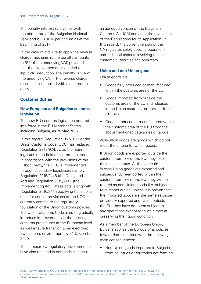The penalty interest rate varies with the prime rate of the Bulgarian National Bank and is 10.00% per annum as at the beginning of 2017.

In the case of a failure to apply the reverse charge mechanism, the penalty amounts to 5% of the underlying VAT, provided that the taxable person is entitled to input VAT deduction. The penalty is 2% of the underlying VAT if the reverse charge mechanism is applied with a one-month delay.

## **Customs duties**

## **New European and Bulgarian customs legislation**

The new EU customs legislation entered into force in the EU Member States, including Bulgaria, as of May 2016.

In this regard, Regulation 952/2013 or the Union Customs Code (UCC) has replaced Regulation 2913/92/EEC as the main legal act in the field of customs matters. In accordance with the provisions of the Lisbon Treaty, the UCC is implemented through secondary legislation, namely Regulation 2015/2446 (the Delegated Act) and Regulation 2015/2447 (the Implementing Act). These acts, along with Regulation 2016/341 specifying transitional rules for certain provisions of the UCC, currently constitute the regulatory foundation of the Union customs policies. The Union Customs Code aims to gradually introduce improvements in the existing customs procedures at the European level as well ensure transition to an electronic EU customs environment by 31 December 2020.

These major EU regulatory developments have also resulted in domestic changes:

an abridged version of the Bulgarian Customs Act (CA) and an entire revocation of the Regulations for its Application. In this regard, the current version of the CA regulates solely specific operational and technical aspects involving the local customs authorities and operators.

#### **Union and non-Union goods**

Union goods are:

- Goods fully produced or manufactured within the customs area of the EU
- Goods imported from outside the customs area of the EU and released in the Union customs territory for free circulation
- Goods produced or manufactured within the customs area of the EU from the abovementioned categories of goods.

Non-Union goods are goods which do not meet the criteria for Union goods.

If Union goods are exported outside the customs territory of the EU, they lose their Union status. At the same time, in case Union goods are exported and subsequently re-imported within the customs territory of the EU, they will be treated as non-Union goods (i.e. subject to customs duties) unless it is proven that the imported goods are the same as those previously exported and, while outside the EU, they have not been subject to any operations except for such aimed at preserving their good condition.

As a member of the European Union, Bulgaria applies the EU customs policies toward third countries with the following main consequences:

• Non-Union goods imported in Bulgaria from countries or territories not forming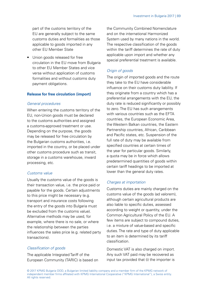part of the customs territory of the EU are generally subject to the same customs duties and formalities as those applicable to goods imported in any other EU Member State

• Union goods released for free circulation in the EU move from Bulgaria to other EU Member States and vice versa without application of customs formalities and without customs duty payment obligations.

#### **Release for free circulation (import)**

#### General procedures

When entering the customs territory of the EU, non-Union goods must be declared to the customs authorities and assigned a customs-approved treatment or use. Depending on the purpose, the goods may be released for free circulation by the Bulgarian customs authorities, i.e. imported in the country, or be placed under other customs procedure such as transit, storage in a customs warehouse, inward processing, etc.

#### Customs value

Usually the customs value of the goods is their transaction value, i.e. the price paid or payable for the goods. Certain adjustments to this price might be necessary (e.g. transport and insurance costs following the entry of the goods into Bulgaria must be excluded from the customs value). Alternative methods may be used, for example, where there is no sale, or where the relationship between the parties influences the sales price (e.g. related party transactions).

## Classification of goods

The applicable Integrated Tariff of the European Community (TARIC) is based on the Community Combined Nomenclature and on the international Harmonized System used by many nations in the world. The respective classification of the goods within the tariff determines the rate of duty applicable upon import and whether any special preferential treatment is available.

## Origin of goods

The origin of imported goods and the route they take to the EU have considerable influence on their customs duty liability. If they originate from a country which has a preferential arrangements with the EU, the duty rate is reduced significantly or possibly to zero. The EU has such arrangements with various countries such as the EFTA countries, the European Economic Area, the Western Balkan countries, the Eastern Partnership countries, African, Caribbean and Pacific states, etc. Suspension of the full rate of duty may be available from specified countries at certain times of the year for particular goods. Similarly, a quota may be in force which allows predetermined quantities of goods within certain tariff headings to be imported at lower than the general duty rates.

## Charges at importation

Customs duties are mainly charged on the customs value of the goods (ad valorem), although certain agricultural products are also liable to specific duties, assessed according to weight or quantity, under the Common Agricultural Policy of the EU. A few items are subject to compound duties, i.e. a mixture of value-based and specific duties. The rate and type of duty applicable to an item is determined by its tariff classification.

Domestic VAT is also charged on import. Any such VAT paid may be recovered as input tax provided that (i) the importer is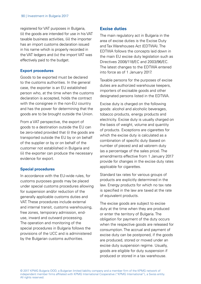registered for VAT purposes in Bulgaria, (ii) the goods are intended for use in his VAT taxable business activities, (iii) the importer has an import customs declaration issued in his name which is properly recorded in the VAT ledgers and (iv) the import VAT was effectively paid to the budget.

## **Export procedures**

Goods to be exported must be declared to the customs authorities. In the general case, the exporter is an EU established person who, at the time when the customs declaration is accepted, holds the contract with the consignee in the non-EU country and has the power for determining that the goods are to be brought outside the Union.

From a VAT perspective, the export of goods to a destination outside the EU can be zero-rated provided that (i) the goods are transported outside the EU by or on behalf of the supplier or by or on behalf of the customer not established in Bulgaria and (ii) the exporter can produce the necessary evidence for export.

## **Special procedures**

In accordance with the EU-wide rules, for customs purposes goods may be placed under special customs procedures allowing for suspension and/or reduction of the generally applicable customs duties and VAT. These procedures include external and internal transit, customs warehousing, free zones, temporary admission, enduse, inward and outward processing. The operation and monitoring of the special procedures in Bulgaria follows the provisions of the UCC and is administered by the Bulgarian customs authorities.

# **Excise duties**

The main regulatory act in Bulgaria in the area of excise duties is the Excise Duty and Tax Warehouses Act (EDTWA). The EDTWA follows the concepts laid down in the main EU excise duty legislation such as Directives 2008/118/EC and 2003/96/EC. The latest changes to the EDTWA entered into force as of 1 January 2017.

Taxable persons for the purposes of excise duties are authorized warehouse keepers importers of excisable goods and other designated persons listed in the EDTWA.

Excise duty is charged on the following goods: alcohol and alcoholic beverages, tobacco products, energy products and electricity. Excise duty is usually charged on the basis of weight, volume and quantity of products. Exceptions are cigarettes for which the excise duty is calculated as a combination of specific duty (based on number of pieces) and ad valorem duty (as a percentage of the sales price). The amendments effective from 1 January 2017 provide for changes in the excise duty rates applicable for cigarettes.

Standard tax rates for various groups of products are explicitly determined in the law. Energy products for which no tax rate is specified in the law are taxed at the rate of equivalent products.

The excise goods are subject to excise duty at the time when they are produced or enter the territory of Bulgaria. The obligation for payment of the duty occurs when the respective goods are released for consumption. The accrual and payment of excise duty can be postponed, if the goods are produced, stored or moved under an excise duty suspension regime. Usually, goods are eligible for duty suspension if produced or stored in a tax warehouse.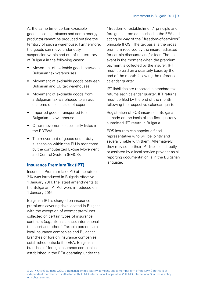At the same time, certain excisable goods (alcohol, tobacco and some energy products) cannot be produced outside the territory of such a warehouse. Furthermore, the goods can move under duty suspension within and out of the territory of Bulgaria in the following cases:

- Movement of excisable goods between Bulgarian tax warehouses
- Movement of excisable goods between Bulgarian and EU tax warehouses
- Movement of excisable goods from a Bulgarian tax warehouse to an exit customs office in case of export
- Imported goods transported to a Bulgarian tax warehouse
- Other movements specifically listed in the EDTWA.
- The movement of goods under duty suspension within the EU is monitored by the computerized Excise Movement and Control System (EMCS).

## **Insurance Premium Tax (IPT)**

Insurance Premium Tax (IPT) at the rate of 2% was introduced in Bulgaria effective 1 January 2011. The latest amendments to the Bulgarian IPT Act were introduced on 1 January 2016.

Bulgarian IPT is charged on insurance premiums covering risks located in Bulgaria with the exception of exempt premiums collected on certain types of insurance contracts (e.g., life insurance, international transport and others). Taxable persons are local insurance companies and Bulgarian branches of foreign insurance companies established outside the EEA, Bulgarian branches of foreign insurance companies established in the EEA operating under the

"freedom-of-establishment" principle and foreign insurers established in the FFA and acting by way of the "freedom-of-services" principle (FOS). The tax basis is the gross premium received by the insurer adjusted for certain discounts and/or fees. The tax event is the moment when the premium payment is collected by the insurer. IPT must be paid on a quarterly basis by the end of the month following the reference calendar quarter.

IPT liabilities are reported in standard tax returns each calendar quarter. IPT returns must be filed by the end of the month following the respective calendar quarter.

Registration of FOS insurers in Bulgaria is made on the basis of the first quarterly submitted IPT return in Bulgaria.

FOS insurers can appoint a fiscal representative who will be jointly and severally liable with them. Alternatively, they may settle their IPT liabilities directly or assisted by a local service provider as all reporting documentation is in the Bulgarian language.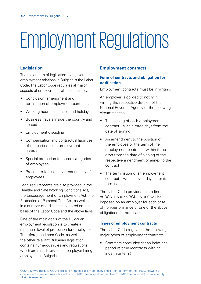# Employment Regulations

# **Legislation**

The major item of legislation that governs employment relations in Bulgaria is the Labor Code. The Labor Code regulates all major aspects of employment relations, namely:

- Conclusion, amendment and termination of employment contracts
- Working hours, absences and holidays
- Business travels inside the country and abroad
- Employment discipline
- Compensation and contractual liabilities of the parties to an employment contract
- Special protection for some categories of employees
- Procedure for collective redundancy of employees.

Legal requirements are also provided in the Healthy and Safe Working Conditions Act, the Encouragement of Employment Act, the Protection of Personal Data Act, as well as in a number of ordinances adopted on the basis of the Labor Code and the above laws.

One of the main goals of the Bulgarian employment legislation is to create a minimum level of protection for employees. Therefore, the Labor Code, as well as the other relevant Bulgarian legislation, contains numerous rules and regulations which are mandatory for an employer hiring employees in Bulgaria.

# **Employment contracts**

## **Form of contracts and obligation for notification**

Employment contracts must be in writing.

An employer is obliged to notify in writing the respective division of the National Revenue Agency of the following circumstances:

- The signing of each employment contract – within three days from the date of signing
- An amendment to the position of the employee or the term of the employment contract – within three days from the date of signing of the respective amendment or annex to the contract
- The termination of an employment contract – within seven days after its termination.

The Labor Code provides that a fine of BGN 1,500 to BGN 15,000 will be imposed on an employer for each case of non-performance of one of the above obligations for notification.

## **Types of employment contracts**

The Labor Code regulates the following major types of employment contracts:

• Contracts concluded for an indefinite period of time (contracts with an indefinite term)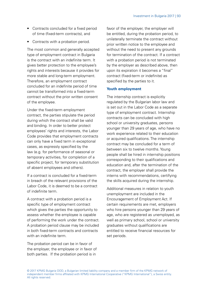- Contracts concluded for a fixed period of time (fixed-term contracts), and
- Contracts with a probation period.

The most common and generally accepted type of employment contract in Bulgaria is the contract with an indefinite term. It gives better protection to the employee's rights and interests because it provides for more stable and long-term employment. Therefore, an employment contract concluded for an indefinite period of time cannot be transformed into a fixed-term contract without the prior written consent of the employee.

Under the fixed-term employment contract, the parties stipulate the period during which the contract shall be valid and binding. In order to better protect employees' rights and interests, the Labor Code provides that employment contracts can only have a fixed term in exceptional cases, as expressly specified by the law (e.g. for performance of seasonal or temporary activities, for completion of a specific project, for temporary substitution of absent employees and others).

If a contract is concluded for a fixed-term in breach of the relevant provisions of the Labor Code, it is deemed to be a contract of indefinite term.

A contract with a probation period is a specific type of employment contract which gives the parties the opportunity to assess whether the employee is capable of performing the work under the contract. A probation period clause may be included in both fixed-term contracts and contracts with an indefinite term.

The probation period can be in favor of the employer, the employee or in favor of both parties. If the probation period is in

favor of the employer, the employer will be entitled, during the probation period, to unilaterally terminate the contract without prior written notice to the employee and without the need to present any grounds for termination of the contract. If a contract. with a probation period is not terminated by the employer as described above, then upon its expiration it becomes a "final" contract (fixed-term or indefinite) as specified by the parties to it.

#### **Youth employment**

The internship contract is explicitly regulated by the Bulgarian labor law and is set out in the Labor Code as a separate type of employment contract. Internship contracts can be concluded with high school or university graduates, persons younger than 29 years of age, who have no work experience related to their education or acquired qualifications. The internship contract may be concluded for a term of between six to twelve months. Young people shall be hired in internship positions corresponding to their qualifications and education and, after the termination of the contract, the employer shall provide the interns with recommendations, certifying the skills acquired during the internship.

Additional measures in relation to youth unemployment are included in the Encouragement of Employment Act. If certain requirements are met, employers who hire persons younger than 29 years of age, who are registered as unemployed, as well as primary school, school or university graduates without qualifications are entitled to receive financial resources for set periods.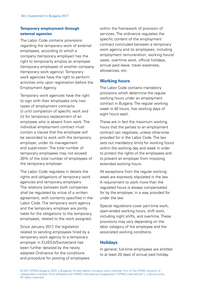## **Temporary employment through external agencies**

The Labor Code contains provisions regarding the temporary work of external employees, according to which a company (temporary employer) has the right to temporarily employ an employee (temporary employee) of another company (temporary work agency). Temporary work agencies have the right to perform activities only upon registration before the Employment Agency.

Temporary work agencies have the right to sign with their employees only two types of employment contracts: (i) until completion of specific work and (ii) for temporary replacement of an employee who is absent from work. The individual employment contract must contain a clause that the employee will be seconded to work with the temporary employer, under its management and supervision. The total number of temporary employees may not exceed 30% of the total number of employees of the temporary employer.

The Labor Code regulates in details the rights and obligations of temporary work agencies and temporary employers. The relations between both companies shall be regulated by virtue of a written agreement, with contents specified in the Labor Code. The temporary work agency and the temporary employer are jointly liable for the obligations to the temporary employees, related to the work assigned.

Since January 2017, the legislation related to sending employees hired by a temporary work agency to a temporary employer in EU/EEA/Switzerland has been further detailed by the newly adopted Ordinance for the conditions and procedure for posting of employees within the framework of provision of services. The ordinance regulates the specific content of the employment contract concluded between a temporary work agency and its employees, including employment remuneration, working hours/ week, overtime work, official holidays, annual paid leave, travel expenses, allowances, etc.

## **Working hours**

The Labor Code contains mandatory provisions which determine the regular working hours under an employment contract in Bulgaria. The regular working week is 40 hours, five working days of eight hours each.

These are in fact the maximum working hours that the parties to an employment contract can negotiate, unless otherwise provided for in the Labor Code. The law sets out mandatory limits for working hours within the working day and week in order to protect the rights of the employees and to prevent an employer from imposing extended working hours.

All exceptions from the regular working week are expressly stipulated in the law. A requirement to work more than the regulated hours is always compensated for by the employer, in a way provided for under the law.

Special regulations cover part-time work, open-ended working hours, shift work, including night shifts, and overtime. These provisions may vary depending on the labor category of the employee and the associated working conditions.

## **Holidays**

In general, full-time employees are entitled to at least 20 days of annual paid holiday.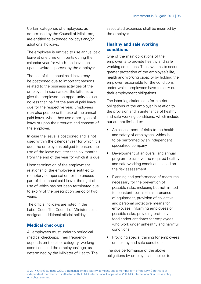Certain categories of employees, as determined by the Council of Ministers, are entitled to extended holidays and/or additional holidays.

The employee is entitled to use annual paid leave at one time or in parts during the calendar year for which the leave applies upon a written approval by the employer.

The use of the annual paid leave may be postponed due to important reasons related to the business activities of the employer. In such cases, the latter is to give the employee the opportunity to use no less than half of the annual paid leave due for the respective year. Employees may also postpone the use of the annual paid leave, when they use other types of leave or upon their request and consent of the employer.

In case the leave is postponed and is not used within the calendar year for which it is due, the employer is obliged to ensure the use of the leave not later than six months from the end of the year for which it is due.

Upon termination of the employment relationship, the employee is entitled to monetary compensation for the unused part of the annual paid leave, the right of use of which has not been terminated due to expiry of the prescription period of two years.

The official holidays are listed in the Labor Code. The Council of Ministers can designate additional official holidays.

## **Medical check-ups**

All employees must undergo periodical medical check-ups. Their frequency depends on the labor category, working conditions and the employees' age, as determined by the Minister of Health. The associated expenses shall be incurred by the employer.

## **Healthy and safe working conditions**

One of the main obligations of the employer is to provide healthy and safe working conditions. The law aims to secure greater protection of the employee's life, health and working capacity by holding the employer responsible for the conditions under which employees have to carry out their employment obligations.

The labor legislation sets forth strict obligations of the employer in relation to the provision and maintenance of healthy and safe working conditions, which include but are not limited to:

- An assessment of risks to the health and safety of employees, which is to be performed by an independent specialized company
- Development of an overall and annual program to achieve the required healthy and safe working conditions based on the risk assessment
- Planning and performance of measures necessary for the prevention of possible risks, including but not limited to: constant technical maintenance of equipment, provision of collective and personal protective means for employees, informing employees of possible risks, providing protective food and/or antidotes for employees who work under unhealthy and harmful conditions
- Providing special training for employees on healthy and safe conditions.

The due performance of the above obligations by employers is subject to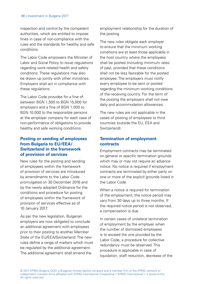inspection and control by the competent authorities, which are entitled to impose fines in case of non-compliance with the rules and the standards for healthy and safe conditions.

The Labor Code empowers the Minister of Labor and Social Policy to issue regulations regarding work-related health and safety conditions. These regulations may also be drawn up jointly with other ministries. Employers shall act in compliance with these regulations.

The Labor Code provides for a fine of between BGN 1,500 to BGN 15,000 for employers and a fine of BGN 1,000 to BGN 10,000 to the responsible persons at the employer company for each case of non-performance of obligations to provide healthy and safe working conditions.

# **Posting or sending of employees from Bulgaria to EU/EEA/ Switzerland in the framework of provision of services**

New rules for the posting and sending of employees within the framework of provision of services are introduced by amendments to the Labor Code promulgated on 30 December 2016 and by the newly adopted Ordinance for the conditions and procedure for posting of employees within the framework of provision of services effective as of 10 January 2017.

As per the new legislation, Bulgarian employers are now obligated to conclude an additional agreement with employees prior to their posting to another Member State of the EU/EEA/Switzerland. The new rules define a range of matters which must be regulated by the additional agreement. The additional agreement shall amend the

employment relationship for the duration of the posting.

The new rules obligate each employer to ensure that the minimum working conditions are at least those applicable in the host country where the employees shall be posted (including minimum rates of pay), provided that these conditions shall not be less favorable for the posted employee. The employers must notify every employee to be sent or posted regarding the minimum working conditions of the receiving country. For the term of the posting the employers shall not owe daily and accommodation allowances.

The new rules are not applicable in the cases of posting of employees to third countries (outside the EU, EEA and Switzerland).

# **Termination of employment contracts**

Employment contracts may be terminated on general or specific termination grounds which may or may not require an advance notice. No notice is required if employment contracts are terminated by either party on one or more of the explicit grounds listed in the Labor Code.

When a notice is required for termination of the employment, the notice period may vary from 30 days up to three months. If the required notice period is not observed, a compensation is due.

In certain cases of unilateral termination of employment by the employer when the number of dismissed employees is to exceed the one provided by the Labor Code, a procedure for collective redundancy must be observed. This procedure is applicable in case of liquidation, staff reduction, decrease of the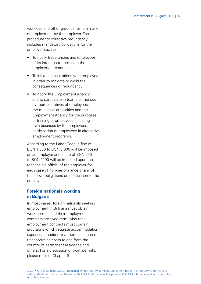workload and other grounds for termination of employment by the employer. The procedure for collective redundancy includes mandatory obligations for the employer such as:

- To notify trade unions and employees of its intention to terminate the employment contracts
- To initiate consultations with employees in order to mitigate or avoid the consequences of redundancy
- To notify the Employment Agency and to participate in teams comprised by representatives of employees, the municipal authorities and the Employment Agency for the purposes of training of employees, initiating own business by the employees, participation of employees in alternative employment programs.

According to the Labor Code, a fine of BGN 1,500 to BGN 5,000 will be imposed on an employer and a fine of BGN 250 to BGN 1000 will be imposed upon the responsible official of the employer for each case of non-performance of any of the above obligations on notification to the employees.

## **Foreign nationals working in Bulgaria**

In most cases, foreign nationals seeking employment in Bulgaria must obtain work permits and their employment contracts are fixed-term. Also their employment contracts must contain provisions which regulate accommodation expenses, medical treatment, insurance, transportation costs to and from the country of permanent residence and others. For a discussion of work permits, please refer to Chapter 8.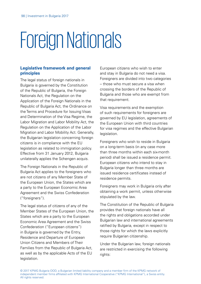# Foreign Nationals

# **Legislative framework and general principles**

The legal status of foreign nationals in Bulgaria is governed by the Constitution of the Republic of Bulgaria, the Foreign Nationals Act, the Regulation on the Application of the Foreign Nationals in the Republic of Bulgaria Act, the Ordinance on the Terms and Procedure for Issuing Visas and Determination of the Visa Regime, the Labor Migration and Labor Mobility Act, the Regulation on the Application of the Labor Migration and Labor Mobility Act. Generally, the Bulgarian legislation concerning foreign citizens is in compliance with the EU legislation as related to immigration policy. Effective from 31 January 2012, Bulgaria unilaterally applies the Schengen acquis.

The Foreign Nationals in the Republic of Bulgaria Act applies to the foreigners who are not citizens of any Member State of the European Union, the States which are a party to the European Economic Area Agreement and the Swiss Confederation ("foreigners").

The legal status of citizens of any of the Member States of the European Union, the States which are a party to the European Economic Area Agreement and the Swiss Confederation ("European citizens") in Bulgaria is governed by the Entry, Residence and Departure of European Union Citizens and Members of Their Families from the Republic of Bulgaria Act, as well as by the applicable Acts of the EU legislation.

European citizens who wish to enter and stay in Bulgaria do not need a visa. Foreigners are divided into two categories – those who must secure a visa when crossing the borders of the Republic of Bulgaria and those who are exempt from that requirement.

Visa requirements and the exemption of such requirements for foreigners are governed by EU legislation, agreements of the European Union with third countries for visa regimes and the effective Bulgarian legislation.

Foreigners who wish to reside in Bulgaria on a long-term basis (in any case more than three months within each six-month period) shall be issued a residence permit. European citizens who intend to stay in Bulgaria longer than three months are issued residence certificates instead of residence permits.

Foreigners may work in Bulgaria only after obtaining a work permit, unless otherwise stipulated by the law.

The Constitution of the Republic of Bulgaria provides that foreign nationals have all the rights and obligations accorded under Bulgarian law and international agreements ratified by Bulgaria, except in respect to those rights for which the laws explicitly require Bulgarian citizenship.

Under the Bulgarian law, foreign nationals are restricted in exercising the following rights: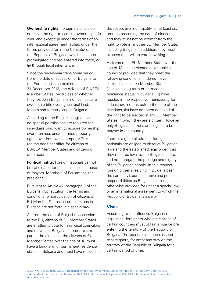**Ownership rights:** Foreign nationals do not have the right to acquire ownership title over land except: (i) under the terms of an international agreement ratified under the terms provided for in the Constitution of the Republic of Bulgaria, which has been promulgated and has entered into force, or (ii) through legal inheritance.

Since the seven-year transitional period from the date of accession of Bulgaria to the European Union expired on 31 December 2013, the citizens of EU/EEA Member States, regardless of whether they reside in Bulgaria or not, can acquire ownership title over agricultural land, forests and forestry land in Bulgaria.

According to the Bulgarian legislation, no special permissions are required for individuals who want to acquire ownership over premises and/or limited property rights over immovable property. This regime does not differ for citizens of EU/EEA Member States and citizens of other counties.

**Political rights:** Foreign nationals cannot be candidates for positions such as those of mayors, Members of Parliament, the president.

Pursuant to Article 42, paragraph 3 of the Bulgarian Constitution, the terms and conditions for participation of citizens of EU Member States in local elections in Bulgaria are set forth in a special law.

As from the date of Bulgaria's accession to the EU, citizens of EU Member States are entitled to vote for municipal councilors and mayors in Bulgaria. In order to take part in the elections, the citizens of EU Member States over the age of 18 must have a long-term or permanent residence status in Bulgaria and must have resided in the respective municipality for at least six months preceding the date of elections, and they must not be exempt from the right to vote in another EU Member State, including Bulgaria. In addition, they must express their will to vote in writing.

A citizen of an EU Member State over the age of 18 can be elected as a municipal councilor provided that they meet the following conditions: (i) do not have citizenship in a non-Member State, (ii) have a long-term or permanent residence status in Bulgaria, (iii) have resided in the respective municipality for at least six months before the date of the elections, (iv) have not been deprived of the right to be elected in any EU Member States in which they are a citizen. However, only Bulgarian citizens are eligible to be mayors in the country.

There is a general rule that foreign nationals are obliged to observe Bulgarian laws and the established legal order, that they must be loyal to the Bulgarian state, and not derogate the prestige and dignity of the Bulgarian people. In this respect, foreign citizens residing in Bulgaria bear the same civil, administrative and penal responsibilities as Bulgarian citizens, unless otherwise provided for under a special law, or an international agreement to which the Republic of Bulgaria is a party.

## **Visas**

According to the effective Bulgarian legislation, foreigners who are citizens of certain countries must obtain a visa before entering the territory of the Republic of Bulgaria. The visa is a clearance, issued to foreigners, for entry and stay on the territory of the Republic of Bulgaria for a certain period of time.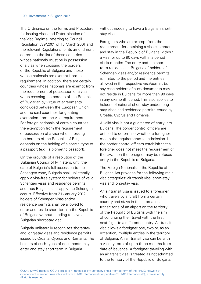The Ordinance on the Terms and Procedure for Issuing Visas and Determination of the Visa Regime, referring to Council Regulation 539/2001 of 15 March 2001 and the relevant Regulations for its amendment determine the list of those countries whose nationals must be in possession of a visa when crossing the borders of the Republic of Bulgaria and those whose nationals are exempt from that requirement. In addition, there are certain countries whose nationals are exempt from the requirement of possession of a visa when crossing the borders of the Republic of Bulgarian by virtue of agreements concluded between the European Union and the said countries for granting exemption from the visa requirement. For foreign nationals of certain countries. the exemption from the requirement of possession of a visa when crossing the borders of the Republic of Bulgaria depends on the holding of a special type of a passport (e.g., a biometric passport).

On the grounds of a resolution of the Bulgarian Council of Ministers, until the date of Bulgaria's full accession to the Schengen zone, Bulgaria shall unilaterally apply a visa-free system for holders of valid Schengen visas and residence permits, and thus Bulgaria shall apply the Schengen acquis. Effective from 31 January 2012, holders of Schengen visas and/or residence permits shall be allowed to enter and reside short term in the Republic of Bulgaria without needing to have a Bulgarian short-stay visa.

Bulgaria unilaterally recognizes short-stay and long-stay visas and residence permits issued by Croatia, Cyprus and Romania. The holders of such types of documents may enter and stay short term in Bulgaria

without needing to have a Bulgarian shortstay visa.

Foreigners who are exempt from the requirement for obtaining a visa can enter and stay in the Republic of Bulgaria without a visa for up to 90 days within a period of six months. The entry and the shortterm residence in Bulgaria of holders of Schengen visas and/or residence permits is limited to the period and the entries allowed in the respective visa/permit, but in any case holders of such documents may not reside in Bulgaria for more than 90 days in any six-month period. This also applies to holders of national short-stay and/or longstay visas and residence permits issued by Croatia, Cyprus and Romania.

A valid visa is not a guarantee of entry into Bulgaria. The border control officers are entitled to determine whether a foreigner meets the requirements for admission. If the border control officers establish that a foreigner does not meet the requirement of the law, then the foreigner may be refused entry in the Republic of Bulgaria.

The Foreign Nationals in the Republic of Bulgaria Act provides for the following main visa categories: air transit visa, short-stay visa and long-stay visa.

An air transit visa is issued to a foreigner who travels by aircraft from a certain country and stays in the international transit zone of an airport on the territory of the Republic of Bulgaria with the aim of continuing their travel with the first next flight to a different country. Air transit visa allows a foreigner one, two or, as an exception, multiple entries in the territory of Bulgaria. An air transit visa can be with a validity term of up to three months from date of issuance. A foreigner traveling with an air transit visa is treated as not admitted to the territory of the Republic of Bulgaria.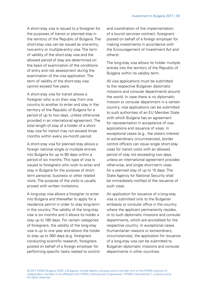A short-stay visa is issued to a foreigner for the purposes of transit or planned stay in the territory of the Republic of Bulgaria. The short-stay visa can be issued as one-entry, two-entry or multiple-entry visa. The term of validity of the short-stay visa and the allowed period of stay are determined on the basis of examination of the conditions of entry and risk assessment during the examination of the visa application. The term of validity of the short-stay visa cannot exceed five years.

A short-stay visa for transit allows a foreigner who is on their way from one country to another to enter and stay in the territory of the Republic of Bulgaria for a period of up to two days, unless otherwise provided in an international agreement. The total length of stay of a holder of a shortstay visa for transit may not exceed three months within every six-month period.

A short-stay visa for planned stay allows a foreign national single or multiple entries into Bulgaria for up to 90 days within a period of six months. This type of visa is issued to foreigners who wish to enter and stay in Bulgaria for the purpose of shortterm personal, business or other related visits. The purpose of the visits is usually proved with written invitations.

A long-stay visa allows a foreigner to enter into Bulgaria and thereafter to apply for a residence permit in order to stay long-term in the country. The validity of the long-stay visa is six months and it allows its holder a stay up to 180 days. For certain categories of foreigners, the validity of the long-stay visa is up to one year and allows the holder to stay up to 360 days (e.g. foreigners conducting scientific research, foreigners posted on behalf of a foreign employer for performing specific tasks related to control and coordination of the implementation of a tourist services contract, foreigners posted on behalf of a foreign employer for making investments in accordance with the Encouragement of Investment Act and others).

The long-stay visa allows its holder multiple entries into the territory of the Republic of Bulgaria within its validity term.

All visa applications must be submitted to the respective Bulgarian diplomatic missions and consular departments around the world. In case there is no diplomatic mission or consular department in a certain country, visa applications can be submitted to such authorities of an EU Member State with which Bulgaria has an agreement for representation in acceptance of visa applications and issuance of visas. In exceptional cases (e.g., the state's interest or extraordinary circumstances), border control officers can issue single short-stay visas for transit visits with an allowed period of stay not exceeding two days, unless an international agreement provides otherwise, and single short-term visas for a planned stay of up to 15 days. The State Agency for National Security shall be immediately notified of the issuance of such visas.

An application for issuance of a long-stay visa is submitted only to the Bulgarian embassy or consular office in the country where the applicant permanently resides. or to such diplomatic missions and consular departments, which are accredited for the respective country. In exceptional cases (humanitarian reasons or extraordinary circumstances), the application for issuance of a long-stay visa can be submitted to Bulgarian diplomatic missions and consular departments in other countries.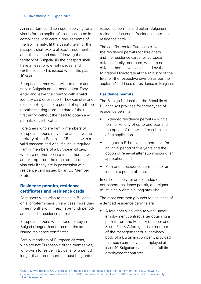An important condition upon applying for a visa is for the applicant's passport to be in compliance with certain requirements of the law, namely: (i) the validity term of the passport shall expire at least three months after the planned date of leaving the territory of Bulgaria, (ii) the passport shall have at least two empty pages, and (iii) the passport is issued within the past 10 years.

European citizens who wish to enter and stay in Bulgaria do not need a visa. They enter and leave the country with a valid identity card or passport. They can stay and reside in Bulgaria for a period of up to three months starting from the date of their first entry without the need to obtain any permits or certificates.

Foreigners who are family members of European citizens may enter and leave the territory of the Republic of Bulgaria with a valid passport and visa, if such is required. Family members of a European citizen, who are not European citizens themselves. are exempt from the requirement of a visa only if they are in possession of a residence card issued by an EU Member State.

## **Residence permits, residence certificates and residence cards**

Foreigners who wish to reside in Bulgaria on a long-term basis (in any case more than three months within each six-month period) are issued a residence permit.

European citizens who intend to stay in Bulgaria longer than three months are issued residence certificates.

Family members of European citizens, who are not European citizens themselves, who wish to reside in Bulgaria for a period longer than three months, must be granted residence permits and obtain Bulgarian residence document (residence permit or residence card).

The certificates for European citizens, the residence permits for foreigners and the residence cards for European citizens' family members, who are not citizens themselves, are issued by the Migration Directorate at the Ministry of the Interior, the respective division as per the applicant's address of residence in Bulgaria.

#### **Residence permits**

The Foreign Nationals in the Republic of Bulgaria Act provides for three types of residence permits:

- Extended residence permits with a term of validity of up to one year and the option of renewal after submission of an application
- Long-term EU residence permits for an initial period of five years and the option of renewal after submission of an application, and
- Permanent residence permits for an indefinite period of time.

In order to apply for an extended or permanent residence permit, a foreigner must initially obtain a long-stay visa.

The most common grounds for issuance of extended residence permits are:

A foreigner who wish to work under employment contract after obtaining a permit from the Ministry of Labor and Social Policy A foreigner is a member of the management or supervisory body of a Bulgarian company, provided that such company has employed at least 10 Bulgarian nationals on full-time employment contracts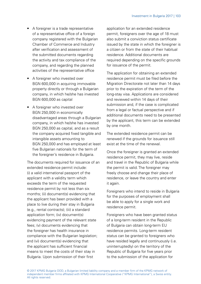- A foreigner is a trade representative of a representative office of a foreign company registered with the Bulgarian Chamber of Commerce and Industry after verification and assessment of the submitted documents regarding the activity and tax compliance of the company, and regarding the planned activities of the representative office
- A foreigner who invested over BGN 600,000 in acquiring immovable property directly or through a Bulgarian company, in which he/she has invested BGN 600,000 as capital
- A foreigner who invested over BGN 250,000 in economically disadvantaged areas through a Bulgarian company, in which he/she has invested BGN 250,000 as capital, and as a result the company acquired fixed tangible and intangible assets amounting to BGN 250,000 and has employed at least five Bulgarian nationals for the term of the foreigner's residence in Bulgaria.

The documents required for issuance of an extended residence permit include: (i) a valid international passport of the applicant with a validity term which exceeds the term of the requested residence permit by not less than six months; (ii) document(s) evidencing that the applicant has been provided with a place to live during their stay in Bulgaria (e.g., rental contracts); (iii) a standard application form; (iv) document(s) evidencing payment of the relevant state fees; (v) documents evidencing that the foreigner has health insurance in compliance with the Bulgarian legislation; and (vi) document(s) evidencing that the applicant has sufficient financial means to meet the costs of their stay in Bulgaria. Upon submission of their first

application for an extended residence permit, foreigners over the age of 18 must also submit a conviction status certificate issued by the state in which the foreigner is a citizen or from the state of their habitual residence. Additional documents are required depending on the specific grounds for issuance of the permit.

The application for obtaining an extended residence permit must be filed before the Migration Directorate not later than 14 days prior to the expiration of the term of the long-stay visa. Applications are considered and reviewed within 14 days of their submission and, if the case is complicated from a legal or factual perspective and if additional documents need to be presented by the applicant, this term can be extended by one month.

The extended residence permit can be renewed if the grounds for issuance still exist at the time of the renewal.

Once the foreigner is granted an extended residence permit, they may live, reside and travel in the Republic of Bulgaria while the permit is valid. The foreigner may freely choose and change their place of residence, or leave the country and enter it again

Foreigners who intend to reside in Bulgaria for the purposes of employment shall be able to apply for a single work and residence permit.

Foreigners who have been granted status of a long-term resident in the Republic of Bulgaria can obtain long-term EU residence permits. Long-term resident status can be granted to foreigners who have resided legally and continuously (i.e. uninterruptedly) on the territory of the Republic of Bulgaria for five years prior to the submission of the application for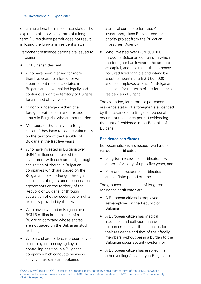obtaining a long-term residence status. The expiration of the validity term of a longterm EU residence permit does not result in losing the long-term resident status.

Permanent residence permits are issued to foreigners:

- Of Bulgarian descent
- Who have been married for more than five years to a foreigner with a permanent residence status in Bulgaria and have resided legally and continuously on the territory of Bulgaria for a period of five years
- Minor or underage children of a foreigner with a permanent residence status in Bulgaria, who are not married
- Members of the family of a Bulgarian citizen if they have resided continuously on the territory of the Republic of Bulgaria in the last five years
- Who have invested in Bulgaria over BGN 1 million or increased their investment with such amount, through acquisition of shares in Bulgarian companies which are traded on the Bulgarian stock exchange, through acquisition of rights under concession agreements on the territory of the Republic of Bulgaria, or through acquisition of other securities or rights explicitly provided by the law
- Who have invested in Bulgaria over BGN 6 million in the capital of a Bulgarian company whose shares are not traded on the Bulgarian stock exchange
- Who are shareholders, representatives or employees occupying key or controlling position in a Bulgarian company which conducts business activity in Bulgaria and obtained

a special certificate for class A investment, class B investment or priority project from the Bulgarian Investment Agency

• Who invested over BGN 500,000 through a Bulgarian company in which the foreigner has invested the amount as capital, and as a result the company acquired fixed tangible and intangible assets amounting to BGN 500,000 and has employed at least 10 Bulgarian nationals for the term of the foreigner's residence in Bulgaria.

The extended, long-term or permanent residence status of a foreigner is evidenced by the issuance of a Bulgarian personal document (residence permit) evidencing the right of residence in the Republic of Bulgaria.

## **Residence certificates**

European citizens are issued two types of residence certificates:

- Long-term residence certificates with a term of validity of up to five years, and
- Permanent residence certificates for an indefinite period of time.

The grounds for issuance of long-term residence certificates are:

- A European citizen is employed or self-employed in the Republic of Bulgaria
- A European citizen has medical insurance and sufficient financial resources to cover the expenses for their residence and that of their family members without being a burden to the Bulgarian social security system, or
- A European citizen has enrolled in a school/college/university in Bulgaria for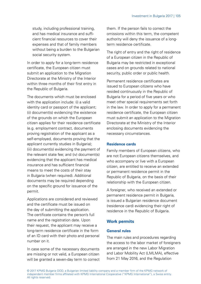study, including professional training, and has medical insurance and sufficient financial resources to cover their expenses and that of family members without being a burden to the Bulgarian social security system.

In order to apply for a long-term residence certificate, the European citizen must submit an application to the Migration Directorate at the Ministry of the Interior within three months of their first entry in the Republic of Bulgaria.

The documents which must be enclosed with the application include: (i) a valid identity card or passport of the applicant; (ii) document(s) evidencing the existence of the grounds on which the European citizen applies for their residence certificate (e.g. employment contract, documents proving registration of the applicant as a self-employed, documents proving that the applicant currently studies in Bulgaria); (iii) document(s) evidencing the payment of the relevant state fee; and (iv) document(s) evidencing that the applicant has medical insurance and has sufficient financial means to meet the costs of their stay in Bulgaria (when required). Additional documents may be required depending on the specific ground for issuance of the permit.

Applications are considered and reviewed and the certificate must be issued on the day of submitting the application. The certificate contains the person's full name and the registration date. Upon their request, the applicant may receive a long-term residence certificate in the form of an ID card with their photo and personal number on it.

In case some of the necessary documents are missing or not valid, a European citizen will be granted a seven-day term to correct them. If the person fails to correct the omissions within this term, the competent authority will deny the issuance of a longterm residence certificate.

The right of entry and the right of residence of a European citizen in the Republic of Bulgaria may be restricted in exceptional cases and on grounds related to national security, public order or public health.

Permanent residence certificates are issued to European citizens who have resided continuously in the Republic of Bulgaria for a period of five years or who meet other special requirements set forth in the law. In order to apply for a permanent residence certificate, the European citizen must submit an application to the Migration Directorate at the Ministry of the Interior enclosing documents evidencing the necessary circumstances.

#### **Residence cards**

Family members of European citizens, who are not European citizens themselves, and who accompany or live with a European citizen, are entitled to receive an extended or permanent residence permit in the Republic of Bulgaria, on the basis of their relationship with the European citizen.

A foreigner, who received an extended or permanent residence permit in Bulgaria, is issued a Bulgarian residence document (residence card) evidencing their right of residence in the Republic of Bulgaria.

## **Work permits**

#### **General rules**

The main rules and procedures regarding the access to the labor market of foreigners are arranged in the new Labor Migration and Labor Mobility Act (LMLMA), effective from 21 May 2016, and the Regulation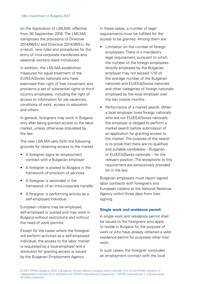on the Application of LMLMA, effective from 30 September 2016. The LMLMA transposes the provisions of Directive 2014/66/EU and Directive 2014/36/EU. As a result, new rules and procedures for the entry of intra-corporate transferees and seasonal workers were introduced.

In addition, the LMLMA establishes measures for equal treatment of the EU/EEA/Swiss nationals who have exercised their right of free movement and proclaims a set of substantial rights to third country employees, including the right of access to information for job vacancies. conditions of work, access to education and others.

In general, foreigners may work in Bulgaria only after being granted access to the labor market, unless otherwise stipulated by the law.

The new LMLMA sets forth the following grounds for obtaining access to the market:

- A foreigner signs an employment contract with a Bulgarian employer
- A foreigner is posted to Bulgaria in the framework of provision of services
- A foreigner is seconded in the framework of an intra-corporate transfer
- A foreigner is performing activity as a self-employed individual.

European citizens may be employed, self-employed or posted and may work in Bulgaria without restrictions and without the need of work permits.

Except for the cases where the foreigner will perform activities as a self-employed individual, the access to the labor market is requested by a local employer and a resolution for granting access is issued by the Bulgarian Employment Agency.

In these cases, a number of legal requirements must be fulfilled for the access to be granted. Among them are:

- Limitation on the number of foreign employees: There is a mandatory legal requirement, pursuant to which the number of the foreign employees directly employed by the Bulgarian employer may not exceed 1/10 of the average number of the Bulgarian nationals and EU/EEA/Swiss nationals and other categories of foreign nationals employed by the local employer over the last twelve months.
- Performance of a market search: When a local employer hires foreign nationals who are not EU/EEA/Swiss nationals, the employer is obliged to perform a market search before submission of an application for granting access to the market. The purpose of the search is to prove that there are no qualified and suitable candidates – Bulgarian or EU/EEA/Swiss nationals – for the relevant position. The exceptions to this requirement are exhaustively provided for in the law.

Bulgarian employers must report signed labor contracts with foreigners and European citizens at the National Revenue Agency within three days from their signing.

#### **Single work and residence permit**

A single work and residence permit shall be issued to the foreigners who apply to reside in Bulgaria for the purpose of work or who have already obtained a valid residence permit for purposes other than work.

In such cases, the foreigner concludes an employment contract with the local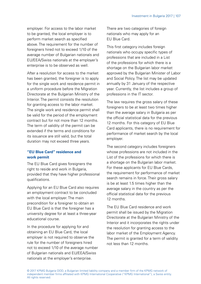employer. For access to the labor market to be granted, the local employer is to perform market search as specified above. The requirement for the number of foreigners hired not to exceed 1/10 of the average number of Bulgarian nationals and EU/EEA/Swiss nationals at the employer's enterprise is to be observed as well.

After a resolution for access to the market has been granted, the foreigner is to apply for the single work and residence permit in a uniform procedure before the Migration Directorate at the Bulgarian Ministry of the Interior. The permit consists the resolution for granting access to the labor market. The single work and residence permit shall be valid for the period of the employment contract but for not more than 12 months. The term of validity of the permit can be extended if the terms and conditions for its issuance are still valid, but the total duration may not exceed three years.

#### **"EU Blue Card" residence and work permit**

The EU Blue Card gives foreigners the right to reside and work in Bulgaria, provided that they have higher professional qualifications.

Applying for an EU Blue Card also requires an employment contract to be concluded with the local employer. The main precondition for a foreigner to obtain an EU Blue Card is that the foreigner has a university degree for at least a three-year educational course.

In the procedure for applying for and obtaining an EU Blue Card, the local employer is not required to observe the rule for the number of foreigners hired not to exceed 1/10 of the average number of Bulgarian nationals and EU/EEA/Swiss nationals at the employer's enterprise.

There are two categories of foreign nationals who may apply for an EU Blue Card.

This first category includes foreign nationals who occupy specific types of professions that are included in a List of the professions for which there is a shortage on the Bulgarian labor market approved by the Bulgarian Minister of Labor and Social Policy. The list may be updated annually by 31 January of the respective year. Currently, the list includes a group of professions in the IT sector.

The law requires the gross salary of these foreigners to be at least two times higher than the average salary in Bulgaria as per the official statistical data for the previous 12 months. For this category of EU Blue Card applicants, there is no requirement for performance of market search by the local employer.

The second category includes foreigners whose professions are not included in the List of the professions for which there is a shortage on the Bulgarian labor market. For these applicants for EU Blue Cards, the requirement for performance of market search remains in force. Their gross salary is be at least 1.5 times higher than the average salary in the country as per the official statistical data for the previous 12 months.

The EU Blue Card residence and work permit shall be issued by the Migration Directorate at the Bulgarian Ministry of the Interior and it incorporates the rights under the resolution for granting access to the labor market of the Employment Agency. The permit is granted for a term of validity not less than 12 months.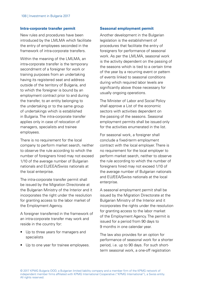#### **Intra-corporate transfer permit**

New rules and procedures have been introduced by the LMLMA which facilitate the entry of employees seconded in the framework of intra-corporate transfers.

Within the meaning of the LMLMA, an intra-corporate transfer is the temporary secondment of a foreigner for work or training purposes from an undertaking having its registered seat and address outside of the territory of Bulgaria, and to which the foreigner is bound by an employment contract prior to and during the transfer, to an entity belonging to the undertaking or to the same group of undertakings which is established in Bulgaria. The intra-corporate transfer applies only in case of relocation of managers, specialists and trainee employees.

There is no requirement for the local company to perform market search, neither to observe the rule according to which the number of foreigners hired may not exceed 1/10 of the average number of Bulgarian nationals and EU/EEA/Swiss nationals at the local enterprise.

The intra-corporate transfer permit shall be issued by the Migration Directorate at the Bulgarian Ministry of the Interior and it incorporates the right under the resolution for granting access to the labor market of the Employment Agency.

A foreigner transferred in the framework of an intra-corporate transfer may work and reside in the country for:

- Up to three years for managers and specialists
- Up to one year for trainee employees.

#### **Seasonal employment permit**

Another development in the Bulgarian legislation is the establishment of procedures that facilitate the entry of foreigners for performance of seasonal work. As per the LMLMA, seasonal work is the activity dependent on the passing of the seasons which is tied to a certain time of the year by a recurring event or pattern of events linked to seasonal conditions during which required labor levels are significantly above those necessary for usually ongoing operations.

The Minister of Labor and Social Policy shall approve a List of the economic sectors with activities dependent on the passing of the seasons. Seasonal employment permits shall be issued only for the activities enumerated in the list.

For seasonal work, a foreigner shall conclude a fixed-term employment contract with the local employer. There is no requirement for the local employer to perform market search, neither to observe the rule according to which the number of foreigners hired may not exceed 1/10 of the average number of Bulgarian nationals and EU/EEA/Swiss nationals at the local enterprise.

A seasonal employment permit shall be issued by the Migration Directorate at the Bulgarian Ministry of the Interior and it incorporates the rights under the resolution for granting access to the labor market of the Employment Agency. The permit is issued for a period from 90 days to 9 months in one calendar year.

The law also provides for an option for performance of seasonal work for a shorter period, i.e. up to 90 days. For such shortterm seasonal work, a one-off registration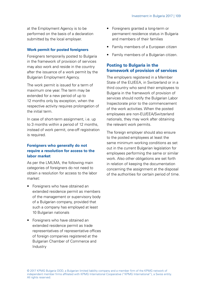at the Employment Agency is to be performed on the basis of a declaration submitted by the local employer.

#### **Work permit for posted foreigners**

Foreigners temporarily posted to Bulgaria in the framework of provision of services may also work and reside in the country after the issuance of a work permit by the Bulgarian Employment Agency.

The work permit is issued for a term of maximum one year. The term may be extended for a new period of up to 12 months only by exception, when the respective activity requires prolongation of the initial term.

In case of short-term assignment, i.e. up to 3 months within a period of 12 months, instead of work permit, one-off registration is required.

## **Foreigners who generally do not require a resolution for access to the labor market**

As per the LMLMA, the following main categories of foreigners do not need to obtain a resolution for access to the labor market:

- Foreigners who have obtained an extended residence permit as members of the management or supervisory body of a Bulgarian company, provided that such a company has employed at least 10 Bulgarian nationals
- Foreigners who have obtained an extended residence permit as trade representatives of representative offices of foreign companies registered at the Bulgarian Chamber of Commerce and Industry
- Foreigners granted a long-term or permanent residence status in Bulgaria and members of their families
- Family members of a European citizen
- Family members of a Bulgarian citizen.

## **Posting to Bulgaria in the framework of provision of services**

The employers registered in a Member State of the EU/EEA, in Switzerland or in a third country who send their employees to Bulgaria in the framework of provision of services should notify the Bulgarian Labor Inspectorate prior to the commencement of the work activities. When the posted employees are non-EU/EEA/Switzerland nationals, they may work after obtaining the relevant work permits.

The foreign employer should also ensure to the posted employees at least the same minimum working conditions as set out in the current Bulgarian legislation for employees performing the same or similar work. Also other obligations are set forth in relation of keeping the documentation concerning the assignment at the disposal of the authorities for certain period of time.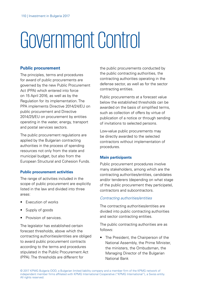# Government Control

#### **Public procurement**

The principles, terms and procedures for award of public procurements are governed by the new Public Procurement Act (PPA) which entered into force on 15 April 2016, as well as by the Regulation for its implementation. The PPA implements Directive 2014/24/EU on public procurement and Directive 2014/25/EU on procurement by entities operating in the water, energy, transport and postal services sectors.

The public procurement regulations are applied by the Bulgarian contracting authorities in the process of spending resources not only from the state and municipal budget, but also from the European Structural and Cohesion Funds.

#### **Public procurement activities**

The range of activities included in the scope of public procurement are explicitly listed in the law and divided into three areas:

- Execution of works
- Supply of goods
- Provision of services.

The legislator has established certain forecast thresholds, above which the contracting authorities/entities are obliged to award public procurement contracts according to the terms and procedures stipulated in the Public Procurement Act (PPA). The thresholds are different for

the public procurements conducted by the public contracting authorities, the contracting authorities operating in the defense sector, as well as for the sector contracting entities.

Public procurements at a forecast value below the established thresholds can be awarded on the basis of simplified terms, such as collection of offers by virtue of publication of a notice or through sending of invitations to selected persons.

Low-value public procurements may be directly awarded to the selected contractors without implementation of procedures.

#### **Main participants**

Public procurement procedures involve many stakeholders, among which are the contracting authorities/entities, candidates and/or tenderers (depending on what stage of the public procurement they participate), contractors and subcontractors.

#### Contracting authorities/entities

The contracting authorities/entities are divided into public contracting authorities and sector contracting entities.

The public contracting authorities are as follows:

• The President, the Chairperson of the National Assembly, the Prime Minister, the ministers, the Ombudsman, the Managing Director of the Bulgarian National Bank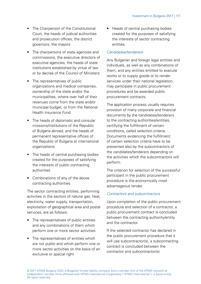- The Chairperson of the Constitutional Court, the heads of judicial authorities and prosecution offices, the district governors, the mayors
- The chairpersons of state agencies and commissions, the executive directors of executive agencies, the heads of state institutions established by virtue of law or by decree of the Council of Ministers
- The representatives of public organizations and medical companies, ownership of the state and/or the municipalities, where over half of their revenues come from the state and/or municipal budget, or from the National Health Insurance Fund
- The heads of diplomatic and consular missions/institutions of the Republic of Bulgaria abroad, and the heads of permanent representative offices of the Republic of Bulgaria at international organizations
- The heads of central purchasing bodies created for the purposes of satisfying the interests of public contracting authorities
- Combinations of any of the above contracting authorities.

The sector contracting entities, performing activities in the sectors of natural gas, heat, electricity, water supply, transportation, exploitation of geographical area and postal services, are as follows:

- The representatives of public entities and any combinations of them which perform one or more sector activities
- The representatives of entities which are not public and which perform one or more sector activities on the basis of an exclusive or special right

• Heads of central purchasing bodies created for the purposes of satisfying the interests of sector contracting entities.

## Candidates/tenderers

Any Bulgarian and foreign legal entities and individuals, as well as any combinations of them, and any entities entitled to execute works or to supply goods or to render services under their national legislation may participate in public procurement procedures and be awarded public procurement contracts.

The application process usually requires provision of many corporate and financial documents by the candidates/tenderers to the contracting authorities/entities, certifying the fulfillment of certain conditions, called selection criteria. Documents evidencing the fulfillment of certain selection criteria have to be presented also by the subcontractors of the candidates/tenderers depending on the activities which the subcontractors will perform.

The criterion for selection of the successful participant in the public procurement procedure is the economically most advantageous tender.

#### Contractors and subcontractors

Upon completion of the public procurement procedure and selection of a contractor, a public procurement contract is concluded between the contracting authority/entity and the contractor.

If the selected contractor has declared in the public procurement procedure that it will use subcontractor(s), a subcontracting contract is concluded between the contractor and subcontractor(s).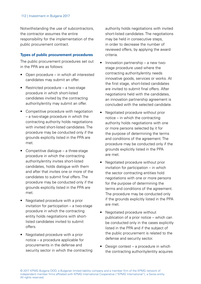Notwithstanding the use of subcontractors, the contractor assumes the entire responsibility for the implementation of the public procurement contract.

#### **Types of public procurement procedures**

The public procurement procedures set out in the PPA are as follows:

- Open procedure in which all interested candidates may submit an offer.
- Restricted procedure a two-stage procedure in which short-listed candidates invited by the contracting authority/entity may submit an offer.
- Competitive procedure with negotiation – a two-stage procedure in which the contracting authority holds negotiations with invited short-listed candidates. The procedure may be conducted only if the grounds explicitly listed in the PPA are met.
- Competitive dialogue a three-stage procedure in which the contracting authority/entity invites short-listed candidates, holds dialogue with them and after that invites one or more of the candidates to submit final offers. The procedure may be conducted only if the grounds explicitly listed in the PPA are met.
- Negotiated procedure with a prior invitation for participation – a two-stage procedure in which the contracting entity holds negotiations with shortlisted candidates invited to submit offers.
- Negotiated procedure with a prior notice – a procedure applicable for procurements in the defense and security sector in which the contracting

authority holds negotiations with invited short-listed candidates. The negotiations may be held in consecutive steps. in order to decrease the number of reviewed offers, by applying the award criteria.

- Innovation partnership a new twostage procedure used where the contracting authority/entity needs innovative goods, services or works. At the first stage, short-listed candidates are invited to submit final offers. After negotiations held with the candidates, an innovation partnership agreement is concluded with the selected candidate.
- Negotiated procedure without prior notice – in which the contracting authority holds negotiations with one or more persons selected by it for the purpose of determining the terms and conditions of the agreement. The procedure may be conducted only if the grounds explicitly listed in the PPA are met.
- Negotiated procedure without prior invitation for participation – in which the sector contracting entities hold negotiations with one or more persons for the purpose of determining the terms and conditions of the agreement. The procedure may be conducted only if the grounds explicitly listed in the PPA are met.
- Negotiated procedure without publication of a prior notice – which can be conducted only in the cases explicitly listed in the PPA and if the subject of the public procurement is related to the defense and security sector.
- Design contest a procedure in which the contracting authority/entity acquires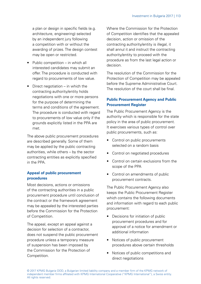a plan or design in specific fields (e.g. architecture, engineering) selected by an independent jury following a competition with or without the awarding of prizes. The design contest may be open or restricted.

- Public competition in which all interested candidates may submit an offer. The procedure is conducted with regard to procurements of low value.
- Direct negotiation in which the contracting authority/entity holds negotiations with one or more persons for the purpose of determining the terms and conditions of the agreement. The procedure is conducted with regard to procurements of low value only if the grounds explicitly listed in the PPA are met.

The above public procurement procedures are described generally. Some of them may be applied by the public contracting authorities, while others – by the sector contracting entities as explicitly specified in the PPA.

## **Appeal of public procurement procedures**

Most decisions, actions or omissions of the contracting authorities in a public procurement procedure until conclusion of the contract or the framework agreement may be appealed by the interested parties before the Commission for the Protection of Competition.

The appeal, except an appeal against a decision for selection of a contractor, does not suspend the public procurement procedure unless a temporary measure of suspension has been imposed by the Commission for the Protection of Competition.

Where the Commission for the Protection of Competition identifies that the appealed decision, action or omission of the contracting authority/entity is illegal, it shall annul it and instruct the contracting authority/entity to proceed with the procedure as from the last legal action or decision.

The resolution of the Commission for the Protection of Competition may be appealed before the Supreme Administrative Court. The resolution of the court shall be final.

## **Public Procurement Agency and Public Procurement Register**

The Public Procurement Agency is the authority which is responsible for the state policy in the area of public procurement. It exercises various types of control over public procurements, such as:

- Control on public procurements selected on a random basis
- Control on negotiated procedures
- Control on certain exclusions from the scope of the PPA
- Control on amendments of public procurement contracts.

The Public Procurement Agency also keeps the Public Procurement Register which contains the following documents and information with regard to each public procurement:

- Decisions for initiation of public procurement procedures and for approval of a notice for amendment or additional information
- Notices of public procurement procedures above certain thresholds
- Notices of public competitions and direct negotiations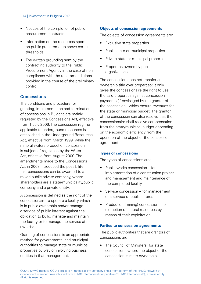#### 114 | Investment in Bulgaria 2017

- Notices of the completion of public procurement contracts
- Information on the resources spent on public procurements above certain thresholds
- The written grounding sent by the contracting authority to the Public Procurement Agency in the case of noncompliance with the recommendations provided in the course of the preliminary control.

#### **Concessions**

The conditions and procedure for granting, implementation and termination of concessions in Bulgaria are mainly regulated by the Concessions Act, effective from 1 July 2006. The concession regime applicable to underground resources is established in the Underground Resources Act, effective from March 1999, while the mineral waters production concession is subject of regulation by the Water Act, effective from August 2000. The amendments made to the Concessions Act in 2008 introduced the possibility that concessions can be awarded to a mixed public-private company, where shareholders are a state/municipality/public company and a private entity.

A concession is defined as the right of the concessionaire to operate a facility which is in public ownership and/or manage a service of public interest against the obligation to build, manage and maintain the facility or to manage the service at its own risk.

Granting of concessions is an appropriate method for governmental and municipal authorities to manage state or municipal properties by way of involving business entities in that management.

#### **Objects of concession agreements**

The objects of concession agreements are:

- Exclusive state properties
- Public state or municipal properties
- Private state or municipal properties
- Properties owned by public organizations.

The concession does not transfer an ownership title over properties; it only gives the concessionaire the right to use the said properties against concession payments (if envisaged by the grantor of the concession), which ensure revenues for the state or municipal budget. The grantor of the concession can also resolve that the concessionaire shall receive compensation from the state/municipal budget depending on the economic efficiency from the operation of the object of the concession agreement.

#### **Types of concessions**

The types of concessions are:

- Public works concession for implementation of a construction project and management and maintenance of the completed facility
- Service concession for management of a service of public interest
- Production (mining) concession for extraction of natural resources by means of their exploitation.

#### **Parties to concession agreements**

The public authorities that are grantors of concessions are:

• The Council of Ministers, for state concessions where the object of the concession is state ownership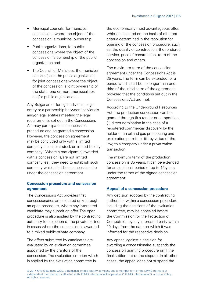- Municipal councils, for municipal concessions where the object of the concession is municipal ownership
- Public organizations, for public concessions where the object of the concession is ownership of the public organization and
- The Council of Ministers, the municipal council(s) and the public organization, for joint concessions where the object of the concession is joint ownership of the state, one or more municipalities and/or public organizations.

Any Bulgarian or foreign individual, legal entity or a partnership between individuals and/or legal entities meeting the legal requirements set out in the Concessions Act may participate in a concession procedure and be granted a concession. However, the concession agreement may be concluded only with a limited company (i.e. a joint-stock or limited liability company). Where a participant(s) awarded with a concession is/are not limited company(ies), they need to establish such company which shall be a concessionaire under the concession agreement.

## **Concession procedure and concession agreement**

The Concessions Act provides that concessionaires are selected only through an open procedure, where any interested candidate may submit an offer. The open procedure is also applied by the contracting authority for selection of the private partner in cases where the concession is awarded to a mixed public-private company.

The offers submitted by candidates are evaluated by an evaluation committee appointed by the grantors of the concession. The evaluation criterion which is applied by the evaluation committee is

the economically most advantageous offer, which is selected on the basis of different criteria determined in the resolution for opening of the concession procedure, such as: the quality of construction, the rendered service, price of construction, term of the concession and others.

The maximum term of the concession agreement under the Concessions Act is 35 years. The term can be extended for a period which shall be no longer than onethird of the initial term of the agreement provided that the conditions set out in the Concessions Act are met.

According to the Underground Resources Act, the production concession can be granted through (i) a tender or competition, (ii) direct nomination in the case of a registered commercial discovery by the holder of an oil and gas prospecting and exploration permit, or (iii) by virtue of the law, to a company under a privatization transaction.

The maximum term of the production concession is 35 years. It can be extended for an additional period of up to 15 years under the terms of the signed concession agreement.

#### **Appeal of a concession procedure**

Any decision adopted by the contracting authorities within a concession procedure, including the decisions of the evaluation committee, may be appealed before the Commission for the Protection of Competition by any interested party within 10 days from the date on which it was informed for the respective decision.

Any appeal against a decision for awarding a concessionaire suspends the concession granting procedure until the final settlement of the dispute. In all other cases, the appeal does not suspend the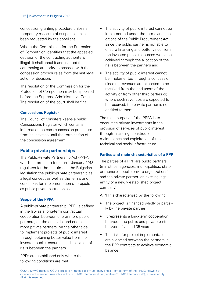concession granting procedure unless a temporary measure of suspension has been requested by the appellant.

Where the Commission for the Protection of Competition identifies that the appealed decision of the contracting authority is illegal, it shall annul it and instruct the contracting authority to proceed with the concession procedure as from the last legal action or decision.

The resolution of the Commission for the Protection of Competition may be appealed before the Supreme Administrative Court. The resolution of the court shall be final.

#### **Concessions Register**

The Council of Ministers keeps a public Concessions Register which contains information on each concession procedure from its initiation until the termination of the concession agreement.

#### **Public-private partnerships**

The Public-Private Partnership Act (PPPA) which entered into force on 1 January 2013 regulates for the first time in the Bulgarian legislation the public-private partnership as a legal concept as well as the terms and conditions for implementation of projects as public-private partnerships.

#### **Scope of the PPPA**

A public-private partnership (PPP) is defined in the law as a long-term contractual cooperation between one or more public partners, on the one side, and one or more private partners, on the other side, to implement projects of public interest through obtaining better value from the invested public resources and allocation of risks between the partners.

PPPs are established only where the following conditions are met:

- The activity of public interest cannot be implemented under the terms and conditions of the Public Procurement Act since the public partner is not able to ensure financing and better value from the invested public resources would be achieved through the allocation of the risks between the partners and
- The activity of public interest cannot be implemented through a concession since no revenues are expected to be received from the end users of the activity or from other third parties or, where such revenues are expected to be received, the private partner is not entitled to them.

The main purpose of the PPPA is to encourage private investments in the provision of services of public interest through financing, construction, maintenance and exploitation of the technical and social infrastructure.

#### **Parties and main characteristics of a PPP**

The parties of a PPP are public partners (ministries, agencies, municipalities, state or municipal public-private organizations) and the private partner (an existing legal entity or a newly established project company).

A PPP is characterized by the following:

- The project is financed wholly or partially by the private partner
- It represents a long-term cooperation between the public and private partner – between five and 35 years
- The risks for project implementation are allocated between the partners in the PPP contracts to achieve economic balance.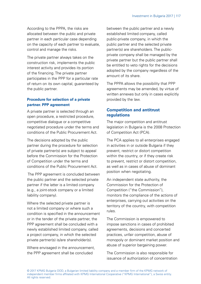According to the PPPA, the risks are allocated between the public and private partner in each particular case depending on the capacity of each partner to evaluate, control and manage the risks.

The private partner always takes on the construction risk, implements the public interest activity and provides its portion of the financing. The private partner participates in the PPP for a particular rate of return on its own capital, guaranteed by the public partner.

## **Procedure for selection of a private partner. PPP agreement**

A private partner is selected through an open procedure, a restricted procedure, competitive dialogue or a competitive negotiated procedure under the terms and conditions of the Public Procurement Act.

The decisions adopted by the public partner during the procedure for selection of private partner(s) are subject to appeal before the Commission for the Protection of Competition under the terms and conditions of the Public Procurement Act.

 The PPP agreement is concluded between the public partner and the selected private partner if the latter is a limited company (e.g., a joint-stock company or a limited liability company).

Where the selected private partner is not a limited company or where such a condition is specified in the announcement or in the tender of the private partner, the PPP agreement shall be concluded with a newly established limited company, called a project company, in which the selected private partner(s) is/are shareholder(s).

Where envisaged in the announcement the PPP agreement shall be concluded

between the public partner and a newly established limited company, called public-private company, in which the public partner and the selected private partner(s) are shareholders. The publicprivate company shall be managed by the private partner but the public partner shall be entitled to veto rights for the decisions adopted by the company regardless of the amount of its share.

The PPPA allows the possibility that PPP agreements may be amended, by virtue of written annexes but only in cases explicitly provided by the law.

## **Competition and antitrust regulations**

The major competition and antitrust legislation in Bulgaria is the 2008 Protection of Competition Act (PCA).

The PCA applies to all enterprises engaged in activities in or outside Bulgaria if they prevent, restrict or distort competition within the country, or if they create risk to prevent, restrict or distort competition, as well as in cases of abuse of dominant position when negotiating.

An independent state authority, the Commission for the Protection of Competition ("the Commission"), monitors the compliance of the actions of enterprises, carrying out activities on the territory of the country, with competition rules.

The Commission is empowered to impose sanctions in cases of prohibited agreements, decisions and concerted practices, unfair competition, abuse of monopoly or dominant market position and abuse of superior bargaining power.

The Commission is also responsible for issuance of authorization of concentration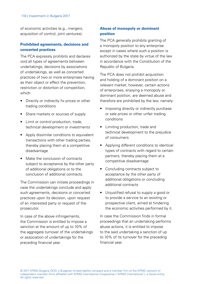of economic activities (e.g., mergers, acquisition of control, joint ventures).

## **Prohibited agreements, decisions and concerted practices**

The PCA expressly prohibits and declares void all types of agreements between undertakings, decisions by associations of undertakings, as well as concerted practices of two or more enterprises having as their object or effect the prevention, restriction or distortion of competition, which:

- Directly or indirectly fix prices or other trading conditions
- Share markets or sources of supply
- Limit or control production, trade technical development or investments
- Apply dissimilar conditions to equivalent transactions with other trading parties, thereby placing them at a competitive disadvantage
- Make the conclusion of contracts subject to acceptance by the other party of additional obligations or to the conclusion of additional contracts.

The Commission can initiate proceedings in case the undertakings conclude and apply such agreements, decisions or concerted practices upon its decision, upon request of an interested party or request of the prosecutor.

In case of the above infringements, the Commission is entitled to impose a sanction at the amount of up to 10% of the aggregate turnover of the undertakings or association of undertakings for the preceding financial year.

#### **Abuse of monopoly or dominant position**

The PCA generally prohibits granting of a monopoly position to any enterprise except in cases where such a position is authorized by the state by virtue of the law in accordance with the Constitution of the Republic of Bulgaria.

The PCA does not prohibit acquisition and holding of a dominant position on a relevant market; however, certain actions of enterprises, enjoying a monopoly or dominant position, are deemed abuse and therefore are prohibited by the law, namely:

- Imposing directly or indirectly purchase or sale prices or other unfair trading conditions
- Limiting production, trade and technical development to the prejudice of consumers
- Applying different conditions to identical types of contracts with regard to certain partners, thereby placing them at a competitive disadvantage
- Concluding contracts subject to acceptance by the other party of additional obligations or concluding additional contracts
- Unjustified refusal to supply a good or to provide a service to an existing or prospective client, aimed at hindering the economic activities performed by it.

In case the Commission finds in formal proceedings that an undertaking performs abuse actions, it is entitled to impose to the said undertaking a sanction of up to 10% of its turnover for the preceding financial year.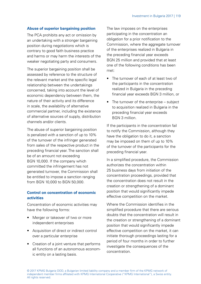#### **Abuse of superior bargaining position**

The PCA prohibits any act or omission by an undertaking with a stronger bargaining position during negotiations which is contrary to good faith business practice and harms or may harm the interests of the weaker negotiating party and consumers.

The superior bargaining position shall be assessed by reference to the structure of the relevant market and the specific legal relationship between the undertakings concerned, taking into account the level of economic dependency between them, the nature of their activity and its difference in scale, the availability of alternative commercial partner, including the existence of alternative sources of supply, distribution channels and/or clients.

The abuse of superior bargaining position is penalized with a sanction of up to 10% of the turnover of the infringer generated from sales of the respective product in the preceding financial year. The sanction shall be of an amount not exceeding BGN 10,000. If the company which committed the infringement has not generated turnover, the Commission shall be entitled to impose a sanction ranging from BGN 10,000 to BGN 50,000.

## **Control on concentration of economic activities**

Concentration of economic activities may have the following forms:

- Merger or takeover of two or more independent enterprises
- Acquisition of direct or indirect control over a particular enterprise
- Creation of a joint venture that performs all functions of an autonomous economic entity on a lasting basis.

The law imposes on the enterprises participating in the concentration an obligation for a prior notification to the Commission, where the aggregate turnover of the enterprises realized in Bulgaria in the preceding financial year exceeds BGN 25 million and provided that at least one of the following conditions has been met:

- The turnover of each of at least two of the participants in the concentration realized in Bulgaria in the preceding financial year exceeds BGN 3 million, or
- The turnover of the enterprise subject to acquisition realized in Bulgaria in the preceding financial year exceeds BGN 3 million.

If the participants in the concentration fail to notify the Commission, although they have the obligation to do it, a sanction may be imposed on them of up to 10% of the turnover of the participants for the preceding financial year.

In a simplified procedure, the Commission authorizes the concentration within 25 business days from initiation of the concentration proceedings, provided that the concentration does not result in the creation or strengthening of a dominant position that would significantly impede effective competition on the market.

Where the Commission identifies in the simplified procedure that there are serious doubts that the concentration will result in the creation or strengthening of a dominant position that would significantly impede effective competition on the market, it can initiate thorough proceedings lasting for a period of four months in order to further investigate the consequences of the concentration.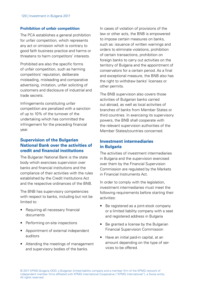#### **Prohibition of unfair competition**

The PCA establishes a general prohibition for unfair competition, which represents any act or omission which is contrary to good faith business practice and harms or threatens to harm competitors' interests.

Prohibited are also the specific forms of unfair competition, such as harming competitors' reputation, deliberate misleading, misleading and comparative advertising, imitation, unfair soliciting of customers and disclosure of industrial and trade secrets.

Infringements constituting unfair competition are penalized with a sanction of up to 10% of the turnover of the undertaking which has committed the infringement for the preceding financial year.

## **Supervision of the Bulgarian National Bank over the activities of credit and financial institutions**

The Bulgarian National Bank is the state body which exercises supervision over banks and financial institutions and the compliance of their activities with the rules established by the Credit Institutions Act and the respective ordinances of the BNB.

The BNB has supervisory competencies with respect to banks, including but not be limited to:

- Requiring all necessary financial documents
- Performing on-site inspections
- Appointment of external independent auditors
- Attending the meetings of management and supervisory bodies of the banks.

In cases of violation of provisions of the law or other acts, the BNB is empowered to impose certain measures on banks, such as: issuance of written warnings and orders to eliminate violations, prohibition of certain transactions, prohibition on foreign banks to carry out activities on the territory of Bulgaria and the appointment of conservators for a certain period. As a final and exceptional measure, the BNB also has the right to withdraw banks' licenses or other permits.

The BNB supervision also covers those activities of Bulgarian banks carried out abroad, as well as local activities of branches of banks from Member States or third countries. In exercising its supervisory powers, the BNB shall cooperate with the relevant supervision authorities of the Member States/countries concerned.

## **Investment intermediaries in Bulgaria**

The activities of investment intermediaries in Bulgaria and the supervision exercised over them by the Financial Supervision Commission are regulated by the Markets in Financial Instruments Act.

In order to comply with the legislation, investment intermediaries must meet the following requirements before starting their activities:

- Be registered as a joint-stock company or a limited liability company with a seat and registered address in Bulgaria
- Be granted a license by the Bulgarian Financial Supervision Commission
- Have an initial paid-in capital, at an amount depending on the type of services to be offered.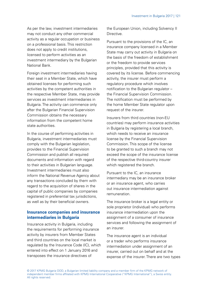As per the law, investment intermediaries may not conduct any other commercial activity as a regular occupation or business on a professional basis. This restriction does not apply to credit institutions licensed to perform activities as an investment intermediary by the Bulgarian National Bank.

Foreign investment intermediaries having their seat in a Member State, which have obtained licenses for performing such activities by the competent authorities in the respective Member State, may provide services as investment intermediaries in Bulgaria. The activity can commence only after the Bulgarian Financial Supervision Commission obtains the necessary information from the competent home state authorities.

In the course of performing activities in Bulgaria, investment intermediaries must comply with the Bulgarian legislation, provides to the Financial Supervision Commission and publish all required documents and information with regard to their activities in Bulgarian language. Investment intermediaries must also inform the National Revenue Agency about any transactions concluded by them with regard to the acquisition of shares in the capital of public companies by companies registered in preferential tax jurisdictions, as well as by their beneficial owners.

## **Insurance companies and insurance intermediaries in Bulgaria**

Insurance activity in Bulgaria, including the requirements for performing insurance activity by insurers from Member States and third countries on the local market is regulated by the Insurance Code (IC), which entered into effect on 1 January 2016 and transposes the insurance directives of

the European Union, including Solvency II Directive.

Pursuant to the provisions of the IC, an insurance company licensed in a Member State may carry out activity in Bulgaria on the basis of the freedom of establishment or the freedom to provide services principles, provided that this activity is covered by its license. Before commencing activity, the insurer must perform a regulatory procedure which involves notification to the Bulgarian regulator – the Financial Supervision Commission. The notification must be performed by the home Member State regulator upon request of the insurer.

Insurers from third countries (non-EU countries) may perform insurance activities in Bulgaria by registering a local branch, which needs to receive an insurance license by the Financial Supervision Commission. This scope of the license to be granted to such a branch may not exceed the scope of the insurance license of the respective third-country insurer which registered the branch.

Pursuant to the IC, an insurance intermediary may be an insurance broker or an insurance agent, who carries out insurance intermediation against remuneration.

The insurance broker is a legal entity or sole proprietor (individual) who performs insurance intermediation upon the assignment of a consumer of insurance services and following the assignment of an insurer.

The insurance agent is an individual or a trader who performs insurance intermediation under assignment of an insurer, carried out on behalf and at the expense of the insurer. There are two types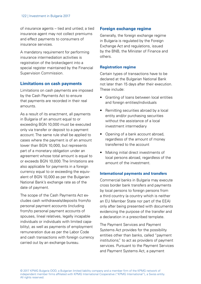of insurance agents – tied and untied; a tied insurance agent may not collect premiums and effect payments to consumers of insurance services.

A mandatory requirement for performing insurance intermediation activities is registration of the broker/agent into a special register maintained by the Financial Supervision Commission.

## **Limitations on cash payments**

Limitations on cash payments are imposed by the Cash Payments Act to ensure that payments are recorded in their real amounts.

As a result of its enactment, all payments in Bulgaria of an amount equal to or exceeding BGN 10,000 must be executed only via transfer or deposit to a payment account. The same rule shall be applied to cases where the payment is of an amount lower than BGN 10,000, but represents part of a monetary obligation under an agreement whose total amount is equal to or exceeds BGN 10,000. The limitations are also applicable for payments in a foreign currency equal to or exceeding the equivalent of BGN 10,000 as per the Bulgarian National Bank's exchange rate as of the date of payment.

The scope of the Cash Payments Act excludes cash withdrawals/deposits from/to personal payment accounts (including from/to personal payment accounts of spouses, lineal relatives, legally incapable individuals or individuals with limited capability), as well as payments of employment remuneration due as per the Labor Code and cash transactions with foreign currency carried out by an exchange bureau.

## **Foreign exchange regime**

Generally, the foreign exchange regime in Bulgaria is regulated by the Foreign Exchange Act and regulations, issued by the BNB, the Minister of Finance and others.

#### **Registration regime**

Certain types of transactions have to be declared at the Bulgarian National Bank not later than 15 days after their execution. These include:

- Granting of loans between local entities and foreign entities/individuals
- Remitting securities abroad by a local entity and/or purchasing securities without the assistance of a local investment intermediary
- Opening of a bank account abroad, regardless of the amount of money transferred to the account
- Making initial direct investments of local persons abroad, regardless of the amount of the investment.

#### **International payments and transfers**

Commercial banks in Bulgaria may execute cross border bank transfers and payments by local persons to foreign persons from a third country (a country which is neither an EU Member State nor part of the EEA) only after being presented with documents evidencing the purpose of the transfer and a declaration in a prescribed template.

The Payment Services and Payment Systems Act provides for the possibility entities other than banks, called "payment institutions," to act as providers of payment services. Pursuant to the Payment Services and Payment Systems Act, a payment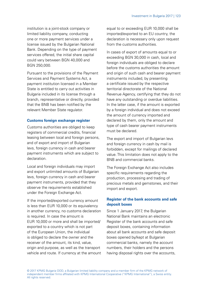institution is a joint-stock company or limited liability company, conducting one or more payment services under a license issued by the Bulgarian National Bank. Depending on the type of payment services offered, the initial share capital could vary between BGN 40,000 and BGN 250,000.

Pursuant to the provisions of the Payment Services and Payment Systems Act, a payment institution licensed in a Member State is entitled to carry out activities in Bulgaria included in its license through a branch, representative or directly, provided that the BNB has been notified by the relevant Member State regulator.

#### **Customs foreign exchange register**

Customs authorities are obliged to keep registers of commercial credits, financial leasing between local and foreign persons, and of export and import of Bulgarian levs, foreign currency in cash and bearer payment instruments which are subject to declaration.

Local and foreign individuals may import and export unlimited amounts of Bulgarian levs, foreign currency in cash and bearer payment instruments, provided that they observe the requirements established under the Foreign Exchange Act.

If the imported/exported currency amount is less than EUR 10,000 or its equivalency in another currency, no customs declaration is required. In case the amount is EUR 10,000 or more and shall be imported/ exported to a country which is not part of the European Union, the individual is obliged to declare the owner and the receiver of the amount, its kind, value, origin and purpose, as well as the transport vehicle and route. If currency at the amount equal to or exceeding EUR 10,000 shall be imported/exported to an EU country, the declaration is necessary only upon request from the customs authorities.

In cases of export of amounts equal to or exceeding BGN 30,000 in cash, local and foreign individuals are obliged to declare before the customs authorities the amount and origin of such cash and bearer payment instruments included, by presenting a certificate issued by the respective territorial directorate of the National Revenue Agency, certifying that they do not have any outstanding or overdue liabilities. In the latter case, if the amount is exported by a foreign individual and does not exceed the amount of currency imported and declared by them, only the amount and type of cash bearer payment instruments must be declared.

The export and import of Bulgarian levs and foreign currency in cash by mail is forbidden, except for mailings of declared value. This limitation does not apply to the BNB and commercial banks.

The Foreign Exchange Act also includes specific requirements regarding the production, processing and trading of precious metals and gemstones, and their import and export.

#### **Register of the bank accounts and safe deposit boxes**

Since 1 January 2017, the Bulgarian National Bank maintains an electronic Register of the bank accounts and safe deposit boxes, containing information about all bank accounts and safe deposit boxes opened by/kept at Bulgarian commercial banks, namely the account numbers, their holders and the persons having disposal rights over the accounts,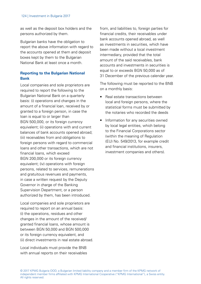as well as the deposit box holders and the persons authorized by them.

Bulgarian banks have the obligation to report the above information with regard to the accounts opened at them and deposit boxes kept by them to the Bulgarian National Bank at least once a month.

#### **Reporting to the Bulgarian National Bank**

Local companies and sole proprietors are required to report the following to the Bulgarian National Bank on a quarterly basis: (i) operations and changes in the amount of a financial loan, received by or granted to a foreign person, in case the loan is equal to or larger than BGN 500,000, or its foreign currency equivalent; (ii) operations with and current balances of bank accounts opened abroad; (iii) receivables from and obligations to foreign persons with regard to commercial loans and other transactions, which are not financial loans, which exceed BGN 200,000 or its foreign currency equivalent; (iv) operations with foreign persons, related to services, remunerations and gratuitous revenues and payments, in case a written request by the Deputy Governor in charge of the Banking Supervision Department, or a person authorized by them, has been introduced.

Local companies and sole proprietors are required to report on an annual basis: (i) the operations, residues and other changes in the amount of the received/ granted financial loans, whose amount is between BGN 50,000 and BGN 500,000 or its foreign currency equivalent, and (ii) direct investments in real estate abroad.

Local individuals must provide the BNB with annual reports on their receivables from, and liabilities to, foreign parties for financial credits, their receivables under bank accounts opened abroad, as well as investments in securities, which have been made without a local investment intermediary, provided that the total amount of the said receivables, bank accounts and investments in securities is equal to or exceeds BGN 50,000 as of 31 December of the previous calendar year.

The following must be reported to the BNB on a monthly basis:

- Real estate transactions between local and foreign persons, where the statistical forms must be submitted by the notaries who recorded the deeds
- Information for any securities owned by local legal entities, which belong to the Financial Corporations sector (within the meaning of Regulation (EU) No. 549/2013, for example credit and financial institutions, insurers, investment companies and others).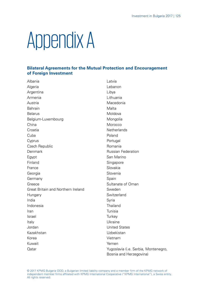## Appendix A

## **Bilateral Agreements for the Mutual Protection and Encouragement of Foreign Investment**

Albania Latvia Algeria Lebanon Argentina Libya Armenia Lithuania Austria Macedonia Bahrain Malta Belarus Moldova Belgium-Luxembourg Mongolia China Morocco Croatia Netherlands Cuba Poland Cyprus Portugal Czech Republic **Romania** Denmark **Russian Federation** Egypt San Marino Finland Singapore France Slovakia Georgia **Georgia** Slovenia Germany **Spain** Greece Sultanate of Oman Great Britain and Northern Ireland Sweden Hungary Switzerland India Syria Indonesia Thailand Iran Tunisia Israel Turkey Italy Ukraine Jordan United States Kazakhstan Uzbekistan Korea Vietnam Kuwait **Yemen** Qatar Yugoslavia (i.e. Serbia, Montenegro,

Bosnia and Herzegovina)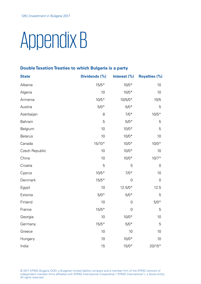# Appendix B

## **Double Taxation Treaties to which Bulgaria is a party**

| <b>State</b>   | Dividends (%) | Interest (%) | <b>Royalties (%)</b> |
|----------------|---------------|--------------|----------------------|
| Albania        | $15/5*$       | $10/0*$      | 10                   |
| Algeria        | 10            | $10/0*$      | 10                   |
| Armenia        | $10/5*$       | 10/5/0*      | 10/5                 |
| Austria        | $5/0*$        | $5/0*$       | 5                    |
| Azerbaijan     | 8             | $7/0*$       | $10/5*$              |
| Bahrain        | 5             | $5/0*$       | 5                    |
| Belgium        | 10            | $10/0*$      | 5                    |
| <b>Belarus</b> | 10            | $10/0*$      | 10                   |
| Canada         | $15/10*$      | $10/0*$      | $10/0*$              |
| Czech Republic | 10            | $10/0*$      | 10                   |
| China          | 10            | $10/0*$      | $10/7*$              |
| Croatia        | 5             | 5            | 0                    |
| Cyprus         | $10/5*$       | $7/0*$       | 10                   |
| Denmark        | $15/5*$       | 0            | 0                    |
| Egypt          | 10            | $12.5/0*$    | 12.5                 |
| Estonia        | $5/0*$        | $5/0*$       | 5                    |
| Finland        | 10            | $\mathbf 0$  | $5/0*$               |
| France         | $15/5*$       | $\mathbf 0$  | 5                    |
| Georgia        | 10            | $10/0*$      | 10                   |
| Germany        | $15/5*$       | $5/0*$       | 5                    |
| Greece         | 10            | 10           | 10                   |
| Hungary        | 10            | $10/0*$      | 10                   |
| India          | 15            | $15/0*$      | $20/15*$             |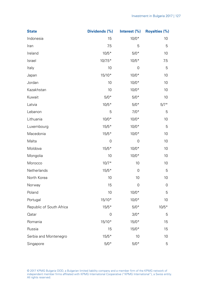| <b>State</b>             | Dividends (%) | Interest $(\%)$ | <b>Royalties (%)</b> |
|--------------------------|---------------|-----------------|----------------------|
| Indonesia                | 15            | $10/0*$         | 10                   |
| Iran                     | 7.5           | 5               | 5                    |
| Ireland                  | $10/5*$       | $5/0*$          | 10                   |
| Israel                   | $10/7.5*$     | $10/5*$         | 7.5                  |
| Italy                    | 10            | 0               | 5                    |
| Japan                    | $15/10*$      | $10/0*$         | 10                   |
| Jordan                   | 10            | $10/0*$         | 10                   |
| Kazakhstan               | 10            | $10/0*$         | 10                   |
| Kuwait                   | $5/0*$        | $5/0*$          | 10                   |
| Latvia                   | $10/5*$       | $5/0*$          | $5/7*$               |
| Lebanon                  | 5             | $7/0*$          | 5                    |
| Lithuania                | $10/0*$       | $10/0*$         | 10                   |
| Luxembourg               | $15/5*$       | $10/0*$         | 5                    |
| Macedonia                | $15/5*$       | $10/0*$         | 10                   |
| Malta                    | 0             | 0               | 10                   |
| Moldova                  | $15/5*$       | $10/0*$         | 10                   |
| Mongolia                 | 10            | $10/0*$         | 10                   |
| Morocco                  | $10/7*$       | 10              | 10                   |
| Netherlands              | $15/5*$       | 0               | 5                    |
| North Korea              | 10            | 10              | 10                   |
| Norway                   | 15            | 0               | 0                    |
| Poland                   | 10            | $10/0*$         | 5                    |
| Portugal                 | $15/10*$      | $10/0*$         | 10                   |
| Republic of South Africa | $15/5*$       | $5/0*$          | $10/5*$              |
| Qatar                    | 0             | $3/0*$          | 5                    |
| Romania                  | $15/10*$      | $15/0*$         | 15                   |
| Russia                   | 15            | $15/0*$         | 15                   |
| Serbia and Montenegro    | $15/5*$       | 10              | 10                   |
| Singapore                | $5/0*$        | $5/0*$          | 5                    |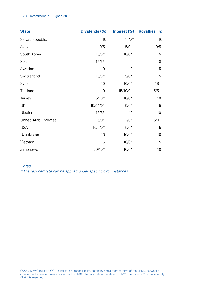#### 128 | Investment in Bulgaria 2017

| <b>State</b>         | Dividends (%) | Interest $(\%)$ | <b>Royalties (%)</b> |
|----------------------|---------------|-----------------|----------------------|
| Slovak Republic      | 10            | $10/0*$         | 10                   |
| Slovenia             | 10/5          | $5/0*$          | 10/5                 |
| South Korea          | $10/5*$       | $10/0*$         | 5                    |
| Spain                | $15/5*$       | 0               | 0                    |
| Sweden               | 10            | 0               | 5                    |
| Switzerland          | $10/0*$       | $5/0*$          | 5                    |
| Syria                | 10            | $10/0*$         | $18*$                |
| Thailand             | 10            | 15/10/0*        | $15/5*$              |
| Turkey               | $15/10*$      | $10/0*$         | 10                   |
| UK                   | $15/5*/0*$    | $5/0*$          | 5                    |
| Ukraine              | $15/5*$       | 10              | 10                   |
| United Arab Emirates | $5/0*$        | $2/0*$          | $5/0*$               |
| <b>USA</b>           | $10/5/0*$     | $5/0*$          | 5                    |
| Uzbekistan           | 10            | $10/0*$         | 10                   |
| Vietnam              | 15            | $10/0*$         | 15                   |
| Zimbabwe             | $20/10*$      | $10/0*$         | 10                   |

## Notes

\* The reduced rate can be applied under specific circumstances.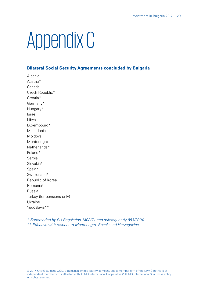## Appendix C

## **Bilateral Social Security Agreements concluded by Bulgaria**

Albania Austria\* Canada Czech Republic\* Croatia\* Germany\* Hungary\* Israel Libya Luxembourg\* Macedonia Moldova Montenegro Netherlands\* Poland\* Serbia Slovakia\* Spain\* Switzerland\* Republic of Korea Romania\* Russia Turkey (for pensions only) Ukraine Yugoslavia\*\*

\* Superseded by EU Regulation 1408/71 and subsequently 883/2004 \*\* Effective with respect to Montenegro, Bosnia and Herzegovina